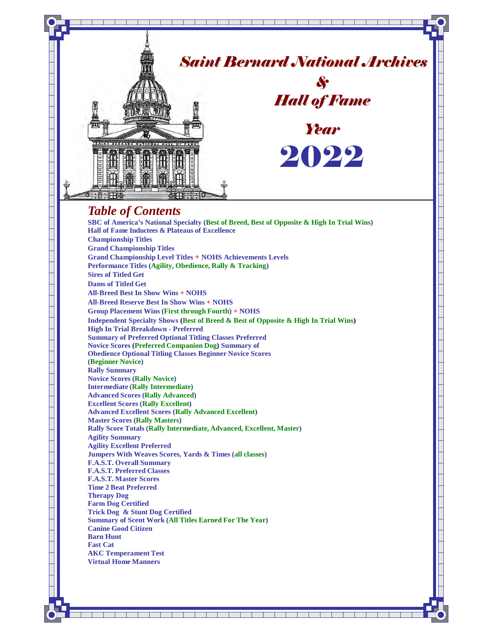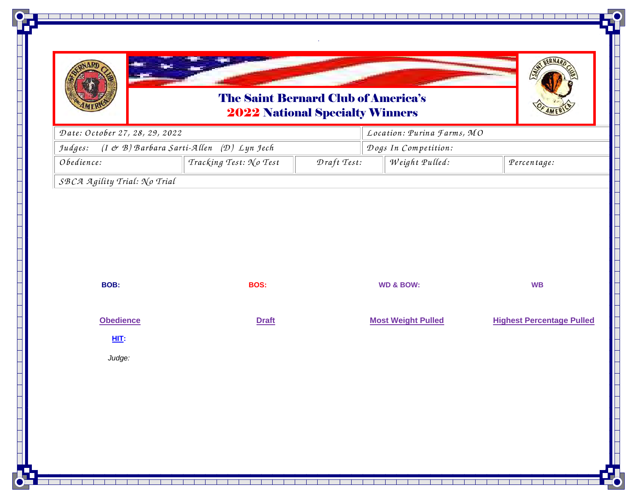|                                |                                          | <b>The Saint Bernard Club of America's</b><br><b>2022 National Specialty Winners</b>                                                                                                                                                                                                                                                                                                                  |                                                                                      |
|--------------------------------|------------------------------------------|-------------------------------------------------------------------------------------------------------------------------------------------------------------------------------------------------------------------------------------------------------------------------------------------------------------------------------------------------------------------------------------------------------|--------------------------------------------------------------------------------------|
| Date: October 27, 28, 29, 2022 |                                          | Location: Purina Farms, MO                                                                                                                                                                                                                                                                                                                                                                            |                                                                                      |
| Judges:                        | (I & B) Barbara Sarti-Allen (D) Lyn Jech | Dogs In Competition:                                                                                                                                                                                                                                                                                                                                                                                  |                                                                                      |
| Obedience:                     | Tracking Test: No Test                   | $\mathcal{D}% _{t}=\mathcal{D}_{t}\cup\mathcal{D}_{t}$ $\mathcal{D}_{t}$ $\mathcal{D}_{t}$ $\mathcal{D}_{t}$ $\mathcal{D}_{t}$ $\mathcal{D}_{t}$ $\mathcal{D}_{t}$ $\mathcal{D}_{t}$ $\mathcal{D}_{t}$ $\mathcal{D}_{t}$ $\mathcal{D}_{t}$ $\mathcal{D}_{t}$ $\mathcal{D}_{t}$ $\mathcal{D}_{t}$ $\mathcal{D}_{t}$ $\mathcal{D}_{t}$ $\mathcal{D}_{t}$ $\mathcal{D}_{t}$ $\mathcal$<br>Weight Pulled: | $\ensuremath{\mathcal{P}\vphantom{P}e\mathit{r}\vphantom{A}e\mathit{r}\vphantom{A}}$ |
|                                |                                          |                                                                                                                                                                                                                                                                                                                                                                                                       |                                                                                      |
| BOB:                           | <b>BOS:</b>                              | <b>WD &amp; BOW:</b>                                                                                                                                                                                                                                                                                                                                                                                  | <b>WB</b>                                                                            |
| <b>Obedience</b>               | <b>Draft</b>                             | <b>Most Weight Pulled</b>                                                                                                                                                                                                                                                                                                                                                                             |                                                                                      |
| HIT:                           |                                          |                                                                                                                                                                                                                                                                                                                                                                                                       | <b>Highest Percentage Pulled</b>                                                     |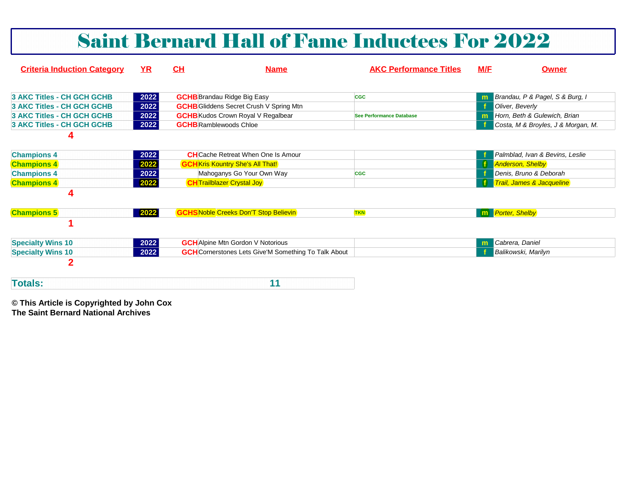|                                                                                           |                              |    | <b>Saint Bernard Hall of Fame Inductees For 2022</b>                                                                                                   |                               |     |                                                                                                                              |
|-------------------------------------------------------------------------------------------|------------------------------|----|--------------------------------------------------------------------------------------------------------------------------------------------------------|-------------------------------|-----|------------------------------------------------------------------------------------------------------------------------------|
| <b>Criteria Induction Category</b>                                                        | <b>YR</b>                    | CH | <b>Name</b>                                                                                                                                            | <b>AKC Performance Titles</b> | M/F | <b>Owner</b>                                                                                                                 |
| <b>3 AKC Titles - CH GCH GCHB</b>                                                         | 2022                         |    | <b>GCHB</b> Brandau Ridge Big Easy                                                                                                                     | <b>CGC</b>                    |     | Brandau, P & Pagel, S & Burg, I                                                                                              |
| <b>3 AKC Titles - CH GCH GCHB</b>                                                         | 2022                         |    | <b>GCHB</b> Gliddens Secret Crush V Spring Mtn                                                                                                         |                               |     | Oliver, Beverly                                                                                                              |
| <b>3 AKC Titles - CH GCH GCHB</b>                                                         | 2022                         |    | <b>GCHB</b> Kudos Crown Royal V Regalbear                                                                                                              | See Performance Database      |     | Horn, Beth & Gulewich, Brian                                                                                                 |
| <b>3 AKC Titles - CH GCH GCHB</b>                                                         | 2022                         |    | <b>GCHB</b> Ramblewoods Chloe                                                                                                                          |                               |     | Costa, M & Broyles, J & Morgan, M.                                                                                           |
| <b>Champions 4</b><br><b>Champions 4</b><br><b>Champions 4</b><br><b>Champions 4</b><br>4 | 2022<br>2022<br>2022<br>2022 |    | <b>CH</b> Cache Retreat When One Is Amour<br><b>GCH Kris Kountry She's All That!</b><br>Mahoganys Go Your Own Way<br><b>CH</b> Trailblazer Crystal Joy | <b>CGC</b>                    |     | Palmblad, Ivan & Bevins, Leslie<br><b>Anderson, Shelby</b><br>Denis, Bruno & Deborah<br><b>Trail, James &amp; Jacqueline</b> |
| <b>Champions 5</b>                                                                        | 2022                         |    | <b>GCHS Noble Creeks Don'T Stop Believin</b>                                                                                                           | <b>TKN</b>                    |     | m Porter, Shelby                                                                                                             |
|                                                                                           |                              |    |                                                                                                                                                        |                               |     |                                                                                                                              |
| <b>Specialty Wins 10</b>                                                                  | 2022                         |    | <b>GCH</b> Alpine Mtn Gordon V Notorious                                                                                                               |                               |     | Cabrera, Daniel                                                                                                              |
| <b>Specialty Wins 10</b>                                                                  | 2022                         |    | <b>GCH</b> Cornerstones Lets Give'M Something To Talk About                                                                                            |                               |     | Balikowski, Marilyn                                                                                                          |
| 2                                                                                         |                              |    |                                                                                                                                                        |                               |     |                                                                                                                              |
| <b>Totals:</b>                                                                            |                              |    | 11                                                                                                                                                     |                               |     |                                                                                                                              |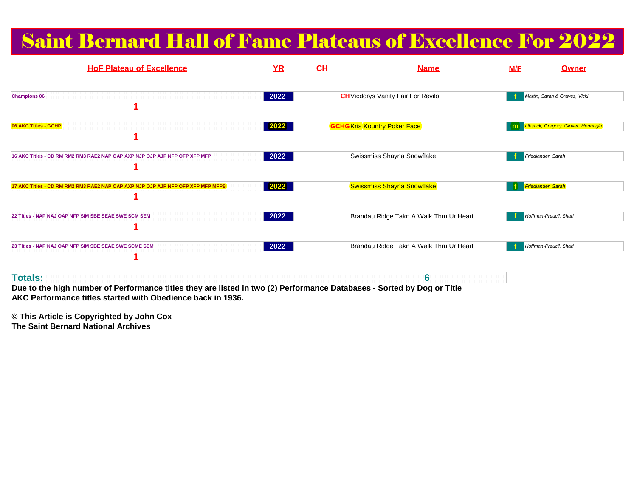### Saint Bernard Hall of Fame Plateaus of Excellence For 2022



**Due to the high number of Performance titles they are listed in two (2) Performance Databases - Sorted by Dog or TitleAKC Performance titles started with Obedience back in 1936.**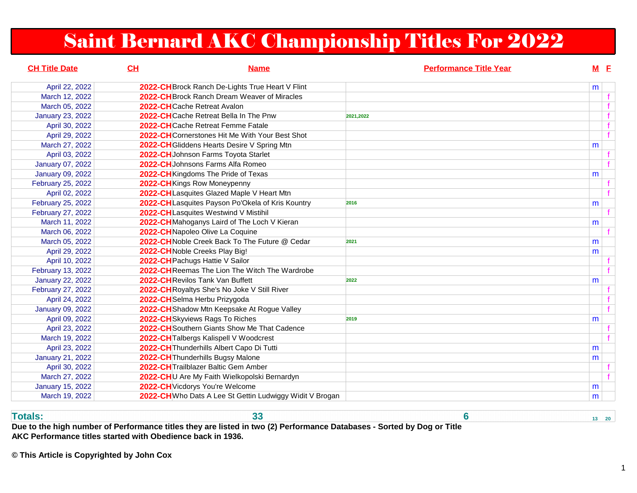## Saint Bernard AKC Championship Titles For 2022

| <b>CH Title Date</b>    | CH | <b>Name</b>                                              | <b>Performance Title Year</b> | $M$ E |   |
|-------------------------|----|----------------------------------------------------------|-------------------------------|-------|---|
| April 22, 2022          |    | 2022-CH Brock Ranch De-Lights True Heart V Flint         |                               | m     |   |
| March 12, 2022          |    | <b>2022-CH</b> Brock Ranch Dream Weaver of Miracles      |                               |       |   |
| March 05, 2022          |    | 2022-CHCache Retreat Avalon                              |                               |       |   |
| <b>January 23, 2022</b> |    | 2022-CHCache Retreat Bella In The Pnw                    | 2021,2022                     |       |   |
| April 30, 2022          |    | 2022-CHCache Retreat Femme Fatale                        |                               |       | f |
| April 29, 2022          |    | 2022-CH Cornerstones Hit Me With Your Best Shot          |                               |       | f |
| March 27, 2022          |    | 2022-CH Gliddens Hearts Desire V Spring Mtn              |                               | m     |   |
| April 03, 2022          |    | 2022-CHJohnson Farms Toyota Starlet                      |                               |       |   |
| <b>January 07, 2022</b> |    | 2022-CH Johnsons Farms Alfa Romeo                        |                               |       |   |
| <b>January 09, 2022</b> |    | 2022-CH Kingdoms The Pride of Texas                      |                               | m     |   |
| February 25, 2022       |    | 2022-CHKings Row Moneypenny                              |                               |       |   |
| April 02, 2022          |    | 2022-CH Lasquites Glazed Maple V Heart Mtn               |                               |       |   |
| February 25, 2022       |    | 2022-CHLasquites Payson Po'Okela of Kris Kountry         | 2016                          | m     |   |
| February 27, 2022       |    | 2022-CHLasquites Westwind V Mistihil                     |                               |       |   |
| March 11, 2022          |    | 2022-CH Mahoganys Laird of The Loch V Kieran             |                               | m     |   |
| March 06, 2022          |    | 2022-CHNapoleo Olive La Coquine                          |                               |       |   |
| March 05, 2022          |    | 2022-CH Noble Creek Back To The Future @ Cedar           | 2021                          | m     |   |
| April 29, 2022          |    | 2022-CH Noble Creeks Play Big!                           |                               | m     |   |
| April 10, 2022          |    | 2022-CH Pachugs Hattie V Sailor                          |                               |       |   |
| February 13, 2022       |    | 2022-CHReemas The Lion The Witch The Wardrobe            |                               |       |   |
| <b>January 22, 2022</b> |    | 2022-CHRevilos Tank Van Buffett                          | 2022                          | m     |   |
| February 27, 2022       |    | 2022-CH Royaltys She's No Joke V Still River             |                               |       |   |
| April 24, 2022          |    | 2022-CHSelma Herbu Prizygoda                             |                               |       |   |
| <b>January 09, 2022</b> |    | 2022-CH Shadow Mtn Keepsake At Rogue Valley              |                               |       |   |
| April 09, 2022          |    | 2022-CH Skyviews Rags To Riches                          | 2019                          | m     |   |
| April 23, 2022          |    | 2022-CH Southern Giants Show Me That Cadence             |                               |       |   |
| March 19, 2022          |    | 2022-CH Talbergs Kalispell V Woodcrest                   |                               |       |   |
| April 23, 2022          |    | 2022-CH Thunderhills Albert Capo Di Tutti                |                               | m     |   |
| <b>January 21, 2022</b> |    | 2022-CH Thunderhills Bugsy Malone                        |                               | m     |   |
| April 30, 2022          |    | 2022-CH Trailblazer Baltic Gem Amber                     |                               |       |   |
| March 27, 2022          |    | 2022-CHU Are My Faith Wielkopolski Bernardyn             |                               |       |   |
| <b>January 15, 2022</b> |    | 2022-CH Vicdorys You're Welcome                          |                               | m     |   |
| March 19, 2022          |    | 2022-CH Who Dats A Lee St Gettin Ludwiggy Widit V Brogan |                               | m     |   |

**Totals:**

 **33 6 13 20 Due to the high number of Performance titles they are listed in two (2) Performance Databases - Sorted by Dog or TitleAKC Performance titles started with Obedience back in 1936.**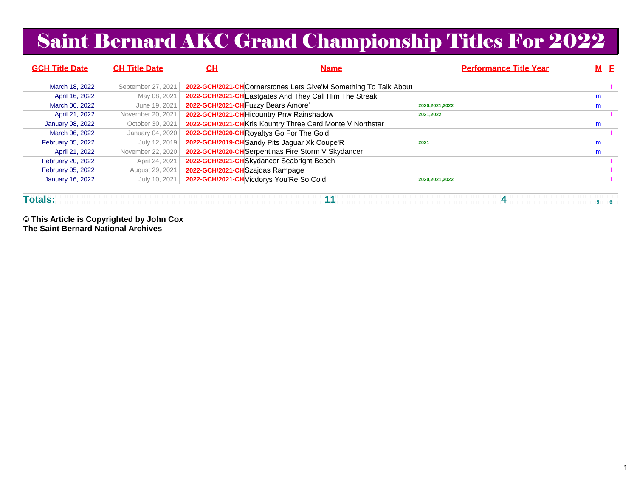# Saint Bernard AKC Grand Championship Titles For 2022

| <b>GCH Title Date</b>   | <b>CH Title Date</b> | <u>СН</u>                           | <b>Name</b>                                                      | <b>Performance Title Year</b> | <u>M F</u> |  |
|-------------------------|----------------------|-------------------------------------|------------------------------------------------------------------|-------------------------------|------------|--|
| March 18, 2022          | September 27, 2021   |                                     | 2022-GCH/2021-CHCornerstones Lets Give'M Something To Talk About |                               |            |  |
| April 16, 2022          | May 08, 2021         |                                     | 2022-GCH/2021-CH Eastgates And They Call Him The Streak          |                               | m          |  |
| March 06, 2022          | June 19, 2021        | 2022-GCH/2021-CH Fuzzy Bears Amore' |                                                                  | 2020, 2021, 2022              | m          |  |
| April 21, 2022          | November 20, 2021    |                                     | 2022-GCH/2021-CH Hicountry Pnw Rainshadow                        | 2021,2022                     |            |  |
| <b>January 08, 2022</b> | October 30, 2021     |                                     | 2022-GCH/2021-CH Kris Kountry Three Card Monte V Northstar       |                               | m          |  |
| March 06, 2022          | January 04, 2020     |                                     | 2022-GCH/2020-CHRoyaltys Go For The Gold                         |                               |            |  |
| February 05, 2022       | July 12, 2019        |                                     | 2022-GCH/2019-CH Sandy Pits Jaguar Xk Coupe'R                    | 2021                          | m          |  |
| April 21, 2022          | November 22, 2020    |                                     | 2022-GCH/2020-CH Serpentinas Fire Storm V Skydancer              |                               | m          |  |
| February 20, 2022       | April 24, 2021       |                                     | 2022-GCH/2021-CHSkydancer Seabright Beach                        |                               |            |  |
| February 05, 2022       | August 29, 2021      | 2022-GCH/2021-CH Szajdas Rampage    |                                                                  |                               |            |  |
| <b>January 16, 2022</b> | July 10, 2021        |                                     | 2022-GCH/2021-CH Vicdorys You'Re So Cold                         | 2020, 2021, 2022              |            |  |
|                         |                      |                                     |                                                                  |                               |            |  |

**Totals:**

**11 4 5 6**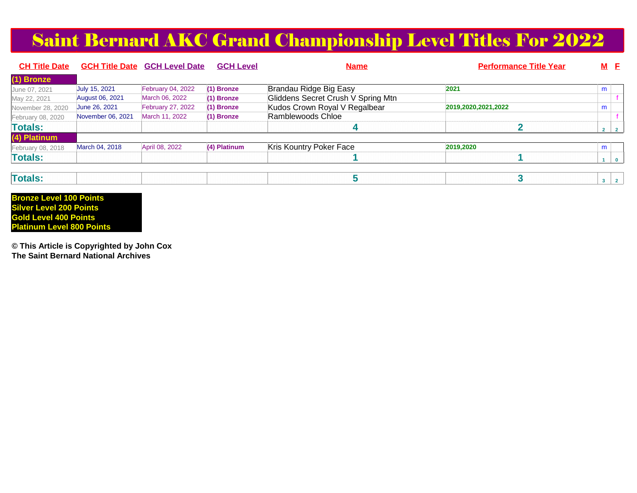#### Saint Bernard AKC Grand Championship Level Titles For 2022

| <b>CH Title Date</b> |                        | <b>GCH Title Date GCH Level Date</b> | <b>GCH Level</b> | <b>Name</b>                        | <b>Performance Title Year</b> |                         | <u>M F</u> |
|----------------------|------------------------|--------------------------------------|------------------|------------------------------------|-------------------------------|-------------------------|------------|
| (1) Bronze           |                        |                                      |                  |                                    |                               |                         |            |
| June 07, 2021        | July 15, 2021          | <b>February 04, 2022</b>             | (1) Bronze       | Brandau Ridge Big Easy             | 2021                          | m                       |            |
| May 22, 2021         | <b>August 06, 2021</b> | March 06, 2022                       | (1) Bronze       | Gliddens Secret Crush V Spring Mtn |                               |                         |            |
| November 28, 2020    | June 26, 2021          | <b>February 27, 2022</b>             | (1) Bronze       | Kudos Crown Royal V Regalbear      | 2019,2020,2021,2022           | m                       |            |
| February 08, 2020    | November 06, 2021      | March 11, 2022                       | (1) Bronze       | Ramblewoods Chloe                  |                               |                         |            |
| <b>Totals:</b>       |                        |                                      |                  |                                    |                               | $\overline{2}$          |            |
| (4) Platinum         |                        |                                      |                  |                                    |                               |                         |            |
| February 08, 2018    | March 04, 2018         | April 08, 2022                       | (4) Platinum     | Kris Kountry Poker Face            | 2019,2020                     | m                       |            |
| <b>Totals:</b>       |                        |                                      |                  |                                    |                               |                         |            |
|                      |                        |                                      |                  |                                    |                               |                         |            |
| <b>Totals:</b>       |                        |                                      |                  |                                    |                               | $\overline{\mathbf{3}}$ |            |

**Bronze Level 100 Points Silver Level 200 Points Gold Level 400 PointsPlatinum Level 800 Points**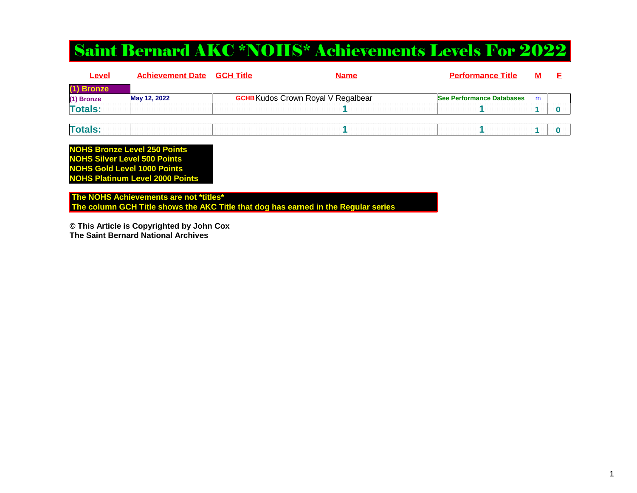#### Saint Bernard AKC \*NOHS\* Achievements Levels For 2022

| <b>Level</b>   | <b>Achievement Date</b> | <b>GCH Title</b> | <b>Name</b>                               | <b>Performance Title</b>  | <u>M</u> |  |
|----------------|-------------------------|------------------|-------------------------------------------|---------------------------|----------|--|
| (1) Bronze     |                         |                  |                                           |                           |          |  |
| (1) Bronze     | May 12, 2022            |                  | <b>GCHB</b> Kudos Crown Royal V Regalbear | See Performance Databases | m        |  |
| <b>Totals:</b> |                         |                  |                                           |                           |          |  |
|                |                         |                  |                                           |                           |          |  |
| <b>Totals:</b> |                         |                  |                                           |                           |          |  |

**NOHS Bronze Level 250 Points NOHS Silver Level 500 Points NOHS Gold Level 1000 PointsNOHS Platinum Level 2000 Points**

 **The NOHS Achievements are not \*titles\* The column GCH Title shows the AKC Title that dog has earned in the Regular series**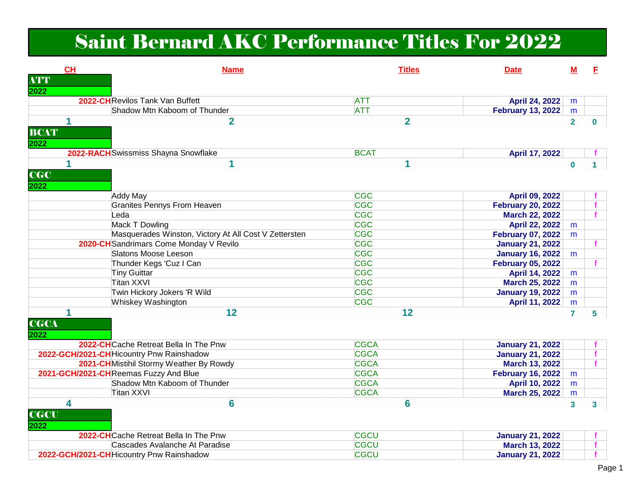### Saint Bernard AKC Performance Titles For 2022

| CH                      | <b>Name</b>                                           | <b>Titles</b>  | <b>Date</b>              | М              | E            |
|-------------------------|-------------------------------------------------------|----------------|--------------------------|----------------|--------------|
| <b>ATT</b>              |                                                       |                |                          |                |              |
| 2022                    |                                                       |                |                          |                |              |
|                         | 2022-CHRevilos Tank Van Buffett                       | <b>ATT</b>     | <b>April 24, 2022</b>    | m              |              |
|                         | Shadow Mtn Kaboom of Thunder                          | <b>ATT</b>     | <b>February 13, 2022</b> | m              |              |
|                         | $\overline{2}$                                        | $\overline{2}$ |                          | $\overline{2}$ | $\mathbf{0}$ |
| <b>BCAT</b>             |                                                       |                |                          |                |              |
| 2022                    |                                                       |                |                          |                |              |
|                         | 2022-RACH Swissmiss Shayna Snowflake                  | <b>BCAT</b>    | April 17, 2022           |                |              |
|                         | 1                                                     | 1              |                          | $\mathbf 0$    |              |
| <b>CGC</b>              |                                                       |                |                          |                |              |
| 2022                    |                                                       |                |                          |                |              |
|                         | <b>Addy May</b>                                       | <b>CGC</b>     | April 09, 2022           |                |              |
|                         | <b>Granites Pennys From Heaven</b>                    | <b>CGC</b>     | <b>February 20, 2022</b> |                |              |
|                         | Leda                                                  | <b>CGC</b>     | <b>March 22, 2022</b>    |                |              |
|                         | Mack T Dowling                                        | CGC            | April 22, 2022           | m              |              |
|                         | Masquerades Winston, Victory At All Cost V Zettersten | <b>CGC</b>     | <b>February 07, 2022</b> | m              |              |
|                         | 2020-CH Sandrimars Come Monday V Revilo               | <b>CGC</b>     | <b>January 21, 2022</b>  |                |              |
|                         | Slatons Moose Leeson                                  | <b>CGC</b>     | <b>January 16, 2022</b>  | m              |              |
|                         | Thunder Kegs 'Cuz I Can                               | CGC            | <b>February 05, 2022</b> |                |              |
|                         | <b>Tiny Guittar</b>                                   | <b>CGC</b>     | <b>April 14, 2022</b>    | m              |              |
|                         | <b>Titan XXVI</b>                                     | <b>CGC</b>     | <b>March 25, 2022</b>    | m              |              |
|                         | Twin Hickory Jokers 'R Wild                           | <b>CGC</b>     | <b>January 19, 2022</b>  | m              |              |
|                         | Whiskey Washington                                    | <b>CGC</b>     | April 11, 2022           | m              |              |
| $\overline{\mathbf{1}}$ | 12                                                    | 12             |                          | $\overline{7}$ | 5            |
| <b>CGCA</b>             |                                                       |                |                          |                |              |
| 2022                    |                                                       |                |                          |                |              |
|                         | 2022-CHCache Retreat Bella In The Pnw                 | <b>CGCA</b>    | <b>January 21, 2022</b>  |                |              |
|                         | 2022-GCH/2021-CH Hicountry Pnw Rainshadow             | <b>CGCA</b>    | <b>January 21, 2022</b>  |                | f            |
|                         | 2021-CH Mistihil Stormy Weather By Rowdy              | <b>CGCA</b>    | <b>March 13, 2022</b>    |                |              |
|                         | 2021-GCH/2021-CHReemas Fuzzy And Blue                 | <b>CGCA</b>    | <b>February 16, 2022</b> | m              |              |
|                         | Shadow Mtn Kaboom of Thunder                          | <b>CGCA</b>    | April 10, 2022           | m              |              |
|                         | <b>Titan XXVI</b>                                     | <b>CGCA</b>    | <b>March 25, 2022</b>    | m              |              |
| 4                       | 6                                                     | 6              |                          | 3              | 3            |
| <b>CGCU</b>             |                                                       |                |                          |                |              |
| 2022                    |                                                       |                |                          |                |              |
|                         | 2022-CHCache Retreat Bella In The Pnw                 | <b>CGCU</b>    | <b>January 21, 2022</b>  |                |              |
|                         | Cascades Avalanche At Paradise                        | <b>CGCU</b>    | March 13, 2022           |                | $\mathbf{f}$ |
|                         | 2022-GCH/2021-CH Hicountry Pnw Rainshadow             | <b>CGCU</b>    | <b>January 21, 2022</b>  |                |              |
|                         |                                                       |                |                          |                |              |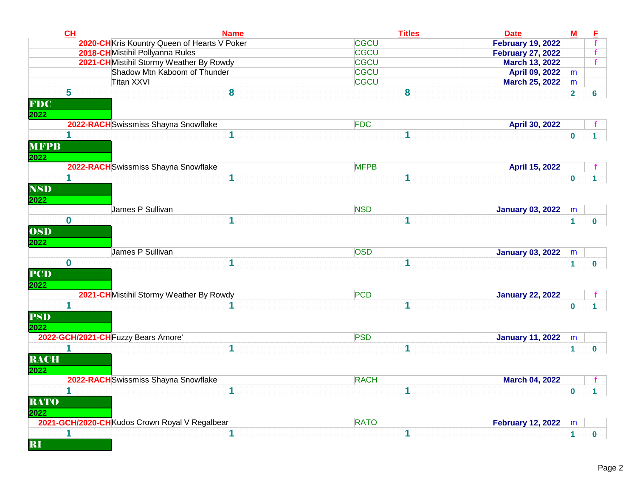| CL                                           | <b>Name</b>                                    | <b>Titles</b><br><b>Date</b>               | ${\bf M}$      | E               |
|----------------------------------------------|------------------------------------------------|--------------------------------------------|----------------|-----------------|
|                                              | 2020-CH Kris Kountry Queen of Hearts V Poker   | <b>CGCU</b><br><b>February 19, 2022</b>    |                |                 |
|                                              | 2018-CH Mistihil Pollyanna Rules               | <b>CGCU</b><br><b>February 27, 2022</b>    |                |                 |
|                                              | 2021-CH Mistihil Stormy Weather By Rowdy       | <b>CGCU</b><br>March 13, 2022              |                |                 |
|                                              | Shadow Mtn Kaboom of Thunder                   | <b>CGCU</b><br>April 09, 2022              | m              |                 |
|                                              | Titan XXVI                                     | <b>CGCU</b><br><b>March 25, 2022</b>       | m              |                 |
| 5<br><b>FDC</b><br>2022                      | 8                                              | 8                                          | $\overline{2}$ | $6\phantom{1}6$ |
|                                              | 2022-RACH Swissmiss Shayna Snowflake           | <b>FDC</b><br>April 30, 2022               |                |                 |
| <b>MFPB</b><br>2022                          | 1                                              |                                            | $\bf{0}$       | 1               |
|                                              | 2022-RACH Swissmiss Shayna Snowflake           | <b>MFPB</b><br>April 15, 2022              |                |                 |
|                                              | 1                                              |                                            | $\bf{0}$       |                 |
| <b>NSD</b><br>2022                           |                                                |                                            |                |                 |
|                                              | James P Sullivan                               | <b>NSD</b><br><b>January 03, 2022</b>      | m              |                 |
| $\bf{0}$                                     | 1                                              | 1                                          | $\mathbf{1}$   | $\bf{0}$        |
| <b>OSD</b><br>2022<br>$\bf{0}$<br><b>PCD</b> | James P Sullivan<br>1                          | <b>OSD</b><br><b>January 03, 2022</b><br>1 | m<br>1         | $\mathbf{0}$    |
| 2022                                         | 2021-CHMistihil Stormy Weather By Rowdy        | <b>PCD</b><br><b>January 22, 2022</b>      |                |                 |
| 1<br><b>PSD</b><br>2022                      |                                                | 1                                          | $\bf{0}$       |                 |
|                                              | 2022-GCH/2021-CH Fuzzy Bears Amore'            | <b>PSD</b><br><b>January 11, 2022</b>      | m              |                 |
| 1<br><b>RACH</b><br>2022                     | 1                                              | 1                                          | $\mathbf{1}$   | $\mathbf 0$     |
|                                              | 2022-RACH Swissmiss Shayna Snowflake           | <b>RACH</b><br><b>March 04, 2022</b>       |                |                 |
| <b>RATO</b><br>2022                          |                                                |                                            | $\bf{0}$       | $\mathbf{1}$    |
|                                              | 2021-GCH/2020-CH Kudos Crown Royal V Regalbear | <b>RATO</b><br><b>February 12, 2022</b>    | m              |                 |
| 1<br>RI                                      |                                                |                                            | $\mathbf 1$    | $\mathbf{0}$    |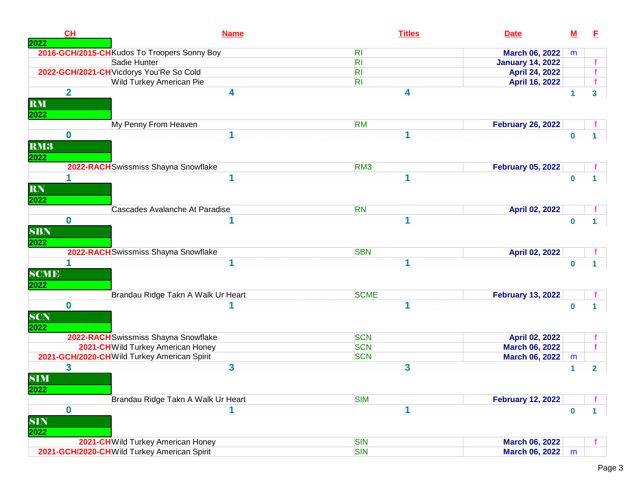| 2022                | CH               | <b>Name</b>                                      | <b>Titles</b>   | <b>Date</b>              | <u>M</u>     | E              |
|---------------------|------------------|--------------------------------------------------|-----------------|--------------------------|--------------|----------------|
|                     |                  | 2016-GCH/2015-CHKudos To Troopers Sonny Boy      | R <sub>l</sub>  | <b>March 06, 2022</b>    | m            |                |
|                     |                  | Sadie Hunter                                     | R <sub>l</sub>  | <b>January 14, 2022</b>  |              |                |
|                     |                  | 2022-GCH/2021-CH Vicdorys You'Re So Cold         | R <sub>l</sub>  | April 24, 2022           |              |                |
|                     |                  | Wild Turkey American Pie                         | R <sub>l</sub>  | April 16, 2022           |              |                |
| RM<br>2022          | $\overline{2}$   | 4                                                | 4               |                          | 1            | 3              |
|                     |                  | My Penny From Heaven                             | <b>RM</b>       | <b>February 26, 2022</b> |              |                |
| RM3<br>2022         | $\bf{0}$         | 1                                                |                 |                          | $\mathbf 0$  |                |
|                     |                  | 2022-RACH Swissmiss Shayna Snowflake             | RM <sub>3</sub> | <b>February 05, 2022</b> |              |                |
| RN<br>2022          |                  | 1                                                |                 |                          | $\mathbf 0$  |                |
|                     |                  | Cascades Avalanche At Paradise                   | <b>RN</b>       | April 02, 2022           |              |                |
| <b>SBN</b><br>2022  | $\bf{0}$         |                                                  |                 |                          | $\bf{0}$     |                |
|                     |                  | 2022-RACH Swissmiss Shayna Snowflake             | <b>SBN</b>      | April 02, 2022           |              |                |
| <b>SCME</b><br>2022 |                  | 1                                                |                 |                          | $\mathbf{0}$ |                |
|                     |                  | Brandau Ridge Takn A Walk Ur Heart               | <b>SCME</b>     | <b>February 13, 2022</b> |              |                |
| SCN<br>2022         | $\bf{0}$         | 1                                                |                 |                          | $\mathbf 0$  |                |
|                     |                  | 2022-RACH Swissmiss Shayna Snowflake             | <b>SCN</b>      | April 02, 2022           |              |                |
|                     |                  | 2021-CH Wild Turkey American Honey               | <b>SCN</b>      | <b>March 06, 2022</b>    |              |                |
| <b>SIM</b><br>2022  | 3                | 2021-GCH/2020-CHWild Turkey American Spirit<br>3 | <b>SCN</b><br>3 | <b>March 06, 2022</b>    | m<br>1       | $\overline{2}$ |
|                     |                  | Brandau Ridge Takn A Walk Ur Heart               | <b>SIM</b>      | <b>February 12, 2022</b> |              |                |
| <b>SIN</b><br>2022  | $\boldsymbol{0}$ | 1                                                | 1               |                          | $\mathbf 0$  | 1 <sup>1</sup> |
|                     |                  | 2021-CH Wild Turkey American Honey               | <b>SIN</b>      | <b>March 06, 2022</b>    |              |                |
|                     |                  | 2021-GCH/2020-CH Wild Turkey American Spirit     | <b>SIN</b>      | <b>March 06, 2022</b>    | m            |                |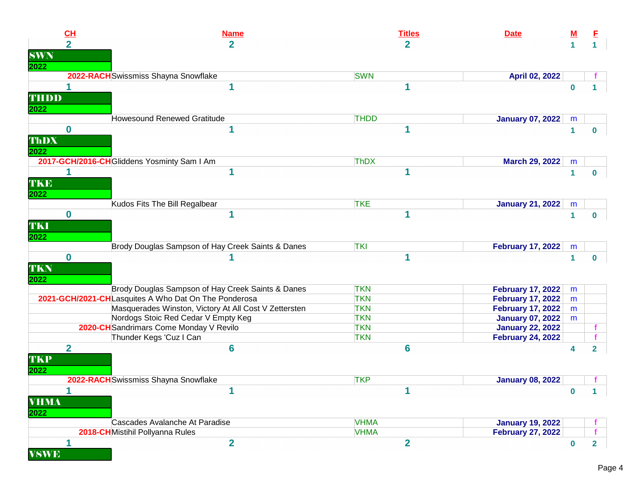| C <sub>H</sub>               | <b>Name</b>                                           | <b>Titles</b>  | <b>Date</b>              | $\underline{\mathbf{M}}$ |  |
|------------------------------|-------------------------------------------------------|----------------|--------------------------|--------------------------|--|
| $\overline{2}$               | $\overline{2}$                                        | $\overline{2}$ |                          |                          |  |
| <b>SWN</b>                   |                                                       |                |                          |                          |  |
|                              |                                                       |                |                          |                          |  |
|                              | 2022-RACH Swissmiss Shayna Snowflake                  | <b>SWN</b>     | April 02, 2022           |                          |  |
| <b>THDD</b>                  | 1                                                     |                |                          | $\mathbf 0$              |  |
|                              |                                                       |                |                          |                          |  |
|                              | <b>Howesound Renewed Gratitude</b>                    | <b>THDD</b>    | <b>January 07, 2022</b>  | m                        |  |
| $\bf{0}$<br>ThDX             | 1                                                     |                |                          | $\mathbf{1}$             |  |
|                              | 2017-GCH/2016-CH Gliddens Yosminty Sam I Am           | <b>ThDX</b>    | <b>March 29, 2022</b>    | m                        |  |
| 1                            | 1                                                     | 1              |                          | $\mathbf{1}$             |  |
| <b>TKE</b>                   |                                                       |                |                          |                          |  |
|                              | Kudos Fits The Bill Regalbear                         | <b>TKE</b>     | <b>January 21, 2022</b>  | m                        |  |
| $\bf{0}$                     | 1                                                     |                |                          | $\mathbf{1}$             |  |
|                              |                                                       |                |                          |                          |  |
|                              | Brody Douglas Sampson of Hay Creek Saints & Danes     | <b>TKI</b>     | <b>February 17, 2022</b> | m                        |  |
| $\bf{0}$<br>TKN              |                                                       |                |                          | $\mathbf{1}$             |  |
|                              | Brody Douglas Sampson of Hay Creek Saints & Danes     | <b>TKN</b>     | <b>February 17, 2022</b> | m                        |  |
|                              | 2021-GCH/2021-CHLasquites A Who Dat On The Ponderosa  | <b>TKN</b>     | <b>February 17, 2022</b> | m                        |  |
|                              | Masquerades Winston, Victory At All Cost V Zettersten | <b>TKN</b>     | <b>February 17, 2022</b> | m                        |  |
|                              | Nordogs Stoic Red Cedar V Empty Keg                   | <b>TKN</b>     | <b>January 07, 2022</b>  | m                        |  |
|                              | 2020-CH Sandrimars Come Monday V Revilo               | <b>TKN</b>     | <b>January 22, 2022</b>  |                          |  |
|                              | Thunder Kegs 'Cuz I Can                               | <b>TKN</b>     | <b>February 24, 2022</b> |                          |  |
| $\overline{2}$<br><b>TKP</b> | 6                                                     | 6              |                          | 4                        |  |
|                              | 2022-RACH Swissmiss Shayna Snowflake                  | <b>TKP</b>     | <b>January 08, 2022</b>  |                          |  |
|                              |                                                       |                |                          | $\mathbf 0$              |  |
| <b>VHMA</b>                  |                                                       |                |                          |                          |  |
|                              | Cascades Avalanche At Paradise                        | <b>VHMA</b>    | <b>January 19, 2022</b>  |                          |  |
|                              | 2018-CH Mistihil Pollyanna Rules                      | <b>VHMA</b>    | <b>February 27, 2022</b> |                          |  |
| 1<br><b>VSWE</b>             | $\overline{\mathbf{2}}$                               | $\overline{2}$ |                          | $\mathbf{0}$             |  |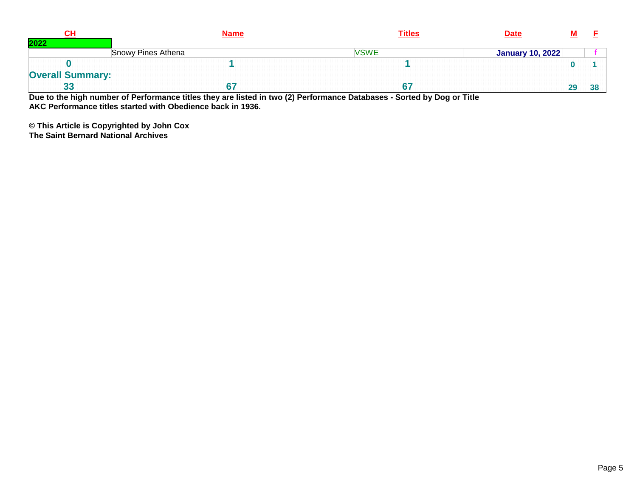|                         | <u>Name</u>               | <b>Titles</b> | <b>Date</b>      |    |  |
|-------------------------|---------------------------|---------------|------------------|----|--|
| 202                     |                           |               |                  |    |  |
|                         | <b>Snowy Pines Athena</b> | <b>VSWE</b>   | January 10, 2022 |    |  |
|                         |                           |               |                  |    |  |
| <b>Overall Summary:</b> |                           |               |                  |    |  |
|                         | $\sim$ $\sim$             | _______       |                  | 29 |  |

**Due to the high number of Performance titles they are listed in two (2) Performance Databases - Sorted by Dog or Title AKC Performance titles started with Obedience back in 1936.**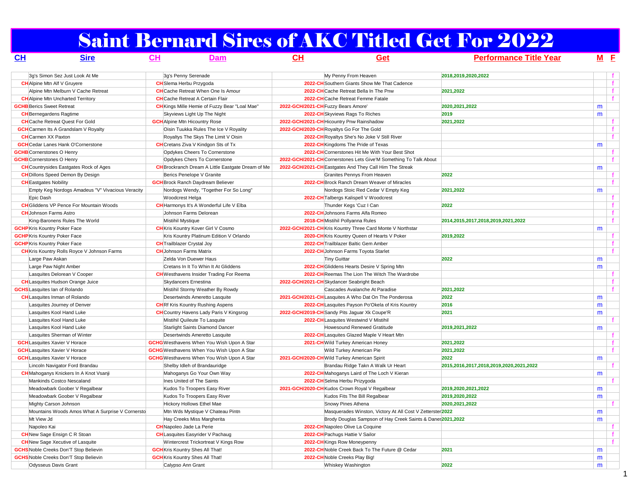# Saint Bernard Sires of AKC Titled Get For 2022

| <u>CH</u>                                                                    | <u>Sire</u>                                                                | <u>CH</u><br><u>Dam</u>                                                                              | CH | Get                                                                                | <b>Performance Title Year</b>           |        | $M$ E        |
|------------------------------------------------------------------------------|----------------------------------------------------------------------------|------------------------------------------------------------------------------------------------------|----|------------------------------------------------------------------------------------|-----------------------------------------|--------|--------------|
|                                                                              | 3g's Simon Sez Just Look At Me                                             | 3g's Penny Serenade                                                                                  |    | My Penny From Heaven                                                               | 2018,2019,2020,2022                     |        | $\mathbf{f}$ |
| <b>CH</b> Alpine Mtn Alf V Gruyere                                           |                                                                            | <b>CH</b> Slema Herbu Przygoda                                                                       |    | 2022-CH Southern Giants Show Me That Cadence                                       |                                         |        | $\mathbf{f}$ |
|                                                                              | Alpine Mtn Melburn V Cache Retreat                                         | <b>CH</b> Cache Retreat When One Is Amour                                                            |    | 2022-CHCache Retreat Bella In The Pnw                                              | 2021,2022                               |        | f            |
|                                                                              | <b>CH</b> Alpine Mtn Uncharted Territory                                   | <b>CH</b> Cache Retreat A Certain Flair                                                              |    | 2022-CHCache Retreat Femme Fatale                                                  |                                         |        | $\mathbf{f}$ |
| <b>GCHB</b> Berics Sweet Retreat                                             |                                                                            | <b>CH</b> Kings Mille Hemie of Fuzzy Bear "Loal Mae"                                                 |    | 2022-GCH/2021-CH Fuzzy Bears Amore'                                                | 2020, 2021, 2022                        | m      |              |
| <b>CH</b> Bernegardens Ragtime                                               |                                                                            | Skyviews Light Up The Night                                                                          |    | 2022-CH Skyviews Rags To Riches                                                    | 2019                                    | m      |              |
|                                                                              | <b>CH</b> Cache Retreat Quest For Gold                                     | <b>GCH</b> Alpine Mtn Hicountry Rose                                                                 |    | 2022-GCH/2021-CH Hicountry Pnw Rainshadow                                          | 2021,2022                               |        | f            |
|                                                                              | <b>GCH</b> Carmen Its A Grandslam V Royalty                                | Oisin Tuukka Rules The Ice V Royality                                                                |    | 2022-GCH/2020-CH Royaltys Go For The Gold                                          |                                         |        | f            |
| <b>CH</b> Carmen XX Paxton                                                   |                                                                            | Royaltys The Skys The Limit V Oisin                                                                  |    | 2022-CH Royaltys She's No Joke V Still River                                       |                                         |        | f            |
|                                                                              | <b>GCH</b> Cedar Lanes Hank O'Cornerstone                                  | <b>CH</b> Cretans Ziva V Kindgon Sts of Tx                                                           |    | 2022-CH Kingdoms The Pride of Texas                                                |                                         | m      |              |
| <b>GCHB</b> Cornerstones O Henry                                             |                                                                            | Opdykes Cheers To Cornerstone                                                                        |    | 2022-CHCornerstones Hit Me With Your Best Shot                                     |                                         |        | f            |
| <b>GCHB</b> Cornerstones O Henry                                             |                                                                            | Opdykes Chers To Cornerstone                                                                         |    | 2022-GCH/2021-CHCornerstones Lets Give'M Something To Talk About                   |                                         |        | f            |
|                                                                              | <b>CH</b> Countrysides Eastgates Rock of Ages                              | <b>CH</b> Brockranch Dream A Little Eastgate Dream of Me                                             |    | 2022-GCH/2021-CH Eastgates And They Call Him The Streak                            |                                         | m      |              |
|                                                                              | <b>CH</b> Dillons Speed Demon By Design                                    | Berics Penelope V Granite                                                                            |    | Granites Pennys From Heaven                                                        | 2022                                    |        | f            |
| <b>CH</b> Eastgates Nobility                                                 |                                                                            | <b>GCH</b> Brock Ranch Daydream Believer                                                             |    | 2022-CH Brock Ranch Dream Weaver of Miracles                                       |                                         |        | f            |
|                                                                              | Empty Keg Nordogs Amadeus "V" Vivacious Veracity                           | Nordogs Wendy, "Together For So Long"                                                                |    | Nordogs Stoic Red Cedar V Empty Keg                                                | 2021,2022                               | m      |              |
| Epic Dash                                                                    |                                                                            | Woodcrest Helga                                                                                      |    | 2022-CH Talbergs Kalispell V Woodcrest                                             |                                         |        |              |
|                                                                              | <b>CH</b> Gliddens VP Pence For Mountain Woods                             | <b>CH</b> Harmonys It's A Wonderful Life V Elba                                                      |    | Thunder Kegs 'Cuz I Can                                                            | 2022                                    |        | $\mathbf{f}$ |
| <b>CH</b> Johnson Farms Astro                                                |                                                                            | Johnson Farms Delorean                                                                               |    | 2022-CH Johnsons Farms Alfa Romeo                                                  |                                         |        | f            |
|                                                                              | King-Baronens Rules The World                                              | Mistihil Mystique                                                                                    |    | 2018-CH Mistihil Pollyanna Rules                                                   | 2014,2015,2017,2018,2019,2021,2022      |        | f            |
| <b>GCHP</b> Kris Kountry Poker Face                                          |                                                                            | <b>CH</b> Kris Kountry Kover Girl V Cosmo                                                            |    | 2022-GCH/2021-CHKris Kountry Three Card Monte V Northstar                          |                                         | m      |              |
| <b>GCHP</b> Kris Kountry Poker Face                                          |                                                                            | Kris Kountry Platinum Edition V Orlando                                                              |    | 2020-CH Kris Kountry Queen of Hearts V Poker                                       | 2019,2022                               |        | f            |
| <b>GCHP</b> Kris Kountry Poker Face                                          |                                                                            | <b>CH</b> Trailblazer Crystal Joy                                                                    |    | 2022-CH Trailblazer Baltic Gem Amber                                               |                                         |        | $\mathbf{f}$ |
|                                                                              | <b>CH</b> Kris Kountry Rolls Royce V Johnson Farms                         | <b>CH</b> Johnson Farms Matrix                                                                       |    | 2022-CH Johnson Farms Toyota Starlet                                               |                                         |        | f            |
| Large Paw Askan                                                              |                                                                            | Zelda Von Duewer Haus                                                                                |    | <b>Tiny Guittar</b>                                                                | 2022                                    | m      |              |
|                                                                              |                                                                            | Cretans In It To Whin It At Gliddens                                                                 |    | 2022-CH Gliddens Hearts Desire V Spring Mtn                                        |                                         |        |              |
|                                                                              | Large Paw Night Amber<br>Lasquites Delorean V Cooper                       | <b>CH</b> Westhavens Insider Trading For Reema                                                       |    | 2022-CH Reemas The Lion The Witch The Wardrobe                                     |                                         | m      | f            |
|                                                                              |                                                                            | Skydancers Ernestina                                                                                 |    | 2022-GCH/2021-CH Skydancer Seabright Beach                                         |                                         |        | f            |
| <b>GCHS</b> Lasquites Ian of Rolando                                         | <b>CH</b> Lasquites Hudson Orange Juice                                    | Mistihil Stormy Weather By Rowdy                                                                     |    | Cascades Avalanche At Paradise                                                     | 2021,2022                               |        |              |
|                                                                              | <b>CH</b> Lasquites Inman of Rolando                                       | Desertwinds Ameretto Lasquite                                                                        |    | 2021-GCH/2021-CHLasquites A Who Dat On The Ponderosa                               | 2022                                    |        |              |
|                                                                              | Lasquites Journey of Denver                                                | <b>CH</b> Rf Kris Kountry Rushing Aspens                                                             |    | 2022-CH Lasquites Payson Po'Okela of Kris Kountry                                  | 2016                                    | m      |              |
|                                                                              | Lasquites Kool Hand Luke                                                   | <b>CH</b> Country Havens Lady Paris V Kingsrog                                                       |    | 2022-GCH/2019-CH Sandy Pits Jaguar Xk Coupe'R                                      | 2021                                    | m<br>m |              |
|                                                                              | Lasquites Kool Hand Luke                                                   | Mistihil Quileute To Lasquite                                                                        |    | 2022-CHLasquites Westwind V Mistihil                                               |                                         |        |              |
|                                                                              | Lasquites Kool Hand Luke                                                   | Starlight Saints Diamond Dancer                                                                      |    | Howesound Renewed Gratitude                                                        | 2019,2021,2022                          |        |              |
|                                                                              |                                                                            |                                                                                                      |    |                                                                                    |                                         | m      | f            |
|                                                                              | Lasquites Sherman of Winter                                                | Desertwinds Ameretto Lasquite                                                                        |    | 2022-CH Lasquites Glazed Maple V Heart Mtn                                         | 2021,2022                               |        | $\mathbf{f}$ |
| <b>GCH</b> Lasquites Xavier V Horace<br><b>GCH</b> Lasquites Xavier V Horace |                                                                            | <b>GCHG</b> Westhavens When You Wish Upon A Star<br><b>GCHG</b> Westhavens When You Wish Upon A Star |    | 2021-CH Wild Turkey American Honey<br>Wild Turkey American Pie                     | 2021,2022                               |        |              |
| <b>GCH</b> Lasquites Xavier V Horace                                         |                                                                            | <b>GCHG</b> Westhavens When You Wish Upon A Star                                                     |    | 2021-GCH/2020-CH Wild Turkey American Spirit                                       | 2022                                    |        |              |
|                                                                              |                                                                            |                                                                                                      |    |                                                                                    |                                         | m      |              |
|                                                                              | Lincoln Navigator Ford Brandau                                             | Shelby Idleh of Brandauridge                                                                         |    | Brandau Ridge Takn A Walk Ur Heart<br>2022-CH Mahoganys Laird of The Loch V Kieran | 2015,2016,2017,2018,2019,2020,2021,2022 |        |              |
|                                                                              | <b>CH</b> Mahoganys Knickers In A Knot Vsanji<br>Mankinds Costco Nescaland | Mahoganys Go Your Own Way<br>Ines United of The Saints                                               |    | 2022-CH Selma Herbu Prizygoda                                                      |                                         | m      |              |
|                                                                              |                                                                            |                                                                                                      |    | 2021-GCH/2020-CH Kudos Crown Royal V Regalbear                                     | 2019,2020,2021,2022                     |        |              |
|                                                                              | Meadowbark Goober V Regalbear                                              | Kudos To Troopers Easy River                                                                         |    |                                                                                    |                                         | m      |              |
|                                                                              | Meadowbark Goober V Regalbear                                              | Kudos To Troopers Easy River                                                                         |    | Kudos Fits The Bill Regalbear                                                      | 2019,2020,2022                          | m      |              |
|                                                                              | Mighty Carson Johnson                                                      | Hickory Hollows Ethel Mae                                                                            |    | Snowy Pines Athena                                                                 | 2020, 2021, 2022                        |        |              |
|                                                                              | Mountains Woods Amos What A Surprise V Cornersto                           | Mtn Wds Mystique V Chateau Pintn                                                                     |    | Masquerades Winston, Victory At All Cost V Zetterster2022                          |                                         | m      |              |
| Mt View Jd                                                                   |                                                                            | Hay Creeks Miss Margherita                                                                           |    | Brody Douglas Sampson of Hay Creek Saints & Danes2021,2022                         |                                         | m      | f            |
| Napoleo Kai                                                                  |                                                                            | <b>CH</b> Napoleo Jade La Perie                                                                      |    | 2022-CH Napoleo Olive La Coquine                                                   |                                         |        | f            |
|                                                                              | <b>CH</b> New Sage Ensign C R Stoan                                        | <b>CH</b> Lasquites Easyrider V Pachaug                                                              |    | 2022-CH Pachugs Hattie V Sailor                                                    |                                         |        |              |
|                                                                              | <b>CH</b> New Sage Xecutive of Lasquite                                    | Wintercrest Trickortreat V Kings Row                                                                 |    | 2022-CH Kings Row Moneypenny                                                       |                                         |        |              |
|                                                                              | <b>GCHS</b> Noble Creeks Don'T Stop Believin                               | <b>GCH</b> Kris Kountry Shes All That!                                                               |    | 2022-CH Noble Creek Back To The Future @ Cedar                                     | 2021                                    | m      |              |
|                                                                              | <b>GCHS</b> Noble Creeks Don'T Stop Believin                               | <b>GCH</b> Kris Kountry Shes All That!                                                               |    | 2022-CH Noble Creeks Play Big!                                                     |                                         | m      |              |
| Odysseus Davis Grant                                                         |                                                                            | Calypso Ann Grant                                                                                    |    | Whiskey Washington                                                                 | 2022                                    | m      |              |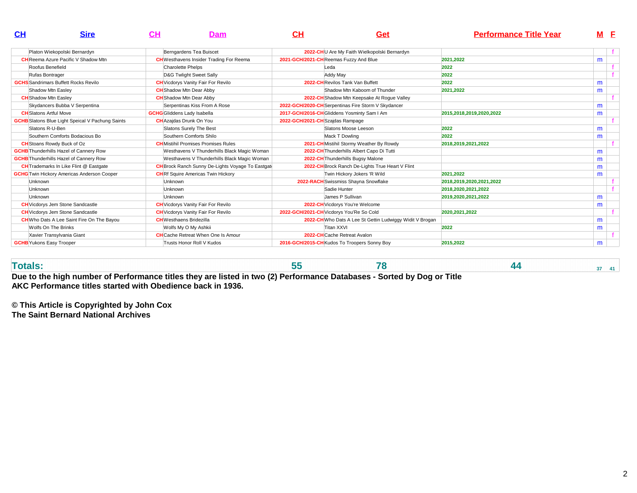| <b>CH</b><br><b>Sire</b>                                | CН | Dam                                                      | <b>CH</b>                                    | Get                                                     | <b>Performance Title Year</b> | M E |  |
|---------------------------------------------------------|----|----------------------------------------------------------|----------------------------------------------|---------------------------------------------------------|-------------------------------|-----|--|
| Platon Wiekopolski Bernardyn                            |    | Berngardens Tea Buiscet                                  |                                              | 2022-CHU Are My Faith Wielkopolski Bernardyn            |                               |     |  |
| <b>CH</b> Reema Azure Pacific V Shadow Mtn              |    | <b>CH</b> Westhavens Insider Trading For Reema           | 2021-GCH/2021-CH Reemas Fuzzy And Blue       |                                                         | 2021.2022                     | m   |  |
| Roofus Benefield                                        |    | Charolette Phelps                                        | Leda                                         |                                                         | 2022                          |     |  |
| Rufas Bontrager                                         |    | D&G Twlight Sweet Sally                                  | Addy May                                     |                                                         | 2022                          |     |  |
| <b>GCHS</b> Sandrimars Buffett Rocks Revilo             |    | <b>CH</b> Vicdorys Vanity Fair For Revilo                | 2022-CH Revilos Tank Van Buffett             |                                                         | 2022                          | m   |  |
| Shadow Mtn Easley                                       |    | <b>CH</b> Shadow Mtn Dear Abby                           |                                              | Shadow Mtn Kaboom of Thunder                            | 2021,2022                     | m   |  |
| <b>CH</b> Shadow Mtn Easley                             |    | <b>CH</b> Shadow Mtn Dear Abby                           |                                              | 2022-CH Shadow Mtn Keepsake At Roque Valley             |                               |     |  |
| Skydancers Bubba V Serpentina                           |    | Serpentinas Kiss From A Rose                             |                                              | 2022-GCH/2020-CH Serpentinas Fire Storm V Skydancer     |                               | m   |  |
| <b>CH</b> Slatons Artful Move                           |    | <b>GCHG</b> Gliddens Lady Isabella                       | 2017-GCH/2016-CH Gliddens Yosminty Sam I Am  |                                                         | 2015,2018,2019,2020,2022      | m   |  |
| <b>GCHB</b> Slatons Blue Light Speical V Pachung Saints |    | <b>CH</b> Azajdas Drunk On You                           | 2022-GCH/2021-CH Szajdas Rampage             |                                                         |                               |     |  |
| Slatons R-U-Ben                                         |    | Slatons Surely The Best                                  |                                              | Slatons Moose Leeson                                    | 2022                          | m   |  |
| Southern Comforts Bodacious Bo                          |    | Southern Comforts Shilo                                  | Mack T Dowling                               |                                                         | 2022                          | m   |  |
| <b>CH</b> Stoans Rowdy Buck of Oz                       |    | <b>CH</b> Mistihil Promises Promises Rules               |                                              | 2021-CHMistihil Stormy Weather By Rowdy                 | 2018,2019,2021,2022           |     |  |
| <b>GCHB</b> Thunderhills Hazel of Cannery Row           |    | Westhavens V Thunderhills Black Magic Woman              |                                              | 2022-CH Thunderhills Albert Capo Di Tutti               |                               | m   |  |
| <b>GCHB</b> Thunderhills Hazel of Cannery Row           |    | Westhavens V Thunderhills Black Magic Woman              |                                              | 2022-CH Thunderhills Bugsy Malone                       |                               | m   |  |
| <b>CH</b> Trademarks In Like Flint @ Eastgate           |    | <b>CH</b> Brock Ranch Sunny De-Lights Voyage To Eastgate |                                              | 2022-CH Brock Ranch De-Lights True Heart V Flint        |                               | m   |  |
| <b>GCHG</b> Twin Hickory Americas Anderson Cooper       |    | <b>CH</b> Rf Squire Americas Twin Hickory                |                                              | Twin Hickory Jokers 'R Wild                             | 2021,2022                     | m   |  |
| Unknown                                                 |    | Unknown                                                  |                                              | 2022-RACH Swissmiss Shayna Snowflake                    | 2018,2019,2020,2021,2022      |     |  |
| Unknown                                                 |    | Unknown                                                  | Sadie Hunter                                 |                                                         | 2018,2020,2021,2022           |     |  |
| Unknown                                                 |    | Unknown                                                  |                                              | James P Sullivan                                        | 2019,2020,2021,2022           | m   |  |
| <b>CH</b> Vicdorys Jem Stone Sandcastle                 |    | <b>CH</b> Vicdorys Vanity Fair For Revilo                |                                              | 2022-CH Vicdorys You're Welcome                         |                               | m   |  |
| <b>CH</b> Vicdorys Jem Stone Sandcastle                 |    | <b>CH</b> Vicdorys Vanity Fair For Revilo                | 2022-GCH/2021-CH Vicdorys You'Re So Cold     |                                                         | 2020.2021.2022                |     |  |
| <b>CH</b> Who Dats A Lee Saint Fire On The Bayou        |    | <b>CH</b> Westhaens Bridezilla                           |                                              | 2022-CHWho Dats A Lee St Gettin Ludwiggy Widit V Brogan |                               | m   |  |
| Wolfs On The Brinks                                     |    | Wolfs My O My Ashkii                                     | <b>Titan XXVI</b>                            |                                                         | 2022                          | m   |  |
| Xavier Transylvania Giant                               |    | <b>CH</b> Cache Retreat When One Is Amour                | 2022-CHCache Retreat Avalon                  |                                                         |                               |     |  |
| <b>GCHB</b> Yukons Easy Trooper                         |    | Trusts Honor Roll V Kudos                                | 2016-GCH/2015-CH Kudos To Troopers Sonny Boy |                                                         | 2015,2022                     | m   |  |

| <b>Totals</b> |
|---------------|
|               |

**Due to the high number of Performance titles they are listed in two (2) Performance Databases - Sorted by Dog or TitleAKC Performance titles started with Obedience back in 1936.**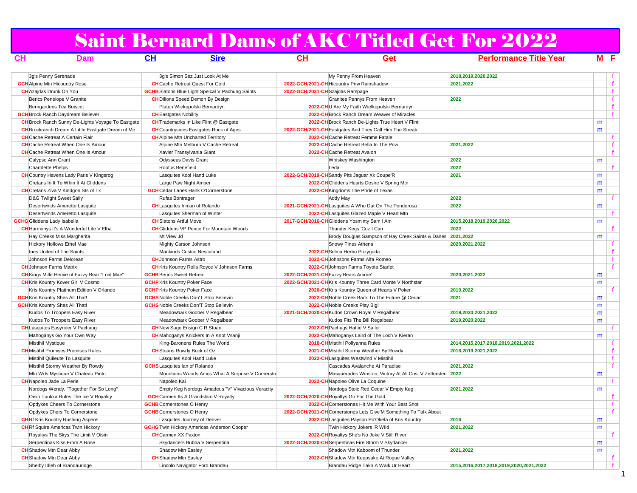## Saint Bernard Dams of AKC Titled Get For 2022

| <u>CH</u><br>Dam                                         | $\mathbf{C}$ H                       | <b>Sire</b>                                             | <u>CH</u>                        | Get                                                               | <b>Performance Title Year</b>           | M E |              |
|----------------------------------------------------------|--------------------------------------|---------------------------------------------------------|----------------------------------|-------------------------------------------------------------------|-----------------------------------------|-----|--------------|
| 3g's Penny Serenade                                      |                                      | 3q's Simon Sez Just Look At Me                          |                                  | My Penny From Heaven                                              | 2018.2019.2020.2022                     |     | f            |
| <b>GCH</b> Alpine Mtn Hicountry Rose                     |                                      | <b>CH</b> Cache Retreat Quest For Gold                  |                                  | 2022-GCH/2021-CH Hicountry Pnw Rainshadow                         | 2021,2022                               |     | $\mathbf{f}$ |
| <b>CH</b> Azajdas Drunk On You                           |                                      | <b>GCHB</b> Slatons Blue Light Speical V Pachung Saints | 2022-GCH/2021-CH Szajdas Rampage |                                                                   |                                         |     | $\mathbf{f}$ |
| Berics Penelope V Granite                                |                                      | <b>CH</b> Dillons Speed Demon By Design                 |                                  | Granites Pennys From Heaven                                       | 2022                                    |     | $\mathbf{f}$ |
| Berngardens Tea Buiscet                                  |                                      | Platon Wiekopolski Bernardyn                            |                                  | 2022-CHU Are My Faith Wielkopolski Bernardyn                      |                                         |     | f            |
| <b>GCH</b> Brock Ranch Daydream Believer                 | <b>CH</b> Eastgates Nobility         |                                                         |                                  | 2022-CH Brock Ranch Dream Weaver of Miracles                      |                                         |     | f            |
| <b>CH</b> Brock Ranch Sunny De-Lights Voyage To Eastgate |                                      | <b>CH</b> Trademarks In Like Flint @ Eastgate           |                                  | 2022-CH Brock Ranch De-Lights True Heart V Flint                  |                                         | m   |              |
| <b>CH</b> Brockranch Dream A Little Eastgate Dream of Me |                                      | <b>CH</b> Countrysides Eastgates Rock of Ages           |                                  | 2022-GCH/2021-CH Eastgates And They Call Him The Streak           |                                         | m   |              |
| <b>CH</b> Cache Retreat A Certain Flair                  |                                      | <b>CH</b> Alpine Mtn Uncharted Territory                |                                  | 2022-CH Cache Retreat Femme Fatale                                |                                         |     | f            |
| <b>CH</b> Cache Retreat When One Is Amour                |                                      | Alpine Mtn Melburn V Cache Retreat                      |                                  | 2022-CH Cache Retreat Bella In The Pnw                            | 2021,2022                               |     | $\mathbf{f}$ |
| <b>CH</b> Cache Retreat When One Is Amour                |                                      | Xavier Transylvania Giant                               |                                  | 2022-CHCache Retreat Avalon                                       |                                         |     | f            |
| Calypso Ann Grant                                        |                                      | Odysseus Davis Grant                                    |                                  | Whiskey Washington                                                | 2022                                    | m   |              |
| Charolette Phelps                                        | Roofus Benefield                     |                                                         |                                  | Leda                                                              | 2022                                    |     | f.           |
| <b>CH</b> Country Havens Lady Paris V Kingsrog           |                                      | Lasquites Kool Hand Luke                                |                                  | 2022-GCH/2019-CH Sandy Pits Jaguar Xk Coupe'R                     | 2021                                    | m   |              |
| Cretans In It To Whin It At Gliddens                     |                                      | Large Paw Night Amber                                   |                                  | 2022-CH Gliddens Hearts Desire V Spring Mtn                       |                                         | m   |              |
| <b>CH</b> Cretans Ziva V Kindgon Sts of Tx               |                                      | <b>GCH</b> Cedar Lanes Hank O'Cornerstone               |                                  | 2022-CH Kingdoms The Pride of Texas                               |                                         | m   |              |
| D&G Twlight Sweet Sally                                  | Rufas Bontrager                      |                                                         |                                  | Addy May                                                          | 2022                                    |     | $\mathbf{f}$ |
| Desertwinds Ameretto Lasquite                            |                                      | <b>CH</b> Lasquites Inman of Rolando                    |                                  | 2021-GCH/2021-CHLasquites A Who Dat On The Ponderosa              | 2022                                    | m   |              |
| Desertwinds Ameretto Lasquite                            |                                      | Lasquites Sherman of Winter                             |                                  | 2022-CH Lasquites Glazed Maple V Heart Mtn                        |                                         |     | f.           |
| <b>GCHG</b> Gliddens Lady Isabella                       | <b>CH</b> Slatons Artful Move        |                                                         |                                  | 2017-GCH/2016-CH Gliddens Yosminty Sam I Am                       | 2015,2018,2019,2020,2022                | m   |              |
| <b>CH</b> Harmonys It's A Wonderful Life V Elba          |                                      | <b>CH</b> Gliddens VP Pence For Mountain Woods          |                                  | Thunder Kegs 'Cuz I Can                                           | 2022                                    |     | $\mathbf{f}$ |
| Hay Creeks Miss Margherita                               | Mt View Jd                           |                                                         |                                  | Brody Douglas Sampson of Hay Creek Saints & Danes 2021,2022       |                                         | m   |              |
| Hickory Hollows Ethel Mae                                |                                      | Mighty Carson Johnson                                   |                                  | Snowy Pines Athena                                                | 2020, 2021, 2022                        |     | f            |
| Ines United of The Saints                                |                                      | Mankinds Costco Nescaland                               |                                  | 2022-CH Selma Herbu Prizygoda                                     |                                         |     | f            |
| Johnson Farms Delorean                                   | <b>CH</b> Johnson Farms Astro        |                                                         |                                  | 2022-CH Johnsons Farms Alfa Romeo                                 |                                         |     | $\mathbf{f}$ |
| <b>CH</b> Johnson Farms Matrix                           |                                      | <b>CH</b> Kris Kountry Rolls Royce V Johnson Farms      |                                  | 2022-CH Johnson Farms Toyota Starlet                              |                                         |     | $\mathbf{f}$ |
| CH Kings Mille Hemie of Fuzzy Bear "Loal Mae"            | <b>GCHB</b> Berics Sweet Retreat     |                                                         |                                  | 2022-GCH/2021-CH Fuzzy Bears Amore'                               | 2020, 2021, 2022                        | m   |              |
| <b>CH</b> Kris Kountry Kover Girl V Cosmo                | <b>GCHP</b> Kris Kountry Poker Face  |                                                         |                                  | 2022-GCH/2021-CH Kris Kountry Three Card Monte V Northstar        |                                         | m   |              |
| Kris Kountry Platinum Edition V Orlando                  | <b>GCHP</b> Kris Kountry Poker Face  |                                                         |                                  | 2020-CH Kris Kountry Queen of Hearts V Poker                      | 2019,2022                               |     |              |
| <b>GCH</b> Kris Kountry Shes All That!                   |                                      | <b>GCHS</b> Noble Creeks Don'T Stop Believin            |                                  | 2022-CH Noble Creek Back To The Future @ Cedar                    | 2021                                    | m   |              |
| <b>GCH</b> Kris Kountry Shes All That!                   |                                      | <b>GCHS</b> Noble Creeks Don'T Stop Believin            |                                  | 2022-CH Noble Creeks Play Big!                                    |                                         | m   |              |
| Kudos To Troopers Easy River                             |                                      | Meadowbark Goober V Regalbear                           |                                  | 2021-GCH/2020-CH Kudos Crown Royal V Regalbear                    | 2019,2020,2021,2022                     | m   |              |
| Kudos To Troopers Easy River                             |                                      | Meadowbark Goober V Regalbear                           |                                  | Kudos Fits The Bill Regalbear                                     | 2019,2020,2022                          | m   |              |
| <b>CH</b> Lasquites Easyrider V Pachaug                  |                                      | <b>CH</b> New Sage Ensign C R Stoan                     |                                  | 2022-CH Pachugs Hattie V Sailor                                   |                                         |     | f            |
| Mahoganys Go Your Own Way                                |                                      | <b>CH</b> Mahoganys Knickers In A Knot Vsanji           |                                  | 2022-CH Mahoganys Laird of The Loch V Kieran                      |                                         | m   |              |
| Mistihil Mystique                                        |                                      | King-Baronens Rules The World                           |                                  | 2018-CH Mistihil Pollyanna Rules                                  | 2014,2015,2017,2018,2019,2021,2022      |     | f            |
| <b>CH</b> Mistihil Promises Promises Rules               |                                      | <b>CH</b> Stoans Rowdy Buck of Oz                       |                                  | 2021-CH Mistihil Stormy Weather By Rowdy                          | 2018, 2019, 2021, 2022                  |     |              |
| Mistihil Quileute To Lasquite                            |                                      | Lasquites Kool Hand Luke                                |                                  | 2022-CHLasquites Westwind V Mistihil                              |                                         |     | $\mathbf{f}$ |
| Mistihil Stormy Weather By Rowdy                         | <b>GCHS</b> Lasquites Ian of Rolando |                                                         |                                  | Cascades Avalanche At Paradise                                    | 2021.2022                               |     | f.           |
| Mtn Wds Mystique V Chateau Pintn                         |                                      | Mountains Woods Amos What A Surprise V Cornersto        |                                  | Masquerades Winston, Victory At All Cost V Zettersten 2022        |                                         | m   |              |
| <b>CH</b> Napoleo Jade La Perie                          | Napoleo Kai                          |                                                         |                                  | 2022-CH Napoleo Olive La Coquine                                  |                                         |     |              |
| Nordogs Wendy, "Together For So Long"                    |                                      | Empty Keg Nordogs Amadeus "V" Vivacious Veracity        |                                  | Nordogs Stoic Red Cedar V Empty Keg                               | 2021,2022                               | m   |              |
| Oisin Tuukka Rules The Ice V Royality                    |                                      | <b>GCH</b> Carmen Its A Grandslam V Royalty             |                                  | 2022-GCH/2020-CH Royaltys Go For The Gold                         |                                         |     | f            |
| Opdykes Cheers To Cornerstone                            | <b>GCHB</b> Cornerstones O Henry     |                                                         |                                  | 2022-CH Cornerstones Hit Me With Your Best Shot                   |                                         |     | f            |
| Opdykes Chers To Cornerstone                             | <b>GCHB</b> Cornerstones O Henry     |                                                         |                                  | 2022-GCH/2021-CH Cornerstones Lets Give'M Something To Talk About |                                         |     | f            |
| <b>CH</b> Rf Kris Kountry Rushing Aspens                 |                                      | Lasquites Journey of Denver                             |                                  | 2022-CH Lasquites Payson Po'Okela of Kris Kountry                 | 2016                                    | m   |              |
| <b>CH</b> Rf Squire Americas Twin Hickory                |                                      | <b>GCHG</b> Twin Hickory Americas Anderson Cooper       |                                  | Twin Hickory Jokers 'R Wild                                       | 2021,2022                               | m   |              |
| Royaltys The Skys The Limit V Oisin                      | <b>CH</b> Carmen XX Paxton           |                                                         |                                  | 2022-CH Royaltys She's No Joke V Still River                      |                                         |     | f.           |
| Serpentinas Kiss From A Rose                             |                                      | Skydancers Bubba V Serpentina                           |                                  | 2022-GCH/2020-CH Serpentinas Fire Storm V Skydancer               |                                         | m   |              |
| <b>CH</b> Shadow Mtn Dear Abby                           | Shadow Mtn Easley                    |                                                         |                                  | Shadow Mtn Kaboom of Thunder                                      | 2021,2022                               | m   |              |
| <b>CH</b> Shadow Mtn Dear Abby                           | <b>CH</b> Shadow Mtn Easley          |                                                         |                                  | 2022-CH Shadow Mtn Keepsake At Rogue Valley                       |                                         |     | f.           |
| Shelby Idleh of Brandauridge                             |                                      | Lincoln Navigator Ford Brandau                          |                                  | Brandau Ridge Takn A Walk Ur Heart                                | 2015,2016,2017,2018,2019,2020,2021,2022 |     |              |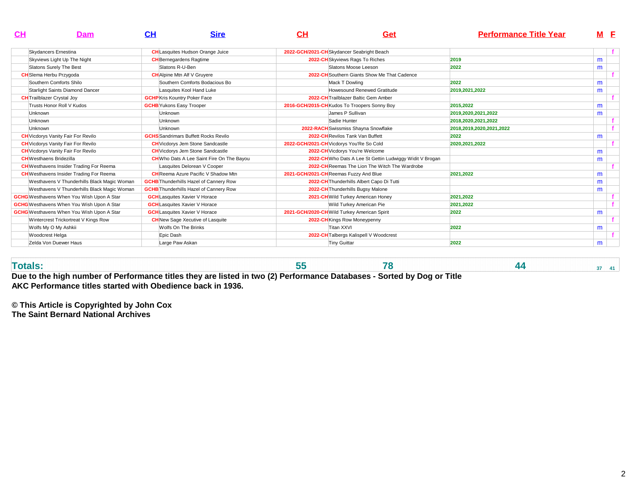| <b>CH</b><br><b>Dam</b>                          | $\mathbf{C}$ H<br><b>Sire</b>                    | <u>СН</u> | Get                                                     | <b>Performance Title Year</b> |   | M E |
|--------------------------------------------------|--------------------------------------------------|-----------|---------------------------------------------------------|-------------------------------|---|-----|
| Skydancers Ernestina                             | <b>CH</b> Lasquites Hudson Orange Juice          |           | 2022-GCH/2021-CH Skydancer Seabright Beach              |                               |   |     |
| Skyviews Light Up The Night                      | <b>CH</b> Bernegardens Ragtime                   |           | 2022-CH Skyviews Rags To Riches                         | 2019                          | m |     |
| Slatons Surely The Best                          | Slatons R-U-Ben                                  |           | Slatons Moose Leeson                                    | 2022                          | m |     |
| <b>CH</b> Slema Herbu Przygoda                   | <b>CH</b> Alpine Mtn Alf V Gruyere               |           | 2022-CH Southern Giants Show Me That Cadence            |                               |   |     |
| Southern Comforts Shilo                          | Southern Comforts Bodacious Bo                   |           | Mack T Dowling                                          | 2022                          | m |     |
| Starlight Saints Diamond Dancer                  | Lasquites Kool Hand Luke                         |           | Howesound Renewed Gratitude                             | 2019.2021.2022                | m |     |
| <b>CH</b> Trailblazer Crystal Joy                | <b>GCHP</b> Kris Kountry Poker Face              |           | 2022-CH Trailblazer Baltic Gem Amber                    |                               |   |     |
| Trusts Honor Roll V Kudos                        | <b>GCHB</b> Yukons Easy Trooper                  |           | 2016-GCH/2015-CH Kudos To Troopers Sonny Boy            | 2015,2022                     | m |     |
| Unknown                                          | Unknown                                          |           | James P Sullivan                                        | 2019,2020,2021,2022           | m |     |
| Unknown                                          | Unknown                                          |           | Sadie Hunter                                            | 2018,2020,2021,2022           |   |     |
| <b>Unknown</b>                                   | Unknown                                          |           | 2022-RACH Swissmiss Shayna Snowflake                    | 2018,2019,2020,2021,2022      |   |     |
| <b>CH</b> Vicdorys Vanity Fair For Revilo        | <b>GCHS</b> Sandrimars Buffett Rocks Revilo      |           | 2022-CH Revilos Tank Van Buffett                        | 2022                          | m |     |
| <b>CH</b> Vicdorys Vanity Fair For Revilo        | <b>CH</b> Vicdorys Jem Stone Sandcastle          |           | 2022-GCH/2021-CH Vicdorys You'Re So Cold                | 2020, 2021, 2022              |   |     |
| <b>CH</b> Vicdorys Vanity Fair For Revilo        | <b>CH</b> Vicdorys Jem Stone Sandcastle          |           | 2022-CH Vicdorys You're Welcome                         |                               | m |     |
| <b>CH</b> Westhaens Bridezilla                   | <b>CH</b> Who Dats A Lee Saint Fire On The Bayou |           | 2022-CHWho Dats A Lee St Gettin Ludwiggy Widit V Brogan |                               | m |     |
| <b>CH</b> Westhavens Insider Trading For Reema   | Lasquites Delorean V Cooper                      |           | <b>2022-CH</b> Reemas The Lion The Witch The Wardrobe   |                               |   |     |
| <b>CH</b> Westhavens Insider Trading For Reema   | <b>CH</b> Reema Azure Pacific V Shadow Mtn       |           | 2021-GCH/2021-CH Reemas Fuzzy And Blue                  | 2021,2022                     | m |     |
| Westhavens V Thunderhills Black Magic Woman      | <b>GCHB</b> Thunderhills Hazel of Cannery Row    |           | 2022-CH Thunderhills Albert Capo Di Tutti               |                               | m |     |
| Westhavens V Thunderhills Black Magic Woman      | <b>GCHB</b> Thunderhills Hazel of Cannery Row    |           | 2022-CH Thunderhills Bugsy Malone                       |                               | m |     |
| <b>GCHG</b> Westhavens When You Wish Upon A Star | <b>GCH</b> Lasquites Xavier V Horace             |           | 2021-CH Wild Turkey American Honey                      | 2021,2022                     |   |     |
| <b>GCHG</b> Westhavens When You Wish Upon A Star | <b>GCH</b> Lasquites Xavier V Horace             |           | Wild Turkey American Pie                                | 2021,2022                     |   |     |
| <b>GCHG</b> Westhavens When You Wish Upon A Star | <b>GCH</b> Lasquites Xavier V Horace             |           | 2021-GCH/2020-CH Wild Turkey American Spirit            | 2022                          | m |     |
| Wintercrest Trickortreat V Kings Row             | <b>CH</b> New Sage Xecutive of Lasquite          |           | 2022-CH Kings Row Moneypenny                            |                               |   |     |
| Wolfs My O My Ashkii                             | Wolfs On The Brinks                              |           | <b>Titan XXVI</b>                                       | 2022                          | m |     |
| Woodcrest Helga                                  | Epic Dash                                        |           | 2022-CH Talbergs Kalispell V Woodcrest                  |                               |   |     |
| Zelda Von Duewer Haus                            | Large Paw Askan                                  |           | <b>Tiny Guittar</b>                                     | 2022                          | m |     |

| Due to the high number of Derformance titles they are listed in two (2) Derformance Detabases. Certed by Dea or Title |  |  |  |  |  |  |  |  |  |  |  |  |  |  |  |  |  |  |  |  |  |  |  |  |  |  |  |  |  |  |  |  |  |
|-----------------------------------------------------------------------------------------------------------------------|--|--|--|--|--|--|--|--|--|--|--|--|--|--|--|--|--|--|--|--|--|--|--|--|--|--|--|--|--|--|--|--|--|
|                                                                                                                       |  |  |  |  |  |  |  |  |  |  |  |  |  |  |  |  |  |  |  |  |  |  |  |  |  |  |  |  |  |  |  |  |  |
|                                                                                                                       |  |  |  |  |  |  |  |  |  |  |  |  |  |  |  |  |  |  |  |  |  |  |  |  |  |  |  |  |  |  |  |  |  |
|                                                                                                                       |  |  |  |  |  |  |  |  |  |  |  |  |  |  |  |  |  |  |  |  |  |  |  |  |  |  |  |  |  |  |  |  |  |
|                                                                                                                       |  |  |  |  |  |  |  |  |  |  |  |  |  |  |  |  |  |  |  |  |  |  |  |  |  |  |  |  |  |  |  |  |  |
|                                                                                                                       |  |  |  |  |  |  |  |  |  |  |  |  |  |  |  |  |  |  |  |  |  |  |  |  |  |  |  |  |  |  |  |  |  |

**Due to the high number of Performance titles they are listed in two (2) Performance Databases - Sorted by Dog or TitleAKC Performance titles started with Obedience back in 1936.**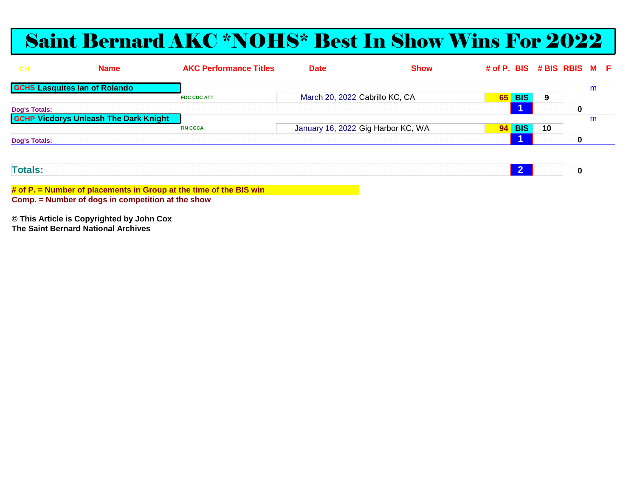### Saint Bernard AKC \*NOHS\* Best In Show Wins For 2022

| CL                   | <b>Name</b>                                  | <b>AKC Performance Titles</b> | <b>Date</b>                        | <b>Show</b> | $\#$ of P. BIS $\#$ BIS RBIS M E |    |   |   |  |
|----------------------|----------------------------------------------|-------------------------------|------------------------------------|-------------|----------------------------------|----|---|---|--|
|                      | <b>GCHS Lasquites Ian of Rolando</b>         |                               |                                    |             |                                  |    |   | m |  |
|                      |                                              | <b>FDC CDC ATT</b>            | March 20, 2022 Cabrillo KC, CA     |             | <b>65 BIS</b>                    | 9  |   |   |  |
| <b>Dog's Totals:</b> |                                              |                               |                                    |             |                                  |    | 0 |   |  |
|                      | <b>GCHP Vicdorys Unleash The Dark Knight</b> |                               |                                    |             |                                  |    |   | m |  |
|                      |                                              | <b>RN CGCA</b>                | January 16, 2022 Gig Harbor KC, WA |             | <b>94 BIS</b>                    | 10 |   |   |  |
| <b>Dog's Totals:</b> |                                              |                               |                                    |             |                                  |    | 0 |   |  |
|                      |                                              |                               |                                    |             |                                  |    |   |   |  |
|                      |                                              |                               |                                    |             |                                  |    |   |   |  |
| <b>Totals:</b>       |                                              |                               |                                    |             |                                  |    |   |   |  |

**<sup>2</sup><sup>0</sup>**

**# of P. = Number of placements in Group at the time of the BIS win**

**Comp. = Number of dogs in competition at the show**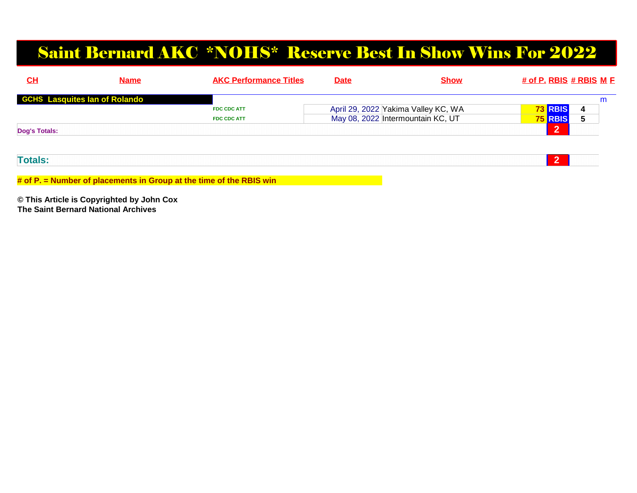#### Saint Bernard AKC \*NOHS\* Reserve Best In Show Wins For 2022

| CH                   | <b>Name</b>                          | <b>AKC Performance Titles</b> | <b>Date</b> | <b>Show</b>                         | <u># of P. RBIS # RBIS M F</u> |                |   |   |
|----------------------|--------------------------------------|-------------------------------|-------------|-------------------------------------|--------------------------------|----------------|---|---|
|                      | <b>GCHS Lasquites lan of Rolando</b> |                               |             |                                     |                                |                |   | m |
|                      |                                      | <b>FDC CDC ATT</b>            |             | April 29, 2022 Yakima Valley KC, WA |                                | <b>73 RBIS</b> | 4 |   |
|                      |                                      | <b>FDC CDC ATT</b>            |             | May 08, 2022 Intermountain KC, UT   |                                | <b>75 RBIS</b> |   |   |
| <b>Dog's Totals:</b> |                                      |                               |             |                                     |                                |                |   |   |
|                      |                                      |                               |             |                                     |                                |                |   |   |
|                      |                                      |                               |             |                                     |                                |                |   |   |
| <b>Totals:</b>       |                                      |                               |             |                                     |                                | $\mathcal{P}$  |   |   |
|                      |                                      |                               |             |                                     |                                |                |   |   |

**# of P. = Number of placements in Group at the time of the RBIS win**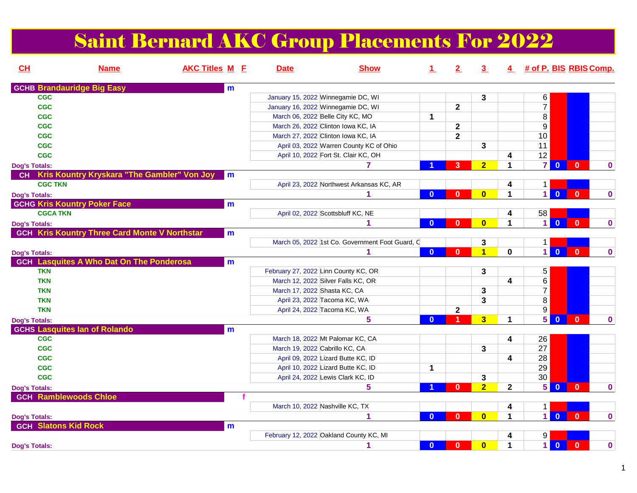## Saint Bernard AKC Group Placements For 2022

| CL                                   | <b>Name</b>                                          | <b>AKC Titles M E</b> | <b>Date</b>                          | <b>Show</b>                                     | $\perp$        | 2            | $\overline{3}$          |              | 4 # of P. BIS RBIS Comp. |                         |                |             |
|--------------------------------------|------------------------------------------------------|-----------------------|--------------------------------------|-------------------------------------------------|----------------|--------------|-------------------------|--------------|--------------------------|-------------------------|----------------|-------------|
| <b>GCHB Brandauridge Big Easy</b>    |                                                      | m                     |                                      |                                                 |                |              |                         |              |                          |                         |                |             |
| <b>CGC</b>                           |                                                      |                       | January 15, 2022 Winnegamie DC, WI   |                                                 |                |              | 3                       |              | 6                        |                         |                |             |
| <b>CGC</b>                           |                                                      |                       | January 16, 2022 Winnegamie DC, WI   |                                                 |                | $\mathbf{2}$ |                         |              | $\overline{7}$           |                         |                |             |
| <b>CGC</b>                           |                                                      |                       | March 06, 2022 Belle City KC, MO     |                                                 | $\mathbf{1}$   |              |                         |              | $\overline{\bf 8}$       |                         |                |             |
| <b>CGC</b>                           |                                                      |                       |                                      | March 26, 2022 Clinton Iowa KC, IA              |                | $\mathbf{2}$ |                         |              | $9\,$                    |                         |                |             |
| <b>CGC</b>                           |                                                      |                       |                                      | March 27, 2022 Clinton Iowa KC, IA              |                | $\mathbf{2}$ |                         |              | 10                       |                         |                |             |
| <b>CGC</b>                           |                                                      |                       |                                      | April 03, 2022 Warren County KC of Ohio         |                |              | 3                       |              | 11                       |                         |                |             |
| <b>CGC</b>                           |                                                      |                       |                                      | April 10, 2022 Fort St. Clair KC, OH            |                |              |                         | 4            | 12                       |                         |                |             |
| <b>Dog's Totals:</b>                 |                                                      |                       |                                      | 7                                               |                | 3            | $\overline{2}$          | 1            | $\overline{7}$           | $\overline{0}$          | $\mathbf{0}$   | $\mathbf 0$ |
|                                      | CH Kris Kountry Kryskara "The Gambler" Von Joy       | m                     |                                      |                                                 |                |              |                         |              |                          |                         |                |             |
| <b>CGC TKN</b>                       |                                                      |                       |                                      | April 23, 2022 Northwest Arkansas KC, AR        |                |              |                         | 4            | $\mathbf{1}$             |                         |                |             |
| <b>Dog's Totals:</b>                 |                                                      |                       |                                      | 1                                               | $\mathbf{0}$   | $\mathbf{0}$ | $\overline{\mathbf{0}}$ | 1            | $\overline{1}$           | $\overline{\mathbf{0}}$ | $\mathbf{0}$   | 0           |
| <b>GCHG Kris Kountry Poker Face</b>  |                                                      | m                     |                                      |                                                 |                |              |                         |              |                          |                         |                |             |
| <b>CGCA TKN</b>                      |                                                      |                       |                                      | April 02, 2022 Scottsbluff KC, NE               |                |              |                         | 4            | 58                       |                         |                |             |
| <b>Dog's Totals:</b>                 |                                                      |                       |                                      |                                                 | $\mathbf{0}$   | $\mathbf{0}$ | $\overline{\mathbf{0}}$ | 1            | $\vert$ 1                | $\overline{0}$          | $\mathbf{0}$   | $\mathbf 0$ |
|                                      | <b>GCH Kris Kountry Three Card Monte V Northstar</b> | m                     |                                      |                                                 |                |              |                         |              |                          |                         |                |             |
|                                      |                                                      |                       |                                      | March 05, 2022 1st Co. Government Foot Guard, C |                |              | 3                       |              | $\mathbf{1}$             |                         |                |             |
| <b>Dog's Totals:</b>                 |                                                      |                       |                                      |                                                 | $\mathbf{0}$   | $\mathbf{0}$ | $\blacktriangleleft$    | $\mathbf 0$  | $\overline{1}$           | $\mathbf{0}$            | $\mathbf{0}$   | $\mathbf 0$ |
|                                      | <b>GCH</b> Lasquites A Who Dat On The Ponderosa      | m                     |                                      |                                                 |                |              |                         |              |                          |                         |                |             |
| <b>TKN</b>                           |                                                      |                       | February 27, 2022 Linn County KC, OR |                                                 |                |              | 3                       |              | 5                        |                         |                |             |
| <b>TKN</b>                           |                                                      |                       |                                      | March 12, 2022 Silver Falls KC, OR              |                |              |                         | 4            | $6\overline{6}$          |                         |                |             |
| <b>TKN</b>                           |                                                      |                       | March 17, 2022 Shasta KC, CA         |                                                 |                |              | 3                       |              | $\overline{7}$           |                         |                |             |
| <b>TKN</b>                           |                                                      |                       | April 23, 2022 Tacoma KC, WA         |                                                 |                |              | 3                       |              | $\overline{\bf 8}$       |                         |                |             |
| <b>TKN</b>                           |                                                      |                       | April 24, 2022 Tacoma KC, WA         |                                                 |                | $\mathbf{2}$ |                         |              | $\overline{9}$           |                         |                |             |
| <b>Dog's Totals:</b>                 |                                                      |                       |                                      | 5                                               | $\mathbf{0}$   | 1            | 3                       | $\mathbf 1$  | 5 <sup>1</sup>           | $\overline{\mathbf{0}}$ | $\mathbf{0}$   | 0           |
| <b>GCHS Lasquites lan of Rolando</b> |                                                      | m                     |                                      |                                                 |                |              |                         |              |                          |                         |                |             |
| <b>CGC</b>                           |                                                      |                       |                                      | March 18, 2022 Mt Palomar KC, CA                |                |              |                         | 4            | 26                       |                         |                |             |
| <b>CGC</b>                           |                                                      |                       | March 19, 2022 Cabrillo KC, CA       |                                                 |                |              | 3                       |              | $\overline{27}$          |                         |                |             |
| <b>CGC</b>                           |                                                      |                       |                                      | April 09, 2022 Lizard Butte KC, ID              |                |              |                         | 4            | 28                       |                         |                |             |
| <b>CGC</b>                           |                                                      |                       |                                      | April 10, 2022 Lizard Butte KC, ID              | $\mathbf 1$    |              |                         |              | 29                       |                         |                |             |
| <b>CGC</b>                           |                                                      |                       |                                      | April 24, 2022 Lewis Clark KC, ID               |                |              | 3                       |              | 30                       |                         |                |             |
| <b>Dog's Totals:</b>                 |                                                      |                       |                                      | 5                                               |                | $\mathbf{0}$ | $\overline{2}$          | $\mathbf{2}$ | 50                       |                         | $\mathbf{0}$   | $\mathbf 0$ |
| <b>GCH Ramblewoods Chloe</b>         |                                                      |                       |                                      |                                                 |                |              |                         |              |                          |                         |                |             |
|                                      |                                                      |                       | March 10, 2022 Nashville KC, TX      |                                                 |                |              |                         | 4            | 1                        |                         |                |             |
| <b>Dog's Totals:</b>                 |                                                      |                       |                                      | 1                                               | $\overline{0}$ | $\bf{0}$     | $\overline{\mathbf{0}}$ | 1            | $\overline{1}$           | $\overline{0}$          | $\mathbf{0}$   | $\bf{0}$    |
| <b>GCH Slatons Kid Rock</b>          |                                                      | m                     |                                      |                                                 |                |              |                         |              |                          |                         |                |             |
|                                      |                                                      |                       |                                      | February 12, 2022 Oakland County KC, MI         |                |              |                         | 4            | 9                        |                         |                |             |
| <b>Dog's Totals:</b>                 |                                                      |                       |                                      | 1                                               | $\mathbf{0}$   | $\mathbf{0}$ | $\overline{\mathbf{0}}$ | 1            |                          | 10                      | $\overline{0}$ | $\mathbf 0$ |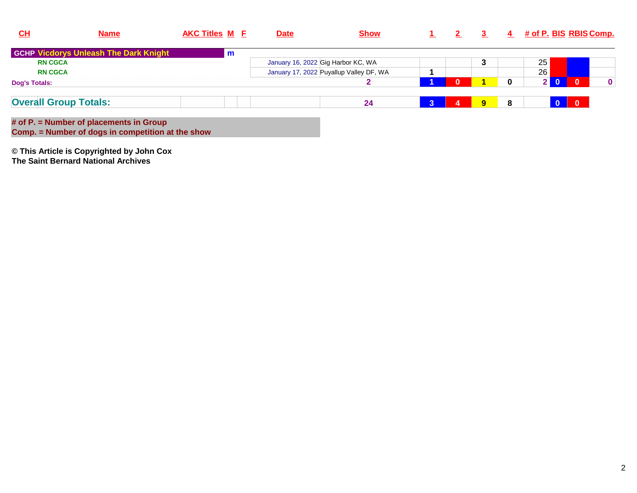| CH                   | <b>Name</b>                                  | <b>AKC Titles M E</b> |     | <b>Date</b> | <b>Show</b>                             |              |          |   |          | 4 # of P. BIS RBIS Comp. |                         |              |
|----------------------|----------------------------------------------|-----------------------|-----|-------------|-----------------------------------------|--------------|----------|---|----------|--------------------------|-------------------------|--------------|
|                      | <b>GCHP Vicdorys Unleash The Dark Knight</b> |                       | l m |             |                                         |              |          |   |          |                          |                         |              |
|                      | <b>RN CGCA</b>                               |                       |     |             | January 16, 2022 Gig Harbor KC, WA      |              |          | 3 |          | 25                       |                         |              |
|                      | <b>RN CGCA</b>                               |                       |     |             | January 17, 2022 Puyallup Valley DF, WA |              |          |   |          | 26 <sub>1</sub>          |                         |              |
| <b>Dog's Totals:</b> |                                              |                       |     |             | 2                                       |              | $\Omega$ |   | $\bf{0}$ |                          | $\bf{0}$                | $\mathbf{0}$ |
|                      | <b>Overall Group Totals:</b>                 |                       |     |             | 24                                      | $\mathbf{R}$ |          | 9 | - 8      |                          | $\overline{\mathbf{0}}$ |              |
| .                    |                                              |                       |     |             |                                         |              |          |   |          |                          |                         |              |

**# of P. = Number of placements in Group Comp. = Number of dogs in competition at the show**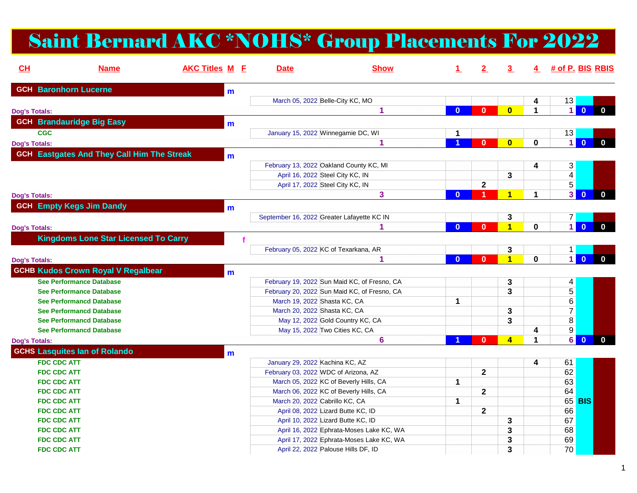# Saint Bernard AKC \*NOHS\* Group Placements For 2022

| CL                   | <b>Name</b>                                       | <b>AKC Titles M E</b> |   | <b>Date</b>                                  | <b>Show</b>                              | $\mathbf{1}$ | $\mathbf{2}$            | $\overline{3}$          |              | 4 # of P. BIS RBIS |                |              |
|----------------------|---------------------------------------------------|-----------------------|---|----------------------------------------------|------------------------------------------|--------------|-------------------------|-------------------------|--------------|--------------------|----------------|--------------|
|                      | <b>GCH Baronhorn Lucerne</b>                      |                       | m |                                              |                                          |              |                         |                         |              |                    |                |              |
|                      |                                                   |                       |   | March 05, 2022 Belle-City KC, MO             |                                          |              |                         |                         | 4            | 13                 |                |              |
| <b>Dog's Totals:</b> |                                                   |                       |   |                                              | 1                                        | $\mathbf{0}$ | $\mathbf{0}$            | $\overline{\mathbf{0}}$ | $\mathbf{1}$ | $\vert$ 1          | $\mathbf{0}$   | $\mathbf{0}$ |
|                      | <b>GCH Brandauridge Big Easy</b>                  |                       | m |                                              |                                          |              |                         |                         |              |                    |                |              |
| <b>CGC</b>           |                                                   |                       |   | January 15, 2022 Winnegamie DC, WI           |                                          | 1            |                         |                         |              | 13                 |                |              |
| <b>Dog's Totals:</b> |                                                   |                       |   |                                              | 1                                        |              | $\mathbf{0}$            | $\mathbf{0}$            | $\mathbf 0$  | $\vert$            | $\overline{0}$ | $\bf{0}$     |
|                      | <b>GCH Eastgates And They Call Him The Streak</b> |                       | m |                                              |                                          |              |                         |                         |              |                    |                |              |
|                      |                                                   |                       |   | February 13, 2022 Oakland County KC, MI      |                                          |              |                         |                         | 4            | 3                  |                |              |
|                      |                                                   |                       |   | April 16, 2022 Steel City KC, IN             |                                          |              |                         | 3                       |              | 4                  |                |              |
|                      |                                                   |                       |   | April 17, 2022 Steel City KC, IN             |                                          |              | $\overline{\mathbf{2}}$ |                         |              | $\overline{5}$     |                |              |
| <b>Dog's Totals:</b> |                                                   |                       |   |                                              | 3                                        | $\mathbf{0}$ | 1                       | $\overline{\mathbf{1}}$ | 1            | 3 <sup>1</sup>     | $\overline{0}$ | $\mathbf{0}$ |
|                      | <b>GCH Empty Kegs Jim Dandy</b>                   |                       | m |                                              |                                          |              |                         |                         |              |                    |                |              |
|                      |                                                   |                       |   | September 16, 2022 Greater Lafayette KC IN   |                                          |              |                         | 3                       |              | $\overline{7}$     |                |              |
| <b>Dog's Totals:</b> |                                                   |                       |   |                                              | 1                                        | $\mathbf{0}$ | $\bf{0}$                | $\overline{1}$          | $\mathbf 0$  | $\vert$            | $\overline{0}$ | $\mathbf{0}$ |
|                      | <b>Kingdoms Lone Star Licensed To Carry</b>       |                       |   |                                              |                                          |              |                         |                         |              |                    |                |              |
|                      |                                                   |                       |   | February 05, 2022 KC of Texarkana, AR        |                                          |              |                         | 3                       |              | $\mathbf 1$        |                |              |
| <b>Dog's Totals:</b> |                                                   |                       |   |                                              | 1                                        | $\mathbf{0}$ | $\mathbf{0}$            | $\blacktriangleleft$    | $\mathbf 0$  | $\overline{1}$     | $\mathbf{0}$   | $\mathbf{0}$ |
|                      | <b>GCHB Kudos Crown Royal V Regalbear</b>         |                       | m |                                              |                                          |              |                         |                         |              |                    |                |              |
|                      | <b>See Performance Database</b>                   |                       |   | February 19, 2022 Sun Maid KC, of Fresno, CA |                                          |              |                         | 3                       |              | 4                  |                |              |
|                      | <b>See Performance Database</b>                   |                       |   | February 20, 2022 Sun Maid KC, of Fresno, CA |                                          |              |                         | $\mathbf{3}$            |              | 5                  |                |              |
|                      | <b>See Performancd Database</b>                   |                       |   | March 19, 2022 Shasta KC, CA                 |                                          | 1            |                         |                         |              | 6                  |                |              |
|                      | <b>See Performancd Database</b>                   |                       |   | March 20, 2022 Shasta KC, CA                 |                                          |              |                         | $\mathbf{3}$            |              | $\overline{7}$     |                |              |
|                      | <b>See Performancd Database</b>                   |                       |   | May 12, 2022 Gold Country KC, CA             |                                          |              |                         | 3                       |              | $\overline{8}$     |                |              |
|                      | <b>See Performancd Database</b>                   |                       |   | May 15, 2022 Two Cities KC, CA               |                                          |              |                         |                         | 4            | 9                  |                |              |
| <b>Dog's Totals:</b> |                                                   |                       |   |                                              | 6                                        |              | $\Omega$                | 4                       |              | 6 <sup>1</sup>     | $\overline{0}$ | $\mathbf 0$  |
|                      | <b>GCHS Lasquites Ian of Rolando</b>              |                       | m |                                              |                                          |              |                         |                         |              |                    |                |              |
|                      | <b>FDC CDC ATT</b>                                |                       |   | January 29, 2022 Kachina KC, AZ              |                                          |              |                         |                         | 4            | 61                 |                |              |
|                      | <b>FDC CDC ATT</b>                                |                       |   | February 03, 2022 WDC of Arizona, AZ         |                                          |              | $\overline{\mathbf{2}}$ |                         |              | 62                 |                |              |
|                      | <b>FDC CDC ATT</b>                                |                       |   | March 05, 2022 KC of Beverly Hills, CA       |                                          | 1            |                         |                         |              | 63                 |                |              |
|                      | <b>FDC CDC ATT</b>                                |                       |   | March 06, 2022 KC of Beverly Hills, CA       |                                          |              | $\mathbf{2}$            |                         |              | 64                 |                |              |
|                      | <b>FDC CDC ATT</b>                                |                       |   | March 20, 2022 Cabrillo KC, CA               |                                          | 1            |                         |                         |              |                    | 65 BIS         |              |
|                      | <b>FDC CDC ATT</b>                                |                       |   | April 08, 2022 Lizard Butte KC, ID           |                                          |              | $\mathbf{2}$            |                         |              | 66                 |                |              |
|                      | <b>FDC CDC ATT</b>                                |                       |   | April 10, 2022 Lizard Butte KC, ID           |                                          |              |                         | 3                       |              | 67                 |                |              |
|                      | <b>FDC CDC ATT</b>                                |                       |   |                                              | April 16, 2022 Ephrata-Moses Lake KC, WA |              |                         | $\mathbf{3}$            |              | 68                 |                |              |
|                      | <b>FDC CDC ATT</b>                                |                       |   |                                              | April 17, 2022 Ephrata-Moses Lake KC, WA |              |                         | 3                       |              | 69                 |                |              |
|                      | <b>FDC CDC ATT</b>                                |                       |   | April 22, 2022 Palouse Hills DF, ID          |                                          |              |                         | 3                       |              | 70                 |                |              |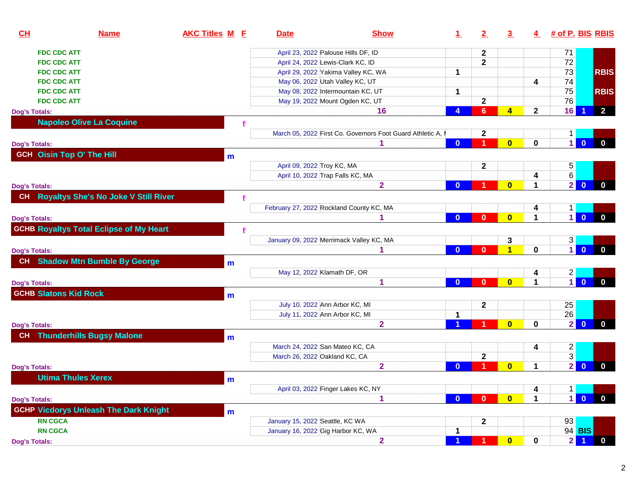| CH                           | <b>Name</b>                                    | <b>AKC Titles M F</b> | <b>Date</b>                                                      | <b>Show</b>                                                 | $\mathbf{1}$   | 2 <sup>1</sup> | 3 <sup>1</sup>          |              |                                  | 4 # of P. BIS RBIS                      |
|------------------------------|------------------------------------------------|-----------------------|------------------------------------------------------------------|-------------------------------------------------------------|----------------|----------------|-------------------------|--------------|----------------------------------|-----------------------------------------|
| <b>FDC CDC ATT</b>           |                                                |                       | April 23, 2022 Palouse Hills DF, ID                              |                                                             |                | $\mathbf{2}$   |                         |              | 71                               |                                         |
| <b>FDC CDC ATT</b>           |                                                |                       | April 24, 2022 Lewis-Clark KC, ID                                |                                                             |                | $\mathbf{2}$   |                         |              | 72                               |                                         |
| <b>FDC CDC ATT</b>           |                                                |                       | April 29, 2022 Yakima Valley KC, WA                              |                                                             | 1              |                |                         |              | 73                               | <b>RBIS</b>                             |
| <b>FDC CDC ATT</b>           |                                                |                       | May 06, 2022 Utah Valley KC, UT                                  |                                                             |                |                |                         | 4            | 74                               |                                         |
| <b>FDC CDC ATT</b>           |                                                |                       | May 08, 2022 Intermountain KC, UT                                |                                                             | 1              |                |                         |              | 75                               | <b>RBIS</b>                             |
| <b>FDC CDC ATT</b>           |                                                |                       | May 19, 2022 Mount Ogden KC, UT                                  |                                                             |                | $\mathbf{2}$   |                         |              | 76                               |                                         |
| <b>Dog's Totals:</b>         |                                                |                       |                                                                  | 16                                                          | 4              | 6              | $\overline{\mathbf{4}}$ | $\mathbf 2$  | 16                               | $\overline{2}$                          |
|                              | <b>Napoleo Olive La Coquine</b>                |                       |                                                                  |                                                             |                |                |                         |              |                                  |                                         |
|                              |                                                |                       |                                                                  | March 05, 2022 First Co. Governors Foot Guard Athletic A, I |                | $\mathbf{2}$   |                         |              | $\mathbf{1}$                     |                                         |
| <b>Dog's Totals:</b>         |                                                |                       |                                                                  |                                                             | $\Omega$       | 1              | $\mathbf{0}$            | $\mathbf{0}$ | $\mathbf{1}$                     | $\overline{0}$<br>$\mathbf{0}$          |
|                              | <b>GCH Oisin Top O' The Hill</b>               | m                     |                                                                  |                                                             |                |                |                         |              |                                  |                                         |
|                              |                                                |                       | April 09, 2022 Troy KC, MA                                       |                                                             |                | $\mathbf{2}$   |                         |              | 5                                |                                         |
|                              |                                                |                       | April 10, 2022 Trap Falls KC, MA                                 |                                                             |                |                |                         | 4            | $\overline{6}$                   |                                         |
| <b>Dog's Totals:</b>         |                                                |                       |                                                                  | $\overline{2}$                                              | $\mathbf{0}$   | 1              | $\bf{0}$                | $\mathbf{1}$ | 2 <sup>1</sup>                   | $\overline{\mathbf{0}}$<br>$\mathbf 0$  |
|                              | CH Royaltys She's No Joke V Still River        |                       |                                                                  |                                                             |                |                |                         |              |                                  |                                         |
|                              |                                                |                       |                                                                  |                                                             |                |                |                         |              |                                  |                                         |
|                              |                                                |                       | February 27, 2022 Rockland County KC, MA                         |                                                             |                |                |                         | 4            | 1.                               |                                         |
| <b>Dog's Totals:</b>         |                                                |                       |                                                                  | 1                                                           | $\overline{0}$ | $\mathbf{0}$   | $\overline{\mathbf{0}}$ | $\mathbf{1}$ | $\mathbf{1}$                     | $\mathbf{0}$<br>$\mathbf{0}$            |
|                              | <b>GCHB Royaltys Total Eclipse of My Heart</b> |                       |                                                                  |                                                             |                |                |                         |              |                                  |                                         |
|                              |                                                |                       | January 09, 2022 Merrimack Valley KC, MA                         |                                                             |                |                | 3                       |              | 3                                |                                         |
| <b>Dog's Totals:</b>         |                                                |                       |                                                                  |                                                             | $\mathbf{0}$   | $\mathbf{0}$   | 1                       | 0            | $\blacksquare$                   | $\overline{\mathbf{0}}$<br>$\mathbf{0}$ |
|                              | CH Shadow Mtn Bumble By George                 | m                     |                                                                  |                                                             |                |                |                         |              |                                  |                                         |
|                              |                                                |                       | May 12, 2022 Klamath DF, OR                                      |                                                             |                |                |                         | 4            | $\overline{c}$                   |                                         |
| <b>Dog's Totals:</b>         |                                                |                       |                                                                  | 1                                                           | $\mathbf{0}$   | $\bf{0}$       | $\bf{0}$                | $\mathbf{1}$ | $\overline{1}$                   | $\mathbf{0}$<br>$\bf{0}$                |
| <b>GCHB Slatons Kid Rock</b> |                                                | m                     |                                                                  |                                                             |                |                |                         |              |                                  |                                         |
|                              |                                                |                       | July 10, 2022 Ann Arbor KC, MI                                   |                                                             |                | $\mathbf{2}$   |                         |              | 25                               |                                         |
|                              |                                                |                       | July 11, 2022 Ann Arbor KC, MI                                   |                                                             | $\mathbf{1}$   |                |                         |              | 26                               |                                         |
| <b>Dog's Totals:</b>         |                                                |                       |                                                                  | $\overline{2}$                                              |                |                | $\bf{0}$                | 0            | $\overline{2}$                   | $\mathbf{0}$<br>$\mathbf{0}$            |
|                              | CH Thunderhills Bugsy Malone                   |                       |                                                                  |                                                             |                |                |                         |              |                                  |                                         |
|                              |                                                | m                     |                                                                  |                                                             |                |                |                         |              |                                  |                                         |
|                              |                                                |                       | March 24, 2022 San Mateo KC, CA<br>March 26, 2022 Oakland KC, CA |                                                             |                |                |                         | 4            | $\overline{c}$<br>$\overline{3}$ |                                         |
|                              |                                                |                       |                                                                  | $\overline{2}$                                              | $\mathbf{0}$   | $\mathbf{2}$   | $\bf{0}$                | 1            | 2 <sup>1</sup>                   | $\overline{0}$<br>$\mathbf{0}$          |
| <b>Dog's Totals:</b>         |                                                |                       |                                                                  |                                                             |                |                |                         |              |                                  |                                         |
|                              | <b>Utima Thules Xerex</b>                      | $\mathbf{m}$          |                                                                  |                                                             |                |                |                         |              |                                  |                                         |
|                              |                                                |                       | April 03, 2022 Finger Lakes KC, NY                               |                                                             |                |                |                         | 4            | $\mathbf{1}$                     |                                         |
| <b>Dog's Totals:</b>         |                                                |                       |                                                                  | 1                                                           | $\overline{0}$ | $\bf{0}$       | $\bf{0}$                | $\mathbf 1$  | $\mathbf{1}$                     | $\overline{\mathbf{0}}$<br>$\mathbf 0$  |
|                              | <b>GCHP Vicdorys Unleash The Dark Knight</b>   | $\mathbf{m}$          |                                                                  |                                                             |                |                |                         |              |                                  |                                         |
| <b>RN CGCA</b>               |                                                |                       | January 15, 2022 Seattle, KC WA                                  |                                                             |                | $\mathbf{2}$   |                         |              | 93                               |                                         |
| <b>RN CGCA</b>               |                                                |                       | January 16, 2022 Gig Harbor KC, WA                               |                                                             | 1              |                |                         |              |                                  | 94 BIS                                  |
| <b>Dog's Totals:</b>         |                                                |                       |                                                                  | $\overline{2}$                                              | и              | 1              | $\bf{0}$                | 0            | 2                                | $\blacktriangleleft$<br>$\mathbf 0$     |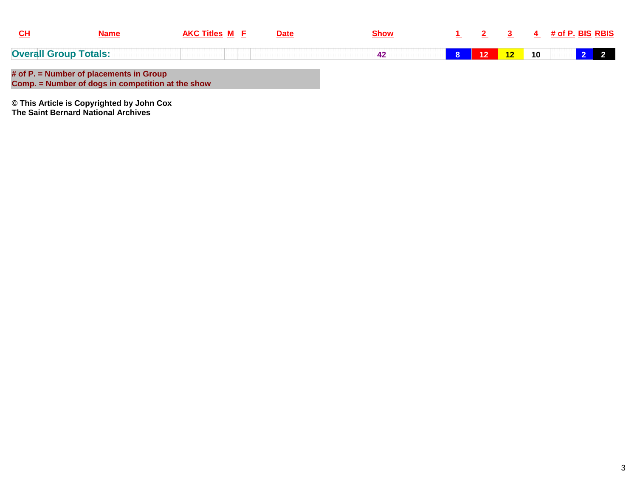| <b>Name</b>                             | <b>AKC Titles M E</b> | <b>Date</b> | Show |    |                 |    | $4$ # of P. BIS RBIS |                  |
|-----------------------------------------|-----------------------|-------------|------|----|-----------------|----|----------------------|------------------|
| <b>Overall Group Totals:</b>            |                       |             |      | 12 | 12 <sup>2</sup> | 10 |                      | $\blacksquare$ 2 |
| # of P. = Number of placements in Group |                       |             |      |    |                 |    |                      |                  |

**# of P. = Number of placements in Group Comp. = Number of dogs in competition at the show**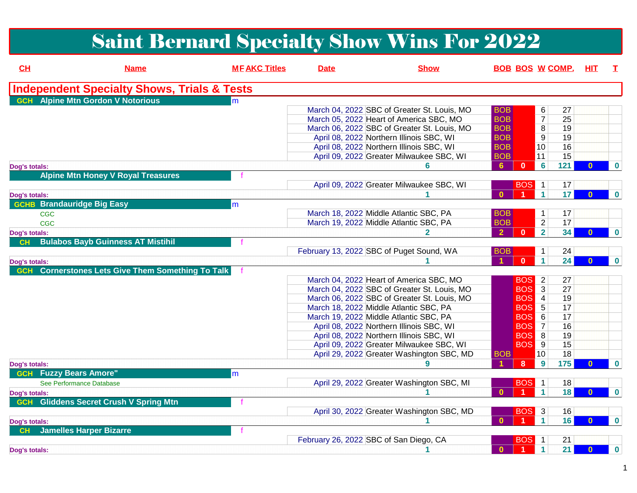# Saint Bernard Specialty Show Wins For 2022

| CL            | <b>Name</b>                                            | <b>MEAKC Titles</b> | <b>Date</b> | <b>Show</b>                                 |                |                            | <b>BOB BOS W COMP.</b>        | <b>HIT</b>   | T.          |
|---------------|--------------------------------------------------------|---------------------|-------------|---------------------------------------------|----------------|----------------------------|-------------------------------|--------------|-------------|
|               | <b>Independent Specialty Shows, Trials &amp; Tests</b> |                     |             |                                             |                |                            |                               |              |             |
|               | <b>GCH</b> Alpine Mtn Gordon V Notorious               |                     |             |                                             |                |                            |                               |              |             |
|               |                                                        |                     |             | March 04, 2022 SBC of Greater St. Louis, MO | <b>BOB</b>     |                            | 6<br>27                       |              |             |
|               |                                                        |                     |             | March 05, 2022 Heart of America SBC, MO     | <b>BOB</b>     |                            | $\overline{7}$<br>25          |              |             |
|               |                                                        |                     |             | March 06, 2022 SBC of Greater St. Louis, MO | <b>BOB</b>     |                            | $\overline{8}$<br>19          |              |             |
|               |                                                        |                     |             | April 08, 2022 Northern Illinois SBC, WI    | <b>BOB</b>     |                            | 9<br>19                       |              |             |
|               |                                                        |                     |             | April 08, 2022 Northern Illinois SBC, WI    | <b>BOB</b>     | 10                         | 16                            |              |             |
|               |                                                        |                     |             | April 09, 2022 Greater Milwaukee SBC, WI    | <b>BOB</b>     | 11                         | 15                            |              |             |
| Dog's totals: |                                                        |                     |             | 6                                           | -6             | $\mathbf{0}$               | $6\phantom{a}$<br>121         |              | $\bf{0}$    |
|               | <b>Alpine Mtn Honey V Royal Treasures</b>              |                     |             |                                             |                |                            |                               |              |             |
|               |                                                        |                     |             | April 09, 2022 Greater Milwaukee SBC, WI    |                | <b>BOS</b><br>$\mathbf{1}$ | 17                            |              |             |
| Dog's totals: |                                                        |                     |             |                                             | $\Omega$       |                            | 17<br>$\blacksquare$          | $\bf{0}$     | $\mathbf 0$ |
|               | <b>GCHB</b> Brandauridge Big Easy                      | m                   |             |                                             |                |                            |                               |              |             |
|               | <b>CGC</b>                                             |                     |             | March 18, 2022 Middle Atlantic SBC, PA      | <b>BOB</b>     |                            | $\mathbf{1}$<br>17            |              |             |
|               | CGC                                                    |                     |             | March 19, 2022 Middle Atlantic SBC, PA      | <b>BOB</b>     |                            | $\overline{2}$<br>17          |              |             |
| Dog's totals: |                                                        |                     |             | $\mathbf{2}$                                | $\overline{2}$ | $\mathbf{0}$               | $\overline{\mathbf{2}}$<br>34 | $\bf{0}$     | $\bf{0}$    |
| CH            | <b>Bulabos Bayb Guinness AT Mistihil</b>               |                     |             |                                             |                |                            |                               |              |             |
|               |                                                        |                     |             | February 13, 2022 SBC of Puget Sound, WA    | <b>BOB</b>     |                            | $\mathbf{1}$<br>24            |              |             |
| Dog's totals: |                                                        |                     |             |                                             |                | $\mathbf{0}$               | $\mathbf{1}$<br>24            | $\mathbf{0}$ | $\bf{0}$    |
| <b>GCH</b>    | <b>Cornerstones Lets Give Them Something To Talk</b>   |                     |             |                                             |                |                            |                               |              |             |
|               |                                                        |                     |             | March 04, 2022 Heart of America SBC, MO     |                | <b>BOS</b>                 | $\overline{c}$<br>27          |              |             |
|               |                                                        |                     |             | March 04, 2022 SBC of Greater St. Louis, MO |                | <b>BOS</b>                 | $\overline{3}$<br>27          |              |             |
|               |                                                        |                     |             | March 06, 2022 SBC of Greater St. Louis, MO |                | <b>BOS</b>                 | $\overline{4}$<br>19          |              |             |
|               |                                                        |                     |             | March 18, 2022 Middle Atlantic SBC, PA      |                | <b>BOS</b>                 | $\overline{5}$<br>17          |              |             |
|               |                                                        |                     |             | March 19, 2022 Middle Atlantic SBC, PA      |                | <b>BOS</b>                 | 6<br>17                       |              |             |
|               |                                                        |                     |             | April 08, 2022 Northern Illinois SBC, WI    |                | <b>BOS</b>                 | 16<br>$\overline{7}$          |              |             |
|               |                                                        |                     |             | April 08, 2022 Northern Illinois SBC, WI    |                | <b>BOS</b>                 | $\overline{8}$<br>19          |              |             |
|               |                                                        |                     |             | April 09, 2022 Greater Milwaukee SBC, WI    |                | <b>BOS</b>                 | 9<br>15                       |              |             |
|               |                                                        |                     |             | April 29, 2022 Greater Washington SBC, MD   | <b>BOB</b>     | $\overline{10}$            | 18                            |              |             |
| Dog's totals: |                                                        |                     |             | 9                                           |                | 8                          | 175<br>9                      | $\Omega$     | $\bf{0}$    |
| <b>GCH</b>    | <b>Fuzzy Bears Amore"</b>                              | lm.                 |             |                                             |                |                            |                               |              |             |
|               | See Performance Database                               |                     |             | April 29, 2022 Greater Washington SBC, MI   |                | <b>BOS</b>                 | 18<br>$\mathbf{1}$            |              |             |
| Dog's totals: |                                                        |                     |             |                                             | $\Omega$       |                            | 18<br>$\blacktriangleleft$    | $\mathbf{0}$ | $\mathbf 0$ |
| <b>GCH</b>    | <b>Gliddens Secret Crush V Spring Mtn</b>              |                     |             |                                             |                |                            |                               |              |             |
|               |                                                        |                     |             | April 30, 2022 Greater Washington SBC, MD   |                | BOS <sup>3</sup>           | 16                            |              |             |
| Dog's totals: |                                                        |                     |             |                                             | $\Omega$       |                            | 16<br>$\mathbf{1}$            | $\mathbf{0}$ | $\mathbf 0$ |
| CH            | <b>Jamelles Harper Bizarre</b>                         |                     |             |                                             |                |                            |                               |              |             |
|               |                                                        |                     |             | February 26, 2022 SBC of San Diego, CA      |                | <b>BOS</b>                 | $\mathbf{1}$<br>21            |              |             |
| Dog's totals: |                                                        |                     |             |                                             | $\mathbf{0}$   |                            | $\mathbf 1$<br>21             | $\bf{0}$     | $\mathbf 0$ |
|               |                                                        |                     |             |                                             |                |                            |                               |              |             |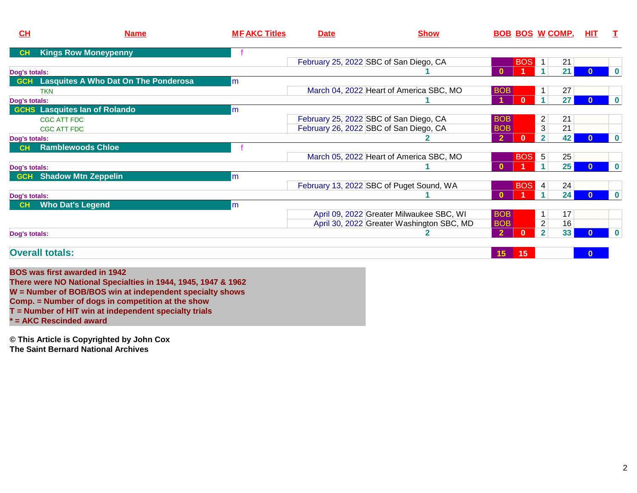| CL            | <b>Name</b>                                                                                           | <b>ME AKC Titles</b> | <b>Date</b> | <b>Show</b>                               |                 |              | <b>BOB BOS W COMP.</b> |    | <u>HIT</u>   | T                       |
|---------------|-------------------------------------------------------------------------------------------------------|----------------------|-------------|-------------------------------------------|-----------------|--------------|------------------------|----|--------------|-------------------------|
| CH            | <b>Kings Row Moneypenny</b>                                                                           |                      |             |                                           |                 |              |                        |    |              |                         |
|               |                                                                                                       |                      |             | February 25, 2022 SBC of San Diego, CA    |                 | <b>BOS</b>   |                        | 21 |              |                         |
| Dog's totals: |                                                                                                       |                      |             |                                           | $\mathbf{0}$    |              | 1                      | 21 | $\bf{0}$     | $\mathbf 0$             |
| <b>GCH</b>    | Lasquites A Who Dat On The Ponderosa                                                                  | lm                   |             |                                           |                 |              |                        |    |              |                         |
|               | <b>TKN</b>                                                                                            |                      |             | March 04, 2022 Heart of America SBC, MO   | <b>BOB</b>      |              | 1.                     | 27 |              |                         |
| Dog's totals: |                                                                                                       |                      |             |                                           |                 | $\mathbf{0}$ | 1                      | 27 | $\bf{0}$     | $\bf{0}$                |
|               | <b>GCHS</b> Lasquites lan of Rolando                                                                  | lm                   |             |                                           |                 |              |                        |    |              |                         |
|               | <b>CGC ATT FDC</b>                                                                                    |                      |             | February 25, 2022 SBC of San Diego, CA    | <b>BOB</b>      |              | $\mathbf{2}$           | 21 |              |                         |
|               | <b>CGC ATT FDC</b>                                                                                    |                      |             | February 26, 2022 SBC of San Diego, CA    | <b>BOB</b>      |              | $\overline{3}$         | 21 |              |                         |
| Dog's totals: |                                                                                                       |                      |             |                                           | $\overline{2}$  | $\mathbf{0}$ | $\overline{2}$         | 42 | $\bf{0}$     | $\bf{0}$                |
| <b>CH</b>     | <b>Ramblewoods Chloe</b>                                                                              |                      |             |                                           |                 |              |                        |    |              |                         |
|               |                                                                                                       |                      |             | March 05, 2022 Heart of America SBC, MO   |                 | <b>BOS</b> 5 |                        | 25 |              |                         |
| Dog's totals: |                                                                                                       |                      |             |                                           |                 |              | 1                      | 25 | $\bf{0}$     | $\bf{0}$                |
| <b>GCH</b>    | <b>Shadow Mtn Zeppelin</b>                                                                            | lm                   |             |                                           |                 |              |                        |    |              |                         |
|               |                                                                                                       |                      |             | February 13, 2022 SBC of Puget Sound, WA  |                 | <b>BOS</b> 4 |                        | 24 |              |                         |
| Dog's totals: |                                                                                                       |                      |             |                                           | $\Omega$        |              | 1                      | 24 | $\bf{0}$     | $\overline{\mathbf{0}}$ |
| CH            | <b>Who Dat's Legend</b>                                                                               | Im                   |             |                                           |                 |              |                        |    |              |                         |
|               |                                                                                                       |                      |             | April 09, 2022 Greater Milwaukee SBC, WI  | <b>BOB</b>      |              | $\mathbf{1}$           | 17 |              |                         |
|               |                                                                                                       |                      |             | April 30, 2022 Greater Washington SBC, MD | <b>BOB</b>      |              | $\overline{2}$         | 16 |              |                         |
| Dog's totals: |                                                                                                       |                      |             | 2                                         | $\overline{2}$  | $\bf{0}$     | 2 <sup>1</sup>         | 33 | $\bf{0}$     | $\mathbf 0$             |
|               | <b>Overall totals:</b>                                                                                |                      |             |                                           | 15 <sub>1</sub> | 15           |                        |    | $\mathbf{0}$ |                         |
|               | <b>BOS was first awarded in 1942</b><br>There were NO National Specialties in 1944, 1945, 1947 & 1962 |                      |             |                                           |                 |              |                        |    |              |                         |

There were NO National Specialties in 1944, 1945, 1947 & 1962<br>W = Number of BOB/BOS win at independent specialty shows<br>Comp. = Number of dogs in competition at the show<br>T = Number of HIT win at independent specialty trials

**\* = AKC Rescinded award**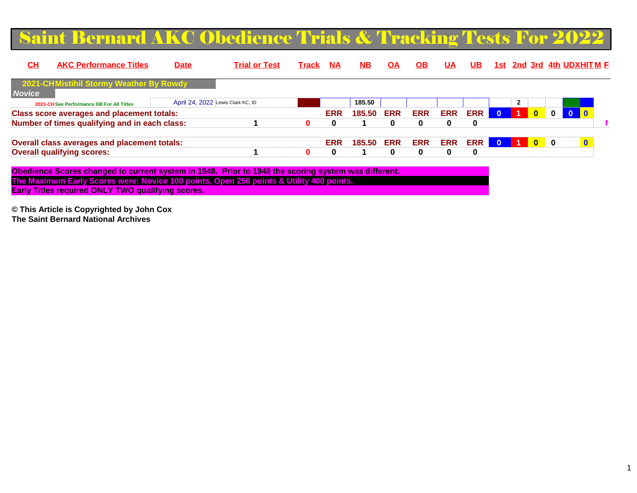#### Saint Bernard AKC Obedience Trials & Tracking Tests For 20

| <u>СН</u>     | <b>AKC Performance Titles</b>                     | <u>Date</u> | <b>Trial or Test</b>              | Track | <b>NA</b>  | <b>NB</b> | OA         | <b>OB</b>  | UА         | <b>UB</b>  |                |              |                         |          | 1st 2nd 3rd 4th UDXHITM E |
|---------------|---------------------------------------------------|-------------|-----------------------------------|-------|------------|-----------|------------|------------|------------|------------|----------------|--------------|-------------------------|----------|---------------------------|
|               | 2021-CHMistihil Stormy Weather By Rowdy           |             |                                   |       |            |           |            |            |            |            |                |              |                         |          |                           |
| <b>Novice</b> |                                                   |             |                                   |       |            |           |            |            |            |            |                |              |                         |          |                           |
|               | 2021-CH See Performance DB For All Titles         |             | April 24, 2022 Lewis Clark KC, ID |       |            | 185.50    |            |            |            |            |                | $\mathbf{2}$ |                         |          |                           |
|               | <b>Class score averages and placement totals:</b> |             |                                   |       | <b>ERR</b> | 185.50    | <b>ERR</b> | <b>ERR</b> | <b>ERR</b> | <b>ERR</b> | $\mathbf{0}$   | -1           | $\overline{\mathbf{0}}$ | $\bf{0}$ |                           |
|               | Number of times qualifying and in each class:     |             |                                   | 0     | $\bf{0}$   |           | 0          | 0          | 0          | 0          |                |              |                         |          |                           |
|               | Overall class averages and placement totals:      |             |                                   |       | <b>ERR</b> | 185.50    | <b>ERR</b> | <b>ERR</b> | <b>ERR</b> | ERR        | $\overline{0}$ | -1           | $\overline{\mathbf{0}}$ | 0        |                           |
|               | <b>Overall qualifying scores:</b>                 |             |                                   |       | 0          |           | 0          | 0          | 0          | 0          |                |              |                         |          |                           |
|               |                                                   |             |                                   |       |            |           |            |            |            |            |                |              |                         |          |                           |

**Obedience Scores changed to current system in 1948. Prior to 1948 the scoring system was different. The Maximum Early Scores were: Novice 100 points, Open 250 points & Utility 400 points. Early Titles required ONLY TWO qualifying scores.**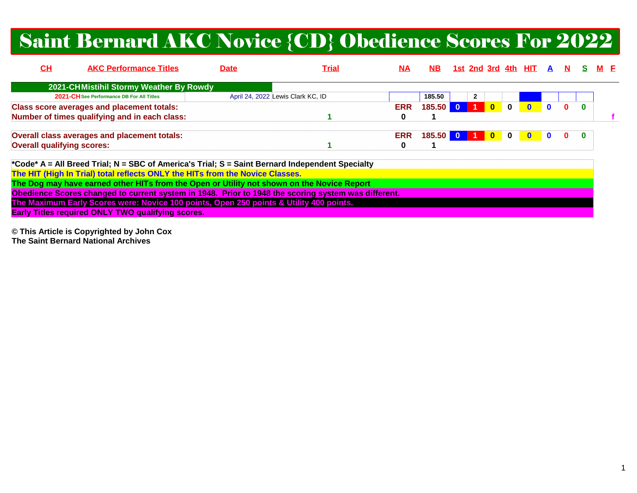# Saint Bernard AKC Novice {CD} Obedience Scores For 2022

| C <sub>H</sub>                    | <b>AKC Performance Titles</b>                                                                   | <b>Date</b> | <u>Trial</u>                      | <u>NA</u>  | NB.        |                         |                |                         |              | <u>1st 2nd 3rd 4th HIT A N S M F</u> |  |  |  |
|-----------------------------------|-------------------------------------------------------------------------------------------------|-------------|-----------------------------------|------------|------------|-------------------------|----------------|-------------------------|--------------|--------------------------------------|--|--|--|
|                                   | 2021-CHMistihil Stormy Weather By Rowdy                                                         |             |                                   |            |            |                         |                |                         |              |                                      |  |  |  |
|                                   | 2021-CH See Performance DB For All Titles                                                       |             | April 24, 2022 Lewis Clark KC, ID |            | 185.50     |                         | $\overline{2}$ |                         |              |                                      |  |  |  |
|                                   | <b>Class score averages and placement totals:</b>                                               |             |                                   | <b>ERR</b> | 185.50     | $\overline{\mathbf{0}}$ | $\overline{1}$ | $\overline{\mathbf{0}}$ | $\mathbf{0}$ |                                      |  |  |  |
|                                   | Number of times qualifying and in each class:                                                   |             |                                   | 0          |            |                         |                |                         |              |                                      |  |  |  |
|                                   | Overall class averages and placement totals:                                                    |             |                                   | <b>ERR</b> | 185.50 0 1 |                         |                | $\overline{\mathbf{0}}$ | $\mathbf{0}$ |                                      |  |  |  |
| <b>Overall qualifying scores:</b> |                                                                                                 |             |                                   | 0          |            |                         |                |                         |              |                                      |  |  |  |
|                                   | *Code* A = All Breed Trial; N = SBC of America's Trial; S = Saint Bernard Independent Specialty |             |                                   |            |            |                         |                |                         |              |                                      |  |  |  |

**The HIT (High In Trial) total reflects ONLY the HITs from the Novice Classes.**

**The Dog may have earned other HITs from the Open or Utility not shown on the Novice Report**

**Obedience Scores changed to current system in 1948. Prior to 1948 the scoring system was different.**

**The Maximum Early Scores were: Novice 100 points, Open 250 points & Utility 400 points.**

**Early Titles required ONLY TWO qualifying scores.**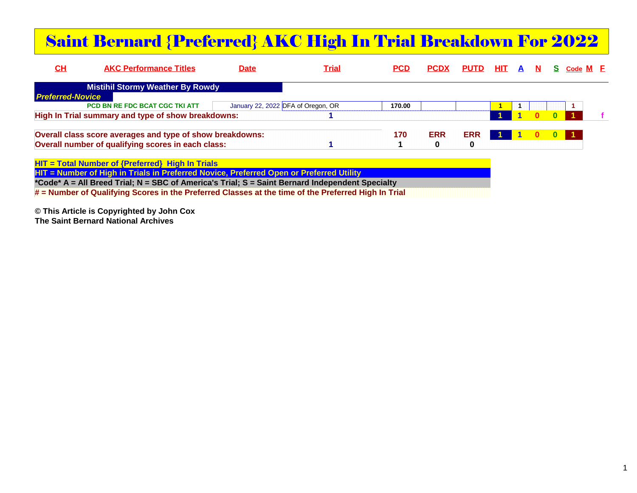#### Saint Bernard {Preferred} AKC High In Trial Breakdown For 2022

| $CH$                    | <b>AKC Performance Titles</b>                             | Date | <b>Trial</b>                       | <b>PCD</b> |            | <b>PCDX PUTD HIT A N S Code M E</b> |  |              |  |  |
|-------------------------|-----------------------------------------------------------|------|------------------------------------|------------|------------|-------------------------------------|--|--------------|--|--|
|                         | <b>Mistihil Stormy Weather By Rowdy</b>                   |      |                                    |            |            |                                     |  |              |  |  |
| <b>Preferred-Novice</b> |                                                           |      |                                    |            |            |                                     |  |              |  |  |
|                         | PCD BN RE FDC BCAT CGC TKI ATT                            |      | January 22, 2022 DFA of Oregon, OR | 170.00     |            |                                     |  |              |  |  |
|                         | High In Trial summary and type of show breakdowns:        |      |                                    |            |            |                                     |  | $\mathbf{a}$ |  |  |
|                         | Overall class score averages and type of show breakdowns: |      |                                    | 170        | <b>ERR</b> | <b>ERR</b>                          |  |              |  |  |
|                         | Overall number of qualifying scores in each class:        |      |                                    |            | 0          | 0                                   |  |              |  |  |

**HIT = Total Number of {Preferred} High In Trials HIT = Number of High in Trials in Preferred Novice, Preferred Open or Preferred Utility \*Code\* A = All Breed Trial; N = SBC of America's Trial; S = Saint Bernard Independent Specialty# = Number of Qualifying Scores in the Preferred Classes at the time of the Preferred High In Trial**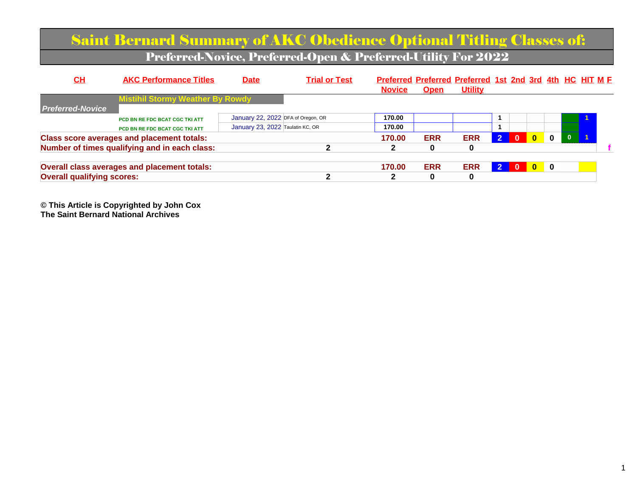#### Saint Bernard Summary of AKC Obedience Optional Titling Classes of:Preferred-Novice, Preferred-Open & Preferred-Utility For 2022

| CL                                | <b>AKC Performance Titles</b>                     | <b>Date</b>                        | <b>Trial or Test</b> | <b>Novice</b> | <b>Open</b> | Preferred Preferred Preferred 1st 2nd 3rd 4th HC HIT M F<br><b>Utility</b> |               |              |          |  |
|-----------------------------------|---------------------------------------------------|------------------------------------|----------------------|---------------|-------------|----------------------------------------------------------------------------|---------------|--------------|----------|--|
|                                   | <b>Mistihil Stormy Weather By Rowdy</b>           |                                    |                      |               |             |                                                                            |               |              |          |  |
| <b>Preferred-Novice</b>           |                                                   |                                    |                      |               |             |                                                                            |               |              |          |  |
|                                   | PCD BN RE FDC BCAT CGC TKI ATT                    | January 22, 2022 DFA of Oregon, OR |                      | 170.00        |             |                                                                            |               |              |          |  |
|                                   | PCD BN RE FDC BCAT CGC TKI ATT                    | January 23, 2022 Taulatin KC, OR   |                      | 170.00        |             |                                                                            |               |              |          |  |
|                                   | <b>Class score averages and placement totals:</b> |                                    |                      | 170.00        | <b>ERR</b>  | <b>ERR</b>                                                                 | $\mathcal{P}$ | $\mathbf{0}$ | $\bf{0}$ |  |
|                                   | Number of times qualifying and in each class:     |                                    | ◠                    |               | 0           | 0                                                                          |               |              |          |  |
|                                   | Overall class averages and placement totals:      |                                    |                      | 170.00        | <b>ERR</b>  | <b>ERR</b>                                                                 |               | $\mathbf{0}$ | 0        |  |
| <b>Overall qualifying scores:</b> |                                                   |                                    | ◠                    |               | 0           | 0                                                                          |               |              |          |  |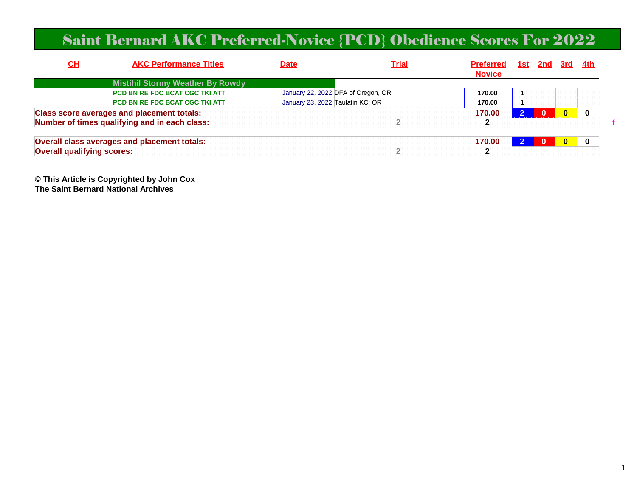#### Saint Bernard AKC Preferred-Novice {PCD} Obedience Scores For 2022

| <u>СН</u>                         | <b>AKC Performance Titles</b>                       | <b>Date</b>                      | <u>Trial</u>                       | <b>Preferred</b><br><b>Novice</b> | 1st. | 2nd | 3rd | 4th      |
|-----------------------------------|-----------------------------------------------------|----------------------------------|------------------------------------|-----------------------------------|------|-----|-----|----------|
|                                   | <b>Mistihil Stormy Weather By Rowdy</b>             |                                  |                                    |                                   |      |     |     |          |
|                                   | <b>PCD BN RE FDC BCAT CGC TKI ATT</b>               |                                  | January 22, 2022 DFA of Oregon, OR | 170.00                            |      |     |     |          |
|                                   | <b>PCD BN RE FDC BCAT CGC TKI ATT</b>               | January 23, 2022 Taulatin KC, OR |                                    | 170.00                            |      |     |     |          |
|                                   | <b>Class score averages and placement totals:</b>   |                                  |                                    | 170.00                            |      |     |     | 0        |
|                                   | Number of times qualifying and in each class:       |                                  |                                    |                                   |      |     |     |          |
|                                   | <b>Overall class averages and placement totals:</b> |                                  |                                    | 170.00                            |      |     |     | $\bf{0}$ |
| <b>Overall qualifying scores:</b> |                                                     |                                  |                                    | 2                                 |      |     |     |          |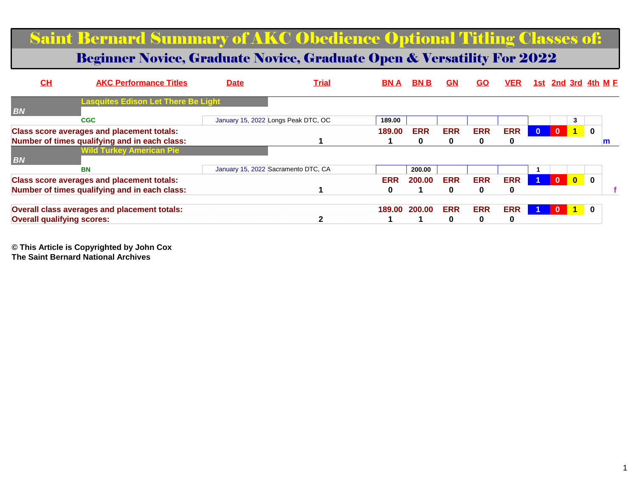#### Saint Bernard Summary of AKC Obedience Optional Titling Classes of:

#### Beginner Novice, Graduate Novice, Graduate Open & Versatility For 2022

| $CH$                              | <b>AKC Performance Titles</b>                                                                      | <b>Date</b> | <u>Trial</u>                        | BN A            | <b>BNB</b>      | <b>GN</b>       | <b>GO</b>       | VER             |              |              |                         | 1st 2nd 3rd 4th M F |  |
|-----------------------------------|----------------------------------------------------------------------------------------------------|-------------|-------------------------------------|-----------------|-----------------|-----------------|-----------------|-----------------|--------------|--------------|-------------------------|---------------------|--|
|                                   | <b>Lasquites Edison Let There Be Light</b>                                                         |             |                                     |                 |                 |                 |                 |                 |              |              |                         |                     |  |
| <b>BN</b>                         | <b>CGC</b>                                                                                         |             | January 15, 2022 Longs Peak DTC, OC | 189.00          |                 |                 |                 |                 |              |              | 3                       |                     |  |
|                                   | <b>Class score averages and placement totals:</b><br>Number of times qualifying and in each class: |             |                                     | 189.00          | <b>ERR</b><br>0 | <b>ERR</b><br>0 | <b>ERR</b>      | <b>ERR</b><br>0 | $\mathbf{0}$ | $\mathbf{0}$ | $\blacktriangleleft$    | $\bf{0}$            |  |
| <b>BN</b>                         | <b>Wild Turkey American Pie</b>                                                                    |             |                                     |                 |                 |                 |                 |                 |              |              |                         |                     |  |
|                                   | <b>BN</b>                                                                                          |             | January 15, 2022 Sacramento DTC, CA |                 | 200.00          |                 |                 |                 |              |              |                         |                     |  |
|                                   | <b>Class score averages and placement totals:</b><br>Number of times qualifying and in each class: |             |                                     | <b>ERR</b><br>0 | 200.00          | <b>ERR</b><br>0 | <b>ERR</b><br>0 | <b>ERR</b><br>0 |              | $\mathbf{0}$ | $\overline{\mathbf{0}}$ | $\mathbf{0}$        |  |
| <b>Overall qualifying scores:</b> | Overall class averages and placement totals:                                                       |             |                                     | 189.00          | 200.00          | <b>ERR</b><br>0 | <b>ERR</b>      | <b>ERR</b><br>0 |              | $\mathbf{0}$ | $\overline{1}$          | $\mathbf{0}$        |  |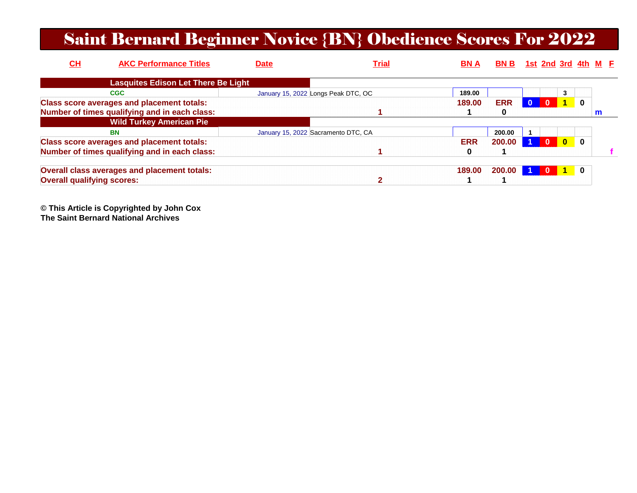#### Saint Bernard Beginner Novice {BN} Obedience Scores For 2022

| C <sub>H</sub>                    | <b>AKC Performance Titles</b>                     | <b>Date</b> | <u>Trial</u>                        | <b>BNA</b> | BN B       |              | <u>1st 2nd 3rd 4th M F</u> |   |             |   |  |
|-----------------------------------|---------------------------------------------------|-------------|-------------------------------------|------------|------------|--------------|----------------------------|---|-------------|---|--|
|                                   | <b>Lasquites Edison Let There Be Light</b>        |             |                                     |            |            |              |                            |   |             |   |  |
|                                   | <b>CGC</b>                                        |             | January 15, 2022 Longs Peak DTC, OC | 189.00     |            |              |                            | 3 |             |   |  |
|                                   | <b>Class score averages and placement totals:</b> |             |                                     | 189.00     | <b>ERR</b> | $\mathbf{0}$ | $\Omega$                   |   | $\bf{0}$    |   |  |
|                                   | Number of times qualifying and in each class:     |             |                                     |            | 0          |              |                            |   |             | m |  |
|                                   | <b>Wild Turkey American Pie</b>                   |             |                                     |            |            |              |                            |   |             |   |  |
|                                   | <b>BN</b>                                         |             | January 15, 2022 Sacramento DTC, CA |            | 200.00     |              |                            |   |             |   |  |
|                                   | <b>Class score averages and placement totals:</b> |             |                                     | <b>ERR</b> | 200.00     |              | $\mathbf{0}$               |   | 0           |   |  |
|                                   | Number of times qualifying and in each class:     |             |                                     | 0          |            |              |                            |   |             |   |  |
|                                   | Overall class averages and placement totals:      |             |                                     | 189.00     | 200.00     |              | $\bf{0}$                   |   | $\mathbf 0$ |   |  |
| <b>Overall qualifying scores:</b> |                                                   |             |                                     |            |            |              |                            |   |             |   |  |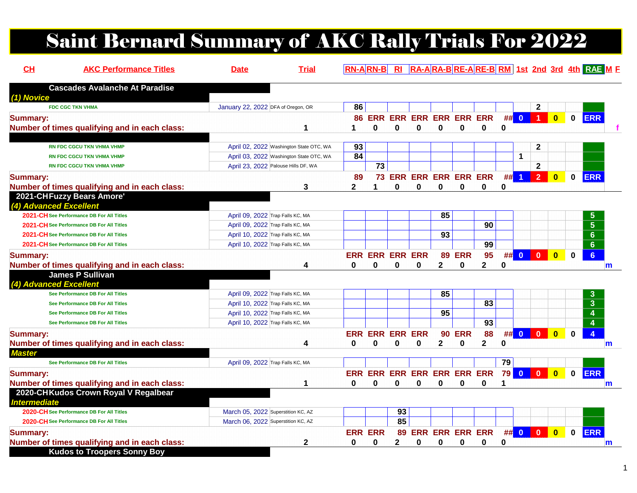# Saint Bernard Summary of AKC Rally Trials For 2022

| CH                     | <b>AKC Performance Titles</b>                 | <b>Date</b>                        | <b>Trial</b>                            |              |                 |                             |          |                            |             |              |             |                         |                |                         |              | RN-ARN-B RI RA-ARA-BRE-ARE-BRM 1st 2nd 3rd 4th RAE ME |
|------------------------|-----------------------------------------------|------------------------------------|-----------------------------------------|--------------|-----------------|-----------------------------|----------|----------------------------|-------------|--------------|-------------|-------------------------|----------------|-------------------------|--------------|-------------------------------------------------------|
|                        | <b>Cascades Avalanche At Paradise</b>         |                                    |                                         |              |                 |                             |          |                            |             |              |             |                         |                |                         |              |                                                       |
| (1) Novice             | <b>FDC CGC TKN VHMA</b>                       | January 22, 2022 DFA of Oregon, OR |                                         | 86           |                 |                             |          |                            |             |              |             |                         | $\mathbf{2}$   |                         |              |                                                       |
|                        |                                               |                                    |                                         |              |                 |                             |          |                            |             |              |             |                         |                |                         |              |                                                       |
| <b>Summary:</b>        |                                               |                                    |                                         | 86           | <b>ERR</b>      |                             |          | ERR ERR ERR ERR ERR        |             |              | ## 0        |                         | $\overline{1}$ | $\overline{\mathbf{0}}$ | $\mathbf 0$  | <b>ERR</b>                                            |
|                        | Number of times qualifying and in each class: |                                    | 1                                       | 1            | $\bf{0}$        | $\bf{0}$                    | $\bf{0}$ | 0                          | $\bf{0}$    | $\bf{0}$     | $\bf{0}$    |                         |                |                         |              |                                                       |
|                        | <b>RN FDC CGCU TKN VHMA VHMP</b>              |                                    | April 02, 2022 Washington State OTC, WA | 93           |                 |                             |          |                            |             |              |             |                         | $\mathbf{2}$   |                         |              |                                                       |
|                        | RN FDC CGCU TKN VHMA VHMP                     |                                    | April 03, 2022 Washington State OTC, WA | 84           |                 |                             |          |                            |             |              |             | $\mathbf{1}$            |                |                         |              |                                                       |
|                        | RN FDC CGCU TKN VHMA VHMP                     |                                    | April 23, 2022 Palouse Hills DF, WA     |              | $\overline{73}$ |                             |          |                            |             |              |             |                         | $\mathbf{2}$   |                         |              |                                                       |
| <b>Summary:</b>        |                                               |                                    |                                         | 89           | 73              |                             |          | <b>ERR ERR ERR ERR ERR</b> |             |              | #           | $\blacktriangleleft$    | $\overline{2}$ | $\bf{0}$                | $\bf{0}$     | <b>ERR</b>                                            |
|                        | Number of times qualifying and in each class: |                                    | 3                                       | $\mathbf{2}$ | 1               | $\bf{0}$                    | 0        | 0                          | $\mathbf 0$ | $\mathbf{0}$ | $\mathbf 0$ |                         |                |                         |              |                                                       |
|                        | 2021-CHFuzzy Bears Amore'                     |                                    |                                         |              |                 |                             |          |                            |             |              |             |                         |                |                         |              |                                                       |
| (4) Advanced Excellent |                                               |                                    |                                         |              |                 |                             |          |                            |             |              |             |                         |                |                         |              |                                                       |
|                        | 2021-CH See Performance DB For All Titles     |                                    | April 09, 2022 Trap Falls KC, MA        |              |                 |                             |          | 85                         |             |              |             |                         |                |                         |              |                                                       |
|                        | 2021-CH See Performance DB For All Titles     |                                    | April 09, 2022 Trap Falls KC, MA        |              |                 |                             |          |                            |             | 90           |             |                         |                |                         |              | $\overline{\mathbf{5}}$                               |
|                        | 2021-CH See Performance DB For All Titles     |                                    | April 10, 2022 Trap Falls KC, MA        |              |                 |                             |          | 93                         |             |              |             |                         |                |                         |              | $6\phantom{a}$                                        |
|                        | 2021-CH See Performance DB For All Titles     |                                    | April 10, 2022 Trap Falls KC, MA        |              |                 |                             |          |                            |             | 99           |             |                         |                |                         |              | $6\phantom{1}$                                        |
| <b>Summary:</b>        |                                               |                                    |                                         |              |                 | <b>ERR ERR ERR ERR</b>      |          | 89                         | <b>ERR</b>  | 95           | ##          | $\overline{0}$          | $\mathbf{0}$   | $\bf{0}$                | $\bf{0}$     | $6\overline{6}$                                       |
|                        | Number of times qualifying and in each class: |                                    | 4                                       | 0            | 0               | 0                           | 0        | 2                          | $\mathbf 0$ | $\mathbf{2}$ | $\mathbf 0$ |                         |                |                         |              | m                                                     |
|                        | <b>James P Sullivan</b>                       |                                    |                                         |              |                 |                             |          |                            |             |              |             |                         |                |                         |              |                                                       |
| (4) Advanced Excellent |                                               |                                    |                                         |              |                 |                             |          |                            |             |              |             |                         |                |                         |              |                                                       |
|                        | See Performance DB For All Titles             |                                    | April 09, 2022 Trap Falls KC, MA        |              |                 |                             |          | 85                         |             |              |             |                         |                |                         |              | 3                                                     |
|                        | See Performance DB For All Titles             |                                    | April 10, 2022 Trap Falls KC, MA        |              |                 |                             |          |                            |             | 83           |             |                         |                |                         |              | $\overline{\overline{3}}$                             |
|                        | See Performance DB For All Titles             |                                    | April 10, 2022 Trap Falls KC, MA        |              |                 |                             |          | 95                         |             |              |             |                         |                |                         |              | $\overline{\mathbf{4}}$                               |
|                        | See Performance DB For All Titles             |                                    | April 10, 2022 Trap Falls KC, MA        |              |                 |                             |          |                            |             | 93           |             |                         |                |                         |              | 4                                                     |
| <b>Summary:</b>        |                                               |                                    |                                         |              |                 | <b>ERR ERR ERR ERR</b>      |          | 90                         | <b>ERR</b>  | 88           | ##          | $\overline{\mathbf{0}}$ | $\mathbf{0}$   | $\bf{0}$                | $\mathbf{0}$ | $\overline{4}$                                        |
|                        | Number of times qualifying and in each class: |                                    | 4                                       | 0            | 0               | 0                           | 0        | $\mathbf{2}$               | $\bf{0}$    | $\mathbf{2}$ | $\bf{0}$    |                         |                |                         |              | m                                                     |
| <b>Master</b>          |                                               |                                    |                                         |              |                 |                             |          |                            |             |              |             |                         |                |                         |              |                                                       |
|                        | See Performance DB For All Titles             |                                    | April 09, 2022 Trap Falls KC, MA        |              |                 |                             |          |                            |             |              | 79          |                         |                |                         |              |                                                       |
| <b>Summary:</b>        |                                               |                                    |                                         |              |                 | ERR ERR ERR ERR ERR ERR ERR |          |                            |             |              | 79          | $\overline{\mathbf{0}}$ | $\overline{0}$ | $\overline{\mathbf{0}}$ | $\mathbf 0$  | <b>ERR</b>                                            |
|                        | Number of times qualifying and in each class: |                                    | 1                                       | 0            | $\Omega$        | $\Omega$                    | $\Omega$ | $\Omega$                   | $\bf{0}$    | $\bf{0}$     | 1           |                         |                |                         |              | m                                                     |
| <b>Intermediate</b>    | 2020-CHKudos Crown Royal V Regalbear          |                                    |                                         |              |                 |                             |          |                            |             |              |             |                         |                |                         |              |                                                       |
|                        | 2020-CH See Performance DB For All Titles     |                                    | March 05, 2022 Superstition KC, AZ      |              |                 | 93                          |          |                            |             |              |             |                         |                |                         |              |                                                       |
|                        | 2020-CH See Performance DB For All Titles     |                                    | March 06, 2022 Superstition KC, AZ      |              |                 | 85                          |          |                            |             |              |             |                         |                |                         |              |                                                       |
| <b>Summary:</b>        |                                               |                                    |                                         |              | <b>ERR ERR</b>  |                             |          | 89 ERR ERR ERR ERR         |             |              |             | $\#$ 0                  | $\mathbf{0}$   | $\overline{\mathbf{0}}$ | $\mathbf 0$  | <b>ERR</b>                                            |
|                        | Number of times qualifying and in each class: |                                    | $\mathbf{2}$                            | 0            | 0               | 2                           | O        | 0                          | 0           | 0            | 0           |                         |                |                         |              | m                                                     |
|                        | <b>Kudos to Troopers Sonny Boy</b>            |                                    |                                         |              |                 |                             |          |                            |             |              |             |                         |                |                         |              |                                                       |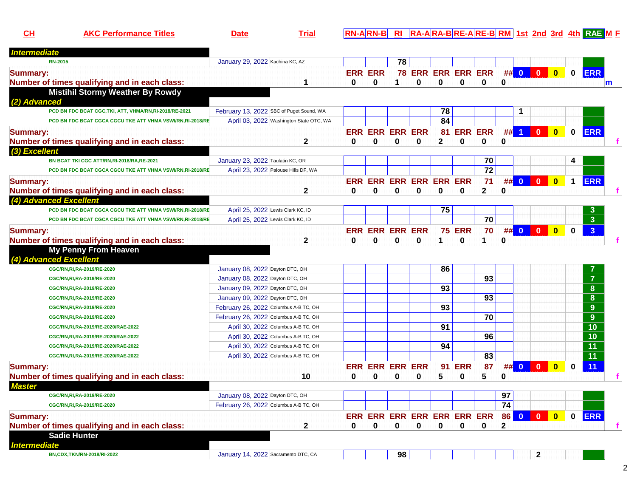**CH**

**AKC Performance Titles Date Trial RN-A RN-B RI RA-A RA-B RE-A RE-B RM 1st 2nd 3rd 4th RAE <sup>M</sup> <sup>F</sup>**

| <u>Intermediate</u>                                       |                                       |                                          |              |                             |                |              |                |               |                         |              |                         |                         |                         |              |                         |
|-----------------------------------------------------------|---------------------------------------|------------------------------------------|--------------|-----------------------------|----------------|--------------|----------------|---------------|-------------------------|--------------|-------------------------|-------------------------|-------------------------|--------------|-------------------------|
| <b>RN-2015</b>                                            | January 29, 2022 Kachina KC, AZ       |                                          |              |                             | 78             |              |                |               |                         |              |                         |                         |                         |              |                         |
| <b>Summary:</b>                                           |                                       |                                          |              | <b>ERR ERR</b>              |                |              |                |               | 78 ERR ERR ERR ERR      |              | ## 0                    | $\overline{\mathbf{0}}$ | $\bullet$               | $\mathbf 0$  | <b>ERR</b>              |
| Number of times qualifying and in each class:             |                                       | 1                                        | $\mathbf{0}$ | $\Omega$                    | 1              | $\mathbf{0}$ | $\bf{0}$       | $\bf{0}$      | $\mathbf{0}$            | 0            |                         |                         |                         |              | $\mathsf{m}$            |
| <b>Mistihil Stormy Weather By Rowdy</b>                   |                                       |                                          |              |                             |                |              |                |               |                         |              |                         |                         |                         |              |                         |
| (2) Advanced                                              |                                       |                                          |              |                             |                |              |                |               |                         |              |                         |                         |                         |              |                         |
| PCD BN FDC BCAT CGC, TKI, ATT, VHMA/RN, RI-2018/RE-2021   |                                       | February 13, 2022 SBC of Puget Sound, WA |              |                             |                |              | 78             |               |                         |              | 1                       |                         |                         |              |                         |
| PCD BN FDC BCAT CGCA CGCU TKE ATT VHMA VSWI/RN,RI-2018/RE |                                       | April 03, 2022 Washington State OTC, WA  |              |                             |                |              | 84             |               |                         |              |                         |                         |                         |              |                         |
| <b>Summary:</b>                                           |                                       |                                          |              | <b>ERR ERR</b>              | <b>ERR ERR</b> |              | 81             |               | <b>ERR ERR</b>          | #            | $\vert$ 1               | $\mathbf{0}$            | $\overline{\mathbf{0}}$ | $\mathbf 0$  | <b>ERR</b>              |
| Number of times qualifying and in each class:             |                                       | $\mathbf{2}$                             | $\Omega$     | $\bf{0}$                    | $\bf{0}$       | 0            | $\overline{2}$ | $\bf{0}$      | $\bf{0}$                | $\bf{0}$     |                         |                         |                         |              |                         |
| (3) Excellent                                             |                                       |                                          |              |                             |                |              |                |               |                         |              |                         |                         |                         |              |                         |
| BN BCAT TKI CGC ATT/RN,RI-2018/RA,RE-2021                 | January 23, 2022 Taulatin KC, OR      |                                          |              |                             |                |              |                |               | 70                      |              |                         |                         |                         | 4            |                         |
| PCD BN FDC BCAT CGCA CGCU TKE ATT VHMA VSWI/RN,RI-2018/RE |                                       | April 23, 2022 Palouse Hills DF, WA      |              |                             |                |              |                |               | $\overline{72}$         |              |                         |                         |                         |              |                         |
| <b>Summary:</b>                                           |                                       |                                          |              | ERR ERR ERR ERR ERR ERR     |                |              |                |               | 71                      |              | $\#$ $\#$ 0             | $\overline{\mathbf{0}}$ | $\overline{\mathbf{0}}$ | $\mathbf 1$  | <b>ERR</b>              |
| Number of times qualifying and in each class:             |                                       | $\mathbf{2}$                             | $\mathbf 0$  | 0                           | 0              | 0            | $\bf{0}$       | $\mathbf 0$   | $\overline{\mathbf{2}}$ | $\mathbf 0$  |                         |                         |                         |              |                         |
| (4) Advanced Excellent                                    |                                       |                                          |              |                             |                |              |                |               |                         |              |                         |                         |                         |              |                         |
| PCD BN FDC BCAT CGCA CGCU TKE ATT VHMA VSWI/RN,RI-2018/RE |                                       | April 25, 2022 Lewis Clark KC, ID        |              |                             |                |              | 75             |               |                         |              |                         |                         |                         |              |                         |
| PCD BN FDC BCAT CGCA CGCU TKE ATT VHMA VSWI/RN,RI-2018/RE |                                       | April 25, 2022 Lewis Clark KC, ID        |              |                             |                |              |                |               | $\overline{70}$         |              |                         |                         |                         |              | $\overline{\mathbf{3}}$ |
| <b>Summary:</b>                                           |                                       |                                          |              | <b>ERR ERR ERR ERR</b>      |                |              |                | <b>75 ERR</b> | 70                      | ##           | $\overline{\mathbf{0}}$ | $\mathbf{0}$            | $\overline{\mathbf{0}}$ | 0            | 3 <sup>°</sup>          |
| Number of times qualifying and in each class:             |                                       | $\mathbf{2}$                             | $\bf{0}$     | $\bf{0}$                    | 0              | 0            | 1              | $\bf{0}$      | 1                       | 0            |                         |                         |                         |              |                         |
| <b>My Penny From Heaven</b>                               |                                       |                                          |              |                             |                |              |                |               |                         |              |                         |                         |                         |              |                         |
| (4) Advanced Excellent                                    |                                       |                                          |              |                             |                |              |                |               |                         |              |                         |                         |                         |              |                         |
| CGC/RN, RI, RA-2019/RE-2020                               | January 08, 2022 Dayton DTC, OH       |                                          |              |                             |                |              | 86             |               |                         |              |                         |                         |                         |              |                         |
| CGC/RN, RI, RA-2019/RE-2020                               | January 08, 2022 Dayton DTC, OH       |                                          |              |                             |                |              |                |               | 93                      |              |                         |                         |                         |              | $\overline{7}$          |
| CGC/RN, RI, RA-2019/RE-2020                               | January 09, 2022 Dayton DTC, OH       |                                          |              |                             |                |              | 93             |               |                         |              |                         |                         |                         |              | $\overline{\mathbf{8}}$ |
| CGC/RN, RI, RA-2019/RE-2020                               | January 09, 2022 Dayton DTC, OH       |                                          |              |                             |                |              |                |               | 93                      |              |                         |                         |                         |              | $\overline{\mathbf{8}}$ |
| CGC/RN, RI, RA-2019/RE-2020                               | February 26, 2022 Columbus A-B TC, OH |                                          |              |                             |                |              | 93             |               |                         |              |                         |                         |                         |              | $\overline{9}$          |
| CGC/RN, RI, RA-2019/RE-2020                               | February 26, 2022 Columbus A-B TC, OH |                                          |              |                             |                |              |                |               | $\overline{70}$         |              |                         |                         |                         |              | $\overline{9}$          |
| CGC/RN, RI, RA-2019/RE-2020/RAE-2022                      |                                       | April 30, 2022 Columbus A-B TC, OH       |              |                             |                |              | 91             |               |                         |              |                         |                         |                         |              | $\overline{10}$         |
| CGC/RN, RI, RA-2019/RE-2020/RAE-2022                      |                                       | April 30, 2022 Columbus A-B TC, OH       |              |                             |                |              |                |               | 96                      |              |                         |                         |                         |              | 10                      |
| CGC/RN, RI, RA-2019/RE-2020/RAE-2022                      |                                       | April 30, 2022 Columbus A-B TC, OH       |              |                             |                |              | 94             |               |                         |              |                         |                         |                         |              | $\overline{11}$         |
| CGC/RN, RI, RA-2019/RE-2020/RAE-2022                      |                                       | April 30, 2022 Columbus A-B TC, OH       |              |                             |                |              |                |               | 83                      |              |                         |                         |                         |              | 11                      |
| <b>Summary:</b>                                           |                                       |                                          |              | <b>ERR ERR ERR ERR</b>      |                |              | 91             | <b>ERR</b>    | 87                      | #            | $\bullet$               | $\overline{\mathbf{0}}$ | $\overline{\mathbf{0}}$ | $\bf{0}$     | 11                      |
| Number of times qualifying and in each class:             |                                       | 10                                       | $\bf{0}$     | $\bf{0}$                    | 0              | 0            | 5              | 0             | 5                       | $\mathbf 0$  |                         |                         |                         |              |                         |
| <b>Master</b>                                             |                                       |                                          |              |                             |                |              |                |               |                         |              |                         |                         |                         |              |                         |
| CGC/RN, RI, RA-2019/RE-2020                               | January 08, 2022 Dayton DTC, OH       |                                          |              |                             |                |              |                |               |                         | 97           |                         |                         |                         |              |                         |
| CGC/RN, RI, RA-2019/RE-2020                               | February 26, 2022 Columbus A-B TC, OH |                                          |              |                             |                |              |                |               |                         | 74           |                         |                         |                         |              |                         |
| <b>Summary:</b>                                           |                                       |                                          |              | ERR ERR ERR ERR ERR ERR ERR |                |              |                |               |                         | <b>86</b>    | $\bullet$               | $\mathbf{0}$            | $\overline{\mathbf{0}}$ | $\mathbf{0}$ | <b>ERR</b>              |
| Number of times qualifying and in each class:             |                                       | $\mathbf{2}$                             | $\bf{0}$     | 0                           | $\bf{0}$       | 0            | 0              | $\bf{0}$      | 0                       | $\mathbf{2}$ |                         |                         |                         |              |                         |
| <b>Sadie Hunter</b>                                       |                                       |                                          |              |                             |                |              |                |               |                         |              |                         |                         |                         |              |                         |
| <b>Intermediate</b>                                       |                                       |                                          |              |                             |                |              |                |               |                         |              |                         |                         |                         |              |                         |
| <b>BN.CDX.TKN/RN-2018/RI-2022</b>                         | January 14, 2022 Sacramento DTC, CA   |                                          |              |                             | 98             |              |                |               |                         |              |                         | $\mathbf{2}$            |                         |              |                         |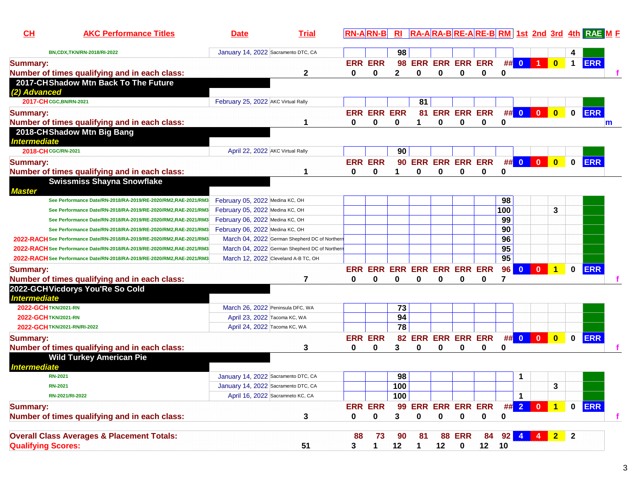| CL                        | <b>AKC Performance Titles</b>                                           | <b>Date</b>                         | <b>Trial</b>                                  |         | <b>RN-ARN-B</b>             | R <sub>l</sub>  |                    |             |                              |                       |     |              |                         |                         |              | RA-ARA-BRE-ARE-BRM 1st 2nd 3rd 4th RAE M F |    |
|---------------------------|-------------------------------------------------------------------------|-------------------------------------|-----------------------------------------------|---------|-----------------------------|-----------------|--------------------|-------------|------------------------------|-----------------------|-----|--------------|-------------------------|-------------------------|--------------|--------------------------------------------|----|
|                           | BN,CDX,TKN/RN-2018/RI-2022                                              | January 14, 2022 Sacramento DTC, CA |                                               |         |                             | 98              |                    |             |                              |                       |     |              |                         |                         |              |                                            |    |
| <b>Summary:</b>           |                                                                         |                                     |                                               |         | <b>ERR ERR</b>              |                 | 98 ERR ERR ERR ERR |             |                              |                       |     | ## 0 1       |                         | $\mathbf{0}$            | $\mathbf 1$  | <b>ERR</b>                                 |    |
|                           | Number of times qualifying and in each class:                           |                                     | 2                                             | 0       | 0                           | 2               | 0                  | 0           | 0                            | 0                     | 0   |              |                         |                         |              |                                            |    |
| (2) Advanced              | 2017-CHShadow Mtn Back To The Future                                    |                                     |                                               |         |                             |                 |                    |             |                              |                       |     |              |                         |                         |              |                                            |    |
| 2017-CH CGC, BN/RN-2021   |                                                                         | February 25, 2022 AKC Virtual Rally |                                               |         |                             |                 | 81                 |             |                              |                       |     |              |                         |                         |              |                                            |    |
| <b>Summary:</b>           |                                                                         |                                     |                                               |         | <b>ERR ERR ERR</b>          |                 | 81                 |             |                              | <b>ERR ERR ERR</b>    |     | ## 0         | $\overline{\mathbf{0}}$ | $\bullet$               | $\mathbf 0$  | <b>ERR</b>                                 |    |
|                           | Number of times qualifying and in each class:                           |                                     | 1                                             | 0       | $\bf{0}$                    | 0               | 1                  | 0           | $\bf{0}$                     | $\bf{0}$              | 0   |              |                         |                         |              | $\mathsf{m}$                               |    |
| <b>Intermediate</b>       | 2018-CHShadow Mtn Big Bang                                              |                                     |                                               |         |                             |                 |                    |             |                              |                       |     |              |                         |                         |              |                                            |    |
| 2018-CH CGC/RN-2021       |                                                                         | April 22, 2022 AKC Virtual Rally    |                                               |         |                             | 90              |                    |             |                              |                       |     |              |                         |                         |              |                                            |    |
| <b>Summary:</b>           |                                                                         |                                     |                                               |         | <b>ERR ERR</b>              |                 |                    |             |                              | 90 ERR ERR ERR ERR    |     |              | ## 0 0 0                | $\bullet$               | $\mathbf 0$  | <b>ERR</b>                                 |    |
|                           | Number of times qualifying and in each class:                           |                                     | 1                                             | 0       | $\bf{0}$                    | 1               | $\bf{0}$           | 0           | $\bf{0}$                     | 0                     | 0   |              |                         |                         |              |                                            |    |
| <b>Master</b>             | <b>Swissmiss Shayna Snowflake</b>                                       |                                     |                                               |         |                             |                 |                    |             |                              |                       |     |              |                         |                         |              |                                            |    |
|                           | See Performance Date/RN-2018/RA-2019/RE-2020/RM2,RAE-2021/RM3           | February 05, 2022 Medina KC, OH     |                                               |         |                             |                 |                    |             |                              |                       | 98  |              |                         |                         |              |                                            |    |
|                           | See Performance Date/RN-2018/RA-2019/RE-2020/RM2,RAE-2021/RM3           | February 05, 2022 Medina KC, OH     |                                               |         |                             |                 |                    |             |                              |                       | 100 |              |                         | 3                       |              |                                            |    |
|                           | See Performance Date/RN-2018/RA-2019/RE-2020/RM2,RAE-2021/RM3           | February 06, 2022 Medina KC, OH     |                                               |         |                             |                 |                    |             |                              |                       | 99  |              |                         |                         |              |                                            |    |
|                           | See Performance Date/RN-2018/RA-2019/RE-2020/RM2,RAE-2021/RM3           | February 06, 2022 Medina KC, OH     |                                               |         |                             |                 |                    |             |                              |                       | 90  |              |                         |                         |              |                                            |    |
|                           | 2022-RACH See Performance Date/RN-2018/RA-2019/RE-2020/RM2,RAE-2021/RM3 |                                     | March 04, 2022 German Shepherd DC of Northern |         |                             |                 |                    |             |                              |                       | 96  |              |                         |                         |              |                                            |    |
|                           | 2022-RACH See Performance Date/RN-2018/RA-2019/RE-2020/RM2,RAE-2021/RM3 |                                     | March 04, 2022 German Shepherd DC of Northern |         |                             |                 |                    |             |                              |                       | 95  |              |                         |                         |              |                                            |    |
|                           | 2022-RACH See Performance Date/RN-2018/RA-2019/RE-2020/RM2,RAE-2021/RM3 |                                     | March 12, 2022 Cleveland A-B TC, OH           |         |                             |                 |                    |             |                              |                       | 95  |              |                         |                         |              |                                            |    |
| <b>Summary:</b>           |                                                                         |                                     |                                               |         | ERR ERR ERR ERR ERR ERR ERR |                 |                    |             |                              |                       | 96  | $\mathbf{0}$ | $\mathbf{0}$            | $\mathbf{1}$            | $\bf{0}$     | <b>ERR</b>                                 |    |
|                           | Number of times qualifying and in each class:                           |                                     | $\overline{\mathbf{z}}$                       | 0       | $\bf{0}$                    | 0               | 0                  | 0           | 0                            | 0                     | 7   |              |                         |                         |              |                                            |    |
|                           | 2022-GCHVicdorys You'Re So Cold                                         |                                     |                                               |         |                             |                 |                    |             |                              |                       |     |              |                         |                         |              |                                            |    |
| <b>Intermediate</b>       |                                                                         |                                     |                                               |         |                             |                 |                    |             |                              |                       |     |              |                         |                         |              |                                            |    |
| 2022-GCH TKN/2021-RN      |                                                                         |                                     | March 26, 2022 Peninsula DFC, WA              |         |                             | 73              |                    |             |                              |                       |     |              |                         |                         |              |                                            |    |
| 2022-GCH TKN/2021-RN      |                                                                         | April 23, 2022 Tacoma KC, WA        |                                               |         |                             | 94              |                    |             |                              |                       |     |              |                         |                         |              |                                            |    |
|                           | 2022-GCH TKN/2021-RN/RI-2022                                            | April 24, 2022 Tacoma KC, WA        |                                               |         |                             | $\overline{78}$ |                    |             |                              |                       |     |              |                         |                         |              |                                            |    |
| <b>Summary:</b>           |                                                                         |                                     |                                               |         | <b>ERR ERR</b>              |                 |                    |             |                              | 82 ERR ERR ERR ERR    |     | ## 0 0       |                         | $\overline{\mathbf{0}}$ | $\mathbf{0}$ | <b>ERR</b>                                 |    |
|                           | Number of times qualifying and in each class:                           |                                     | 3                                             | 0       | 0                           | 3               | 0                  | 0           | 0                            | 0                     | 0   |              |                         |                         |              |                                            |    |
|                           | <b>Wild Turkey American Pie</b>                                         |                                     |                                               |         |                             |                 |                    |             |                              |                       |     |              |                         |                         |              |                                            |    |
| <b>Intermediate</b>       |                                                                         |                                     |                                               |         |                             |                 |                    |             |                              |                       |     |              |                         |                         |              |                                            |    |
|                           | <b>RN-2021</b>                                                          | January 14, 2022 Sacramento DTC, CA |                                               |         |                             | 98              |                    |             |                              |                       |     | 1            |                         |                         |              |                                            |    |
|                           | <b>RN-2021</b>                                                          | January 14, 2022 Sacramento DTC, CA |                                               |         |                             | 100             |                    |             |                              |                       |     |              |                         | 3                       |              |                                            |    |
|                           | RN-2021/RI-2022                                                         |                                     | April 16, 2022 Sacramneto KC, CA              |         |                             | 100             |                    |             |                              |                       |     | 1            |                         |                         |              |                                            |    |
| <b>Summary:</b>           |                                                                         |                                     |                                               |         | <b>ERR ERR</b>              |                 | 99 ERR ERR ERR ERR |             |                              |                       |     | ## 2 0       |                         | $\overline{1}$          | $\mathbf 0$  | <b>ERR</b>                                 |    |
|                           | Number of times qualifying and in each class:                           |                                     | 3                                             | 0       | 0                           | 3               | 0                  | $\mathbf 0$ | $\mathbf 0$                  | $\mathbf 0$           | 0   |              |                         |                         |              |                                            | f. |
|                           |                                                                         |                                     |                                               |         |                             |                 |                    |             |                              |                       |     |              |                         |                         |              |                                            |    |
|                           | <b>Overall Class Averages &amp; Placement Totals:</b>                   |                                     | 51                                            | 88<br>3 | 73<br>$\mathbf{1}$          | 90<br>12        | 81<br>1            | 12          | <b>88 ERR</b><br>$\mathbf 0$ | 84<br>12 <sup>7</sup> | 10  |              |                         | 92 4 4 2 2              |              |                                            |    |
| <b>Qualifying Scores:</b> |                                                                         |                                     |                                               |         |                             |                 |                    |             |                              |                       |     |              |                         |                         |              |                                            |    |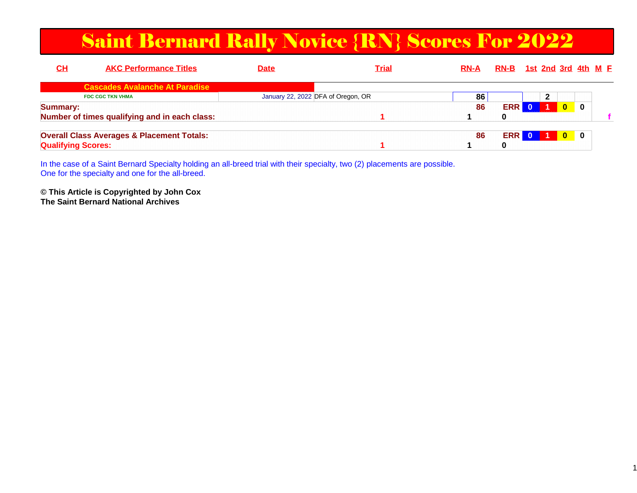### Saint Bernard Rally Novice {RN} Scores For 2022

| <u>СН</u>                 | <b>AKC Performance Titles</b>                         | <b>Date</b>                        | <b>Trial</b> | <b>RN-A</b> |            |   |                              | RN-B 1st 2nd 3rd 4th M E |
|---------------------------|-------------------------------------------------------|------------------------------------|--------------|-------------|------------|---|------------------------------|--------------------------|
|                           | <b>Cascades Avalanche At Paradise</b>                 |                                    |              |             |            |   |                              |                          |
|                           | <b>FDC CGC TKN VHMA</b>                               | January 22, 2022 DFA of Oregon, OR |              | 86          |            | 2 |                              |                          |
| <b>Summary:</b>           |                                                       |                                    |              | 86          | <b>ERR</b> |   | $\mathbf{0}$<br>$\Omega$     |                          |
|                           | Number of times qualifying and in each class:         |                                    |              |             | 0          |   |                              |                          |
|                           | <b>Overall Class Averages &amp; Placement Totals:</b> |                                    |              | 86          | ERR 0      |   | $\mathbf{0}$<br>$\mathbf{0}$ |                          |
| <b>Qualifying Scores:</b> |                                                       |                                    |              |             | 0          |   |                              |                          |

In the case of a Saint Bernard Specialty holding an all-breed trial with their specialty, two (2) placements are possible. One for the specialty and one for the all-breed.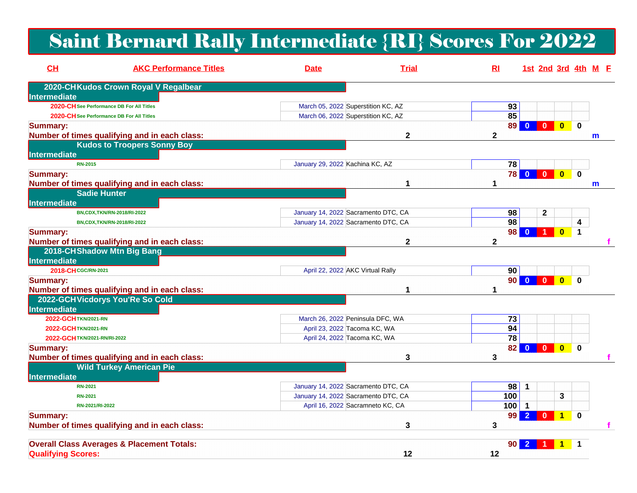# Saint Bernard Rally Intermediate {RI} Scores For 2022

| CH                           | <b>AKC Performance Titles</b>                         | <b>Date</b>                         | <b>Trial</b> | R1              | 1st 2nd 3rd 4th M E                                |                         |                         |   |
|------------------------------|-------------------------------------------------------|-------------------------------------|--------------|-----------------|----------------------------------------------------|-------------------------|-------------------------|---|
|                              | 2020-CHKudos Crown Royal V Regalbear                  |                                     |              |                 |                                                    |                         |                         |   |
| <b>Intermediate</b>          |                                                       |                                     |              |                 |                                                    |                         |                         |   |
|                              | 2020-CH See Performance DB For All Titles             | March 05, 2022 Superstition KC, AZ  |              | 93              |                                                    |                         |                         |   |
|                              | 2020-CH See Performance DB For All Titles             | March 06, 2022 Superstition KC, AZ  |              | 85              |                                                    |                         |                         |   |
| <b>Summary:</b>              |                                                       |                                     |              | 89              | $0$ 0                                              | $\mathbf{0}$            | $\bf{0}$                |   |
|                              | Number of times qualifying and in each class:         |                                     | $\mathbf 2$  | $\mathbf{2}$    |                                                    |                         |                         | m |
|                              | <b>Kudos to Troopers Sonny Boy</b>                    |                                     |              |                 |                                                    |                         |                         |   |
| Intermediate                 |                                                       |                                     |              |                 |                                                    |                         |                         |   |
| <b>RN-2015</b>               |                                                       | January 29, 2022 Kachina KC, AZ     |              | 78              |                                                    |                         |                         |   |
| <b>Summary:</b>              |                                                       |                                     |              | 78              | $\overline{\mathbf{0}}$<br>$\overline{\mathbf{0}}$ | $\overline{\mathbf{0}}$ | $\bf{0}$                |   |
|                              | Number of times qualifying and in each class:         |                                     |              |                 |                                                    |                         |                         | m |
|                              | <b>Sadie Hunter</b>                                   |                                     |              |                 |                                                    |                         |                         |   |
| Intermediate                 |                                                       |                                     |              |                 |                                                    |                         |                         |   |
|                              | BN,CDX,TKN/RN-2018/RI-2022                            | January 14, 2022 Sacramento DTC, CA |              | 98              | $\mathbf 2$                                        |                         |                         |   |
|                              | BN,CDX,TKN/RN-2018/RI-2022                            | January 14, 2022 Sacramento DTC, CA |              | 98              |                                                    |                         | $\overline{\mathbf{4}}$ |   |
| <b>Summary:</b>              |                                                       |                                     |              | 98              | $\bf{0}$                                           | $\bf{0}$                | $\mathbf{1}$            |   |
|                              | Number of times qualifying and in each class:         |                                     | $\mathbf 2$  | $\overline{2}$  |                                                    |                         |                         |   |
|                              | 2018-CHShadow Mtn Big Bang                            |                                     |              |                 |                                                    |                         |                         |   |
| <b>Intermediate</b>          |                                                       |                                     |              |                 |                                                    |                         |                         |   |
| 2018-CH CGC/RN-2021          |                                                       | April 22, 2022 AKC Virtual Rally    |              | 90              |                                                    |                         |                         |   |
| <b>Summary:</b>              |                                                       |                                     |              | 90              | $\overline{\mathbf{0}}$<br>$\mathbf{0}$            | $\bf{0}$                | 0                       |   |
|                              | Number of times qualifying and in each class:         |                                     | 1            | 1               |                                                    |                         |                         |   |
|                              | 2022-GCHVicdorys You'Re So Cold                       |                                     |              |                 |                                                    |                         |                         |   |
| Intermediate                 |                                                       |                                     |              |                 |                                                    |                         |                         |   |
| 2022-GCH TKN/2021-RN         |                                                       | March 26, 2022 Peninsula DFC, WA    |              | 73              |                                                    |                         |                         |   |
| 2022-GCH TKN/2021-RN         |                                                       | April 23, 2022 Tacoma KC, WA        |              | 94              |                                                    |                         |                         |   |
| 2022-GCH TKN/2021-RN/RI-2022 |                                                       | April 24, 2022 Tacoma KC, WA        |              | $\overline{78}$ |                                                    |                         |                         |   |
| <b>Summary:</b>              |                                                       |                                     |              | 82              | $\bf{0}$<br>$\mathbf{0}$                           | $\mathbf{0}$            | $\bf{0}$                |   |
|                              | Number of times qualifying and in each class:         |                                     | 3            | 3               |                                                    |                         |                         |   |
|                              | <b>Wild Turkey American Pie</b>                       |                                     |              |                 |                                                    |                         |                         |   |
| Intermediate                 |                                                       |                                     |              |                 |                                                    |                         |                         |   |
| <b>RN-2021</b>               |                                                       | January 14, 2022 Sacramento DTC, CA |              | 98              | 1                                                  |                         |                         |   |
| <b>RN-2021</b>               |                                                       | January 14, 2022 Sacramento DTC, CA |              | 100             |                                                    | 3                       |                         |   |
|                              | RN-2021/RI-2022                                       | April 16, 2022 Sacramneto KC, CA    |              | 100             | $\overline{\mathbf{1}}$                            |                         |                         |   |
| <b>Summary:</b>              |                                                       |                                     |              | 99              | $\overline{2}$<br>0                                | 1                       | $\bf{0}$                |   |
|                              | Number of times qualifying and in each class:         |                                     | 3            | 3               |                                                    |                         |                         |   |
|                              | <b>Overall Class Averages &amp; Placement Totals:</b> |                                     |              | 90              |                                                    |                         |                         |   |
| <b>Qualifying Scores:</b>    |                                                       |                                     | 12           | 12              |                                                    |                         |                         |   |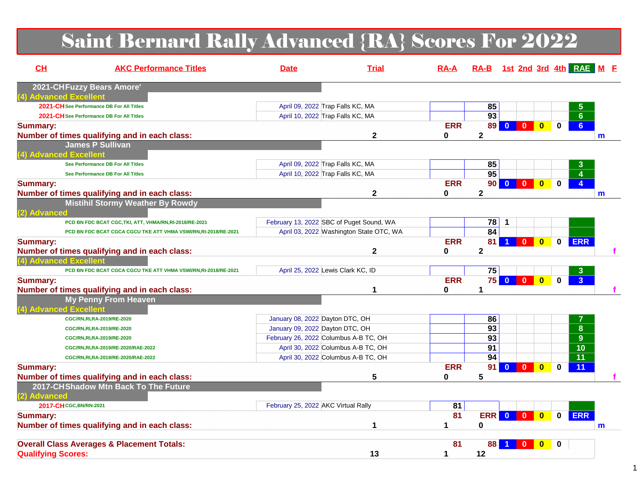# Saint Bernard Rally Advanced {RA} Scores For 2022

| CH                        | <b>AKC Performance Titles</b>                                  | <b>Date</b>                           | <b>Trial</b>                             | $RA-A$     |                 | RA-B 1st 2nd 3rd 4th RAE M E                                    |                                        |                                      |              |
|---------------------------|----------------------------------------------------------------|---------------------------------------|------------------------------------------|------------|-----------------|-----------------------------------------------------------------|----------------------------------------|--------------------------------------|--------------|
|                           | 2021-CHFuzzy Bears Amore'                                      |                                       |                                          |            |                 |                                                                 |                                        |                                      |              |
|                           | (4) Advanced Excellent                                         |                                       |                                          |            |                 |                                                                 |                                        |                                      |              |
|                           | 2021-CH See Performance DB For All Titles                      | April 09, 2022 Trap Falls KC, MA      |                                          |            | 85              |                                                                 |                                        |                                      |              |
|                           | 2021-CH See Performance DB For All Titles                      | April 10, 2022 Trap Falls KC, MA      |                                          |            | 93              |                                                                 |                                        | $6\phantom{a}$                       |              |
| <b>Summary:</b>           |                                                                |                                       |                                          | <b>ERR</b> |                 | 89 0<br>$\mathbf{0}$<br>$\bf{0}$                                | $\mathbf{0}$                           | 6 <sup>1</sup>                       |              |
|                           | Number of times qualifying and in each class:                  |                                       | 2                                        | 0          | $\mathbf 2$     |                                                                 |                                        |                                      | $\mathsf{m}$ |
|                           | <b>James P Sullivan</b>                                        |                                       |                                          |            |                 |                                                                 |                                        |                                      |              |
|                           | (4) Advanced Excellent                                         |                                       |                                          |            |                 |                                                                 |                                        |                                      |              |
|                           | See Performance DB For All Titles                              | April 09, 2022 Trap Falls KC, MA      |                                          |            | 85              |                                                                 |                                        | 3                                    |              |
|                           | See Performance DB For All Titles                              | April 10, 2022 Trap Falls KC, MA      |                                          |            | $\overline{95}$ |                                                                 |                                        | $\overline{4}$                       |              |
| <b>Summary:</b>           |                                                                |                                       |                                          | <b>ERR</b> |                 | $90$ 0<br>$\mathbf{0}$<br>$\mathbf{0}$                          | $\bf{0}$                               | $\overline{4}$                       |              |
|                           | Number of times qualifying and in each class:                  |                                       | $\mathbf{2}$                             | 0          | $\mathbf 2$     |                                                                 |                                        |                                      | m            |
| (2) Advanced              | <b>Mistihil Stormy Weather By Rowdy</b>                        |                                       |                                          |            |                 |                                                                 |                                        |                                      |              |
|                           | PCD BN FDC BCAT CGC, TKI, ATT, VHMA/RN, RI-2018/RE-2021        |                                       | February 13, 2022 SBC of Puget Sound, WA |            | 78              | $\mathbf 1$                                                     |                                        |                                      |              |
|                           | PCD BN FDC BCAT CGCA CGCU TKE ATT VHMA VSWI/RN,RI-2018/RE-2021 |                                       | April 03, 2022 Washington State OTC, WA  |            | 84              |                                                                 |                                        |                                      |              |
| <b>Summary:</b>           |                                                                |                                       |                                          | <b>ERR</b> | 81 I            | $\overline{\mathbf{0}}$<br>$\mathbf{0}$<br>$\blacktriangleleft$ | $\mathbf{0}$                           | <b>ERR</b>                           |              |
|                           | Number of times qualifying and in each class:                  |                                       | $\mathbf 2$                              | 0          | $\mathbf 2$     |                                                                 |                                        |                                      |              |
|                           | (4) Advanced Excellent                                         |                                       |                                          |            |                 |                                                                 |                                        |                                      |              |
|                           | PCD BN FDC BCAT CGCA CGCU TKE ATT VHMA VSWI/RN,RI-2018/RE-2021 | April 25, 2022 Lewis Clark KC, ID     |                                          |            | 75              |                                                                 |                                        | 3                                    |              |
| <b>Summary:</b>           |                                                                |                                       |                                          | <b>ERR</b> |                 | <b>750</b><br>$\overline{\mathbf{0}}$<br>$\mathbf{0}$           | $\bf{0}$                               | $\overline{\overline{\overline{3}}}$ |              |
|                           | Number of times qualifying and in each class:                  |                                       | 1                                        | 0          | $\mathbf 1$     |                                                                 |                                        |                                      |              |
|                           | <b>My Penny From Heaven</b>                                    |                                       |                                          |            |                 |                                                                 |                                        |                                      |              |
|                           | (4) Advanced Excellent                                         |                                       |                                          |            |                 |                                                                 |                                        |                                      |              |
|                           | CGC/RN, RI, RA-2019/RE-2020                                    | January 08, 2022 Dayton DTC, OH       |                                          |            | 86              |                                                                 |                                        | 7                                    |              |
|                           | CGC/RN, RI, RA-2019/RE-2020                                    | January 09, 2022 Dayton DTC, OH       |                                          |            | 93              |                                                                 |                                        | $\overline{\mathbf{8}}$              |              |
|                           | CGC/RN, RI, RA-2019/RE-2020                                    | February 26, 2022 Columbus A-B TC, OH |                                          |            | 93              |                                                                 |                                        | $\overline{9}$                       |              |
|                           | CGC/RN,RI,RA-2019/RE-2020/RAE-2022                             |                                       | April 30, 2022 Columbus A-B TC, OH       |            | 91              |                                                                 |                                        | $\overline{10}$                      |              |
|                           | CGC/RN,RI,RA-2019/RE-2020/RAE-2022                             |                                       | April 30, 2022 Columbus A-B TC, OH       |            | 94              |                                                                 |                                        | 11                                   |              |
| <b>Summary:</b>           |                                                                |                                       |                                          | <b>ERR</b> | 91              | $\mathbf{0}$<br>$\mathbf{0}$<br>$\bf{0}$                        | 0                                      | 11                                   |              |
|                           | Number of times qualifying and in each class:                  |                                       | 5                                        | 0          | 5               |                                                                 |                                        |                                      | f.           |
|                           | 2017-CHShadow Mtn Back To The Future                           |                                       |                                          |            |                 |                                                                 |                                        |                                      |              |
| (2) Advanced              |                                                                |                                       |                                          |            |                 |                                                                 |                                        |                                      |              |
|                           | 2017-CHCGC, BN/RN-2021                                         | February 25, 2022 AKC Virtual Rally   |                                          | 81         |                 |                                                                 |                                        |                                      |              |
| <b>Summary:</b>           |                                                                |                                       |                                          | 81         | ERR 0           | $\overline{\mathbf{0}}$                                         | $\overline{\mathbf{0}}$<br>$\mathbf 0$ | <b>ERR</b>                           |              |
|                           | Number of times qualifying and in each class:                  |                                       | 1                                        | 1          | 0               |                                                                 |                                        |                                      | m            |
|                           |                                                                |                                       |                                          |            |                 |                                                                 |                                        |                                      |              |
|                           | <b>Overall Class Averages &amp; Placement Totals:</b>          |                                       |                                          | 81         | 88              | $\mathbf{0}$                                                    | $\bf{0}$<br>$\bf{0}$                   |                                      |              |
| <b>Qualifying Scores:</b> |                                                                |                                       | 13                                       | 1          | 12              |                                                                 |                                        |                                      |              |
|                           |                                                                |                                       |                                          |            |                 |                                                                 |                                        |                                      |              |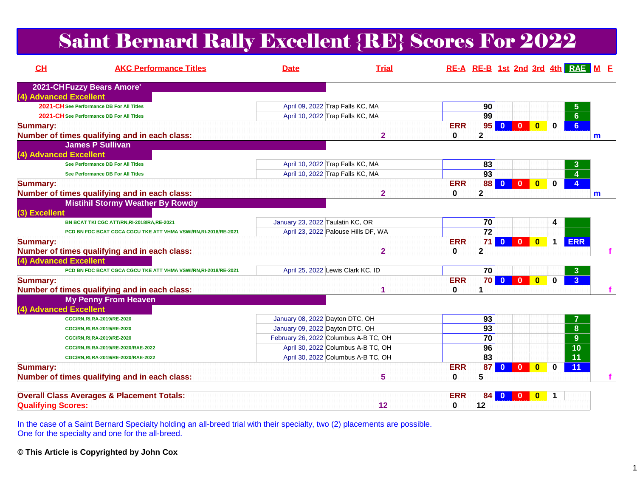## Saint Bernard Rally Excellent {RE} Scores For 2022

| CH                        | <b>AKC Performance Titles</b>                                  | <b>Date</b>                           | <b>Trial</b>   |                        |                      |                                         |                                                    |             | RE-A RE-B 1st 2nd 3rd 4th RAE M F |   |
|---------------------------|----------------------------------------------------------------|---------------------------------------|----------------|------------------------|----------------------|-----------------------------------------|----------------------------------------------------|-------------|-----------------------------------|---|
|                           | 2021-CHFuzzy Bears Amore'                                      |                                       |                |                        |                      |                                         |                                                    |             |                                   |   |
|                           | (4) Advanced Excellent                                         |                                       |                |                        |                      |                                         |                                                    |             |                                   |   |
|                           | 2021-CH See Performance DB For All Titles                      | April 09, 2022 Trap Falls KC, MA      |                |                        | 90                   |                                         |                                                    |             | 5.                                |   |
|                           | 2021-CH See Performance DB For All Titles                      | April 10, 2022 Trap Falls KC, MA      |                |                        | 99                   |                                         |                                                    |             | $6\phantom{a}$                    |   |
| <b>Summary:</b>           |                                                                |                                       |                | <b>ERR</b>             | 95                   | $\overline{0}$<br>$\mathbf{0}$          | $\mathbf{0}$                                       | $\mathbf 0$ | 6                                 |   |
|                           | Number of times qualifying and in each class:                  |                                       | 2              | $\bf{0}$               | 2                    |                                         |                                                    |             |                                   | m |
|                           | <b>James P Sullivan</b>                                        |                                       |                |                        |                      |                                         |                                                    |             |                                   |   |
|                           | (4) Advanced Excellent                                         |                                       |                |                        |                      |                                         |                                                    |             |                                   |   |
|                           | See Performance DB For All Titles                              | April 10, 2022 Trap Falls KC, MA      |                |                        | 83                   |                                         |                                                    |             |                                   |   |
|                           | <b>See Performance DB For All Titles</b>                       | April 10, 2022 Trap Falls KC, MA      |                |                        | $\overline{93}$      |                                         |                                                    |             |                                   |   |
| <b>Summary:</b>           |                                                                |                                       |                | <b>ERR</b>             | 88                   | $\overline{\mathbf{0}}$                 | $\overline{\mathbf{0}}$<br>$\overline{\mathbf{0}}$ | $\bf{0}$    |                                   |   |
|                           | Number of times qualifying and in each class:                  |                                       | $\overline{2}$ | $\bf{0}$               | $\overline{2}$       |                                         |                                                    |             |                                   | m |
| (3) Excellent             | <b>Mistihil Stormy Weather By Rowdy</b>                        |                                       |                |                        |                      |                                         |                                                    |             |                                   |   |
|                           | BN BCAT TKI CGC ATT/RN, RI-2018/RA, RE-2021                    | January 23, 2022 Taulatin KC, OR      |                |                        | 70                   |                                         |                                                    | 4           |                                   |   |
|                           | PCD BN FDC BCAT CGCA CGCU TKE ATT VHMA VSWI/RN,RI-2018/RE-2021 | April 23, 2022 Palouse Hills DF, WA   |                |                        | $\overline{72}$      |                                         |                                                    |             |                                   |   |
| <b>Summary:</b>           | Number of times qualifying and in each class:                  |                                       | $\overline{2}$ | <b>ERR</b><br>$\bf{0}$ | 71<br>$\overline{2}$ | $\bullet$<br>$\mathbf{0}$               | $\overline{\mathbf{0}}$                            | $\mathbf 1$ | <b>ERR</b>                        |   |
|                           | (4) Advanced Excellent                                         |                                       |                |                        |                      |                                         |                                                    |             |                                   |   |
|                           | PCD BN FDC BCAT CGCA CGCU TKE ATT VHMA VSWI/RN,RI-2018/RE-2021 | April 25, 2022 Lewis Clark KC, ID     |                |                        | 70                   |                                         |                                                    |             | 3                                 |   |
| <b>Summary:</b>           |                                                                |                                       |                | <b>ERR</b>             | <b>70</b>            | $\mathbf{0}$<br>$\overline{\mathbf{0}}$ | $\overline{\mathbf{0}}$                            | $\bf{0}$    | $\overline{3}$                    |   |
|                           | Number of times qualifying and in each class:                  |                                       |                | $\bf{0}$               |                      |                                         |                                                    |             |                                   |   |
|                           | <b>My Penny From Heaven</b>                                    |                                       |                |                        |                      |                                         |                                                    |             |                                   |   |
|                           | (4) Advanced Excellent                                         |                                       |                |                        |                      |                                         |                                                    |             |                                   |   |
|                           | CGC/RN, RI, RA-2019/RE-2020                                    | January 08, 2022 Dayton DTC, OH       |                |                        | 93                   |                                         |                                                    |             |                                   |   |
|                           | CGC/RN,RI,RA-2019/RE-2020                                      | January 09, 2022 Dayton DTC, OH       |                |                        | $\overline{93}$      |                                         |                                                    |             | $\overline{\mathbf{8}}$           |   |
|                           | CGC/RN, RI, RA-2019/RE-2020                                    | February 26, 2022 Columbus A-B TC, OH |                |                        | $\overline{70}$      |                                         |                                                    |             | $\overline{9}$                    |   |
|                           | CGC/RN,RI,RA-2019/RE-2020/RAE-2022                             | April 30, 2022 Columbus A-B TC, OH    |                |                        | 96                   |                                         |                                                    |             | $\overline{10}$                   |   |
|                           | CGC/RN, RI, RA-2019/RE-2020/RAE-2022                           | April 30, 2022 Columbus A-B TC, OH    |                |                        | $\overline{83}$      |                                         |                                                    |             | $\overline{11}$                   |   |
| <b>Summary:</b>           |                                                                |                                       |                | <b>ERR</b>             | 87                   | $\overline{0}$<br>$\mathbf{0}$          | $\mathbf{0}$                                       | $\bf{0}$    | 11                                |   |
|                           | Number of times qualifying and in each class:                  |                                       | 5              | $\bf{0}$               | 5                    |                                         |                                                    |             |                                   |   |
|                           | <b>Overall Class Averages &amp; Placement Totals:</b>          |                                       |                | <b>ERR</b>             | 84 <sup>°</sup>      | $\mathbf{0}$<br>$\overline{\mathbf{0}}$ | $\bf{0}$                                           |             |                                   |   |
| <b>Qualifying Scores:</b> |                                                                |                                       | 12             | 0                      | 12                   |                                         |                                                    |             |                                   |   |

In the case of a Saint Bernard Specialty holding an all-breed trial with their specialty, two (2) placements are possible. One for the specialty and one for the all-breed.

**© This Article is Copyrighted by John Cox**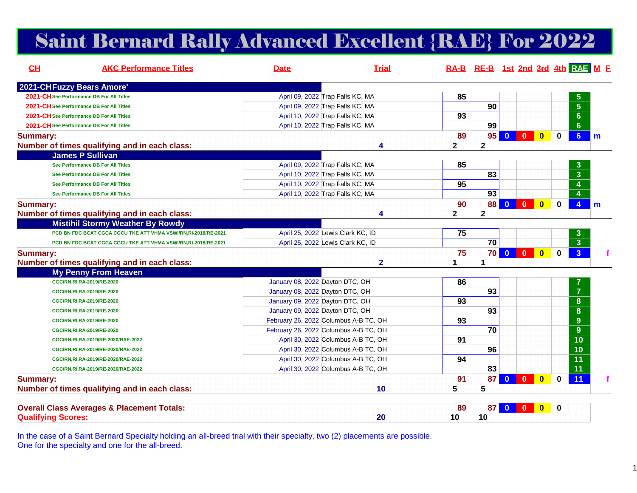# Saint Bernard Rally Advanced Excellent {RAE} For 2022

| CH              | <b>AKC Performance Titles</b>                                   | <b>Date</b>                           | <b>Trial</b> |                | RA-B RE-B 1st 2nd 3rd 4th RAE M F |                |                   |                             |                            |     |
|-----------------|-----------------------------------------------------------------|---------------------------------------|--------------|----------------|-----------------------------------|----------------|-------------------|-----------------------------|----------------------------|-----|
|                 | <b>2021-CHFuzzy Bears Amore'</b>                                |                                       |              |                |                                   |                |                   |                             |                            |     |
|                 | 2021-CH See Performance DB For All Titles                       | April 09, 2022 Trap Falls KC, MA      |              | 85             |                                   |                |                   |                             | 5                          |     |
|                 | 2021-CH See Performance DB For All Titles                       | April 09, 2022 Trap Falls KC, MA      |              |                | 90                                |                |                   |                             | $\overline{5}$             |     |
|                 | 2021-CH See Performance DB For All Titles                       | April 10, 2022 Trap Falls KC, MA      |              | 93             |                                   |                |                   |                             | $6\phantom{1}$             |     |
|                 | 2021-CH See Performance DB For All Titles                       | April 10, 2022 Trap Falls KC, MA      |              |                | 99                                |                |                   |                             | $6\phantom{a}$             |     |
| <b>Summary:</b> |                                                                 |                                       |              | 89             | 95                                | $\mathbf{0}$   | $\mathbf{0}$      | $\overline{\mathbf{0}}$     | $\bf{0}$<br>$6\phantom{1}$ | l m |
|                 | Number of times qualifying and in each class:                   |                                       | 4            | $\mathbf{2}$   | $\mathbf 2$                       |                |                   |                             |                            |     |
|                 | James P Sullivan                                                |                                       |              |                |                                   |                |                   |                             |                            |     |
|                 | See Performance DB For All Titles                               | April 09, 2022 Trap Falls KC, MA      |              | 85             |                                   |                |                   |                             | $\mathbf{3}$               |     |
|                 | See Performance DB For All Titles                               | April 10, 2022 Trap Falls KC, MA      |              |                | $\overline{83}$                   |                |                   |                             | $\overline{3}$             |     |
|                 | See Performance DB For All Titles                               | April 10, 2022 Trap Falls KC, MA      |              | 95             |                                   |                |                   |                             | $\overline{4}$             |     |
|                 | See Performance DB For All Titles                               | April 10, 2022 Trap Falls KC, MA      |              |                | $\overline{93}$                   |                |                   |                             | 4                          |     |
| <b>Summary:</b> |                                                                 |                                       |              | 90             | 88                                | $\overline{0}$ | $\bullet$         | $\bullet$<br>$\mathbf 0$    | $\overline{4}$             | $m$ |
|                 | Number of times qualifying and in each class:                   |                                       | 4            | $\overline{2}$ | $\mathbf 2$                       |                |                   |                             |                            |     |
|                 | <b>Mistihil Stormy Weather By Rowdy</b>                         |                                       |              |                |                                   |                |                   |                             |                            |     |
|                 | PCD BN FDC BCAT CGCA CGCU TKE ATT VHMA VSWI/RN, RI-2018/RE-2021 | April 25, 2022 Lewis Clark KC, ID     |              | 75             |                                   |                |                   |                             | $\mathbf{3}$               |     |
|                 | PCD BN FDC BCAT CGCA CGCU TKE ATT VHMA VSWI/RN, RI-2018/RE-2021 | April 25, 2022 Lewis Clark KC, ID     |              |                | 70                                |                |                   |                             | $\overline{3}$             |     |
| <b>Summary:</b> |                                                                 |                                       |              | 75             |                                   |                | <b>70 0 0 0 0</b> | $\mathbf 0$                 | $\overline{3}$             |     |
|                 | Number of times qualifying and in each class:                   |                                       | $\mathbf{2}$ |                | 1                                 |                |                   |                             |                            |     |
|                 | <b>My Penny From Heaven</b>                                     |                                       |              |                |                                   |                |                   |                             |                            |     |
|                 | CGC/RN, RI, RA-2019/RE-2020                                     | January 08, 2022 Dayton DTC, OH       |              | 86             |                                   |                |                   |                             | $\overline{7}$             |     |
|                 | CGC/RN, RI, RA-2019/RE-2020                                     | January 08, 2022 Dayton DTC, OH       |              |                | 93                                |                |                   |                             | $\overline{7}$             |     |
|                 | CGC/RN, RI, RA-2019/RE-2020                                     | January 09, 2022 Dayton DTC, OH       |              | 93             |                                   |                |                   |                             | 8                          |     |
|                 | CGC/RN, RI, RA-2019/RE-2020                                     | January 09, 2022 Dayton DTC, OH       |              |                | 93                                |                |                   |                             | $\bf{8}$                   |     |
|                 | CGC/RN, RI, RA-2019/RE-2020                                     | February 26, 2022 Columbus A-B TC, OH |              | 93             |                                   |                |                   |                             | 9                          |     |
|                 | CGC/RN, RI, RA-2019/RE-2020                                     | February 26, 2022 Columbus A-B TC, OH |              |                | 70                                |                |                   |                             | 9                          |     |
|                 | CGC/RN,RI,RA-2019/RE-2020/RAE-2022                              | April 30, 2022 Columbus A-B TC, OH    |              | 91             |                                   |                |                   |                             | 10                         |     |
|                 | CGC/RN,RI,RA-2019/RE-2020/RAE-2022                              | April 30, 2022 Columbus A-B TC, OH    |              |                | 96                                |                |                   |                             | 10                         |     |
|                 | CGC/RN,RI,RA-2019/RE-2020/RAE-2022                              | April 30, 2022 Columbus A-B TC, OH    |              | 94             |                                   |                |                   |                             | 11                         |     |
|                 | CGC/RN,RI,RA-2019/RE-2020/RAE-2022                              | April 30, 2022 Columbus A-B TC, OH    |              |                | 83                                |                |                   |                             | $\overline{11}$            |     |
| <b>Summary:</b> |                                                                 |                                       |              | 91             | 87                                |                |                   | $\mathbf 0$                 | 11                         |     |
|                 | Number of times qualifying and in each class:                   |                                       | 10           | 5              | 5                                 |                |                   |                             |                            |     |
|                 | <b>Overall Class Averages &amp; Placement Totals:</b>           |                                       |              | 89             | 87 <sub>1</sub>                   | $\mathbf{0}$   | $\overline{0}$    | $\mathbf{0}$<br>$\mathbf 0$ |                            |     |
|                 | <b>Qualifying Scores:</b>                                       |                                       | 20           | 10             | 10                                |                |                   |                             |                            |     |

In the case of a Saint Bernard Specialty holding an all-breed trial with their specialty, two (2) placements are possible. One for the specialty and one for the all-breed.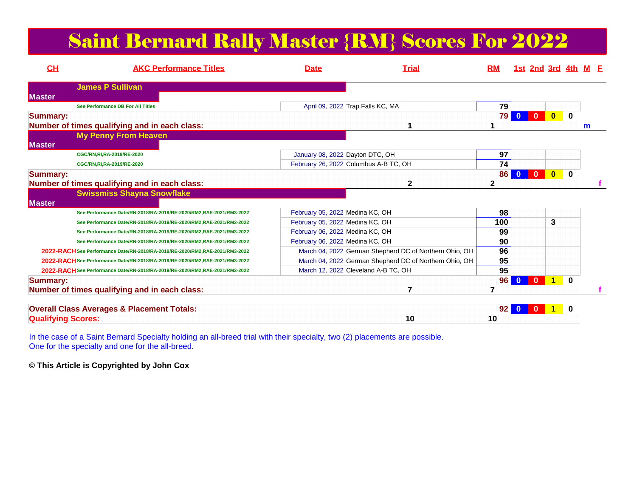### Saint Bernard Rally Master {RM} Scores For 2022

| CL                        | <b>AKC Performance Titles</b>                                                | <b>Date</b>                     | Trial                                                  | <b>RM</b>       |              |          |              |              | 1st 2nd 3rd 4th M E |
|---------------------------|------------------------------------------------------------------------------|---------------------------------|--------------------------------------------------------|-----------------|--------------|----------|--------------|--------------|---------------------|
|                           | <b>James P Sullivan</b>                                                      |                                 |                                                        |                 |              |          |              |              |                     |
| <b>Master</b>             |                                                                              |                                 |                                                        |                 |              |          |              |              |                     |
|                           | See Performance DB For All Titles                                            |                                 | April 09, 2022 Trap Falls KC, MA                       | 79              |              |          |              |              |                     |
| <b>Summary:</b>           |                                                                              |                                 |                                                        | 79              | $\bf{0}$     |          | $\mathbf{0}$ | $\bf{0}$     |                     |
|                           | Number of times qualifying and in each class:                                |                                 |                                                        |                 |              |          |              |              | m                   |
|                           | <b>My Penny From Heaven</b>                                                  |                                 |                                                        |                 |              |          |              |              |                     |
| <b>Master</b>             |                                                                              |                                 |                                                        |                 |              |          |              |              |                     |
|                           | CGC/RN, RI, RA-2019/RE-2020                                                  | January 08, 2022 Dayton DTC, OH |                                                        | 97              |              |          |              |              |                     |
|                           | CGC/RN, RI, RA-2019/RE-2020                                                  |                                 | February 26, 2022 Columbus A-B TC, OH                  | $\overline{74}$ |              |          |              |              |                     |
| <b>Summary:</b>           |                                                                              |                                 |                                                        | 86              |              |          | $\mathbf{0}$ | 0            |                     |
|                           | Number of times qualifying and in each class:                                |                                 | $\mathbf{2}$                                           | 2               |              |          |              |              |                     |
|                           | <b>Swissmiss Shayna Snowflake</b>                                            |                                 |                                                        |                 |              |          |              |              |                     |
| <b>Master</b>             |                                                                              |                                 |                                                        |                 |              |          |              |              |                     |
|                           | See Performance Date/RN-2018/RA-2019/RE-2020/RM2,RAE-2021/RM3-2022           | February 05, 2022 Medina KC, OH |                                                        | 98              |              |          |              |              |                     |
|                           | See Performance Date/RN-2018/RA-2019/RE-2020/RM2,RAE-2021/RM3-2022           | February 05, 2022 Medina KC, OH |                                                        | 100             |              |          | 3            |              |                     |
|                           | See Performance Date/RN-2018/RA-2019/RE-2020/RM2,RAE-2021/RM3-2022           | February 06, 2022 Medina KC, OH |                                                        | 99              |              |          |              |              |                     |
|                           | See Performance Date/RN-2018/RA-2019/RE-2020/RM2,RAE-2021/RM3-2022           | February 06, 2022 Medina KC, OH |                                                        | 90              |              |          |              |              |                     |
|                           | 2022-RACH See Performance Date/RN-2018/RA-2019/RE-2020/RM2,RAE-2021/RM3-2022 |                                 | March 04, 2022 German Shepherd DC of Northern Ohio, OH | 96              |              |          |              |              |                     |
|                           | 2022-RACH See Performance Date/RN-2018/RA-2019/RE-2020/RM2,RAE-2021/RM3-2022 |                                 | March 04, 2022 German Shepherd DC of Northern Ohio, OH | 95              |              |          |              |              |                     |
|                           | 2022-RACH See Performance Date/RN-2018/RA-2019/RE-2020/RM2,RAE-2021/RM3-2022 |                                 | March 12, 2022 Cleveland A-B TC, OH                    | 95              |              |          |              |              |                     |
| <b>Summary:</b>           |                                                                              |                                 |                                                        | 96              | $\Omega$     | $\bf{0}$ |              | $\Omega$     |                     |
|                           | Number of times qualifying and in each class:                                |                                 |                                                        |                 |              |          |              |              |                     |
|                           | <b>Overall Class Averages &amp; Placement Totals:</b>                        |                                 |                                                        | 92              | $\mathbf{0}$ |          |              | $\mathbf{0}$ |                     |
| <b>Qualifying Scores:</b> |                                                                              |                                 | 10                                                     | 10              |              |          |              |              |                     |

In the case of a Saint Bernard Specialty holding an all-breed trial with their specialty, two (2) placements are possible. One for the specialty and one for the all-breed.

**© This Article is Copyrighted by John Cox**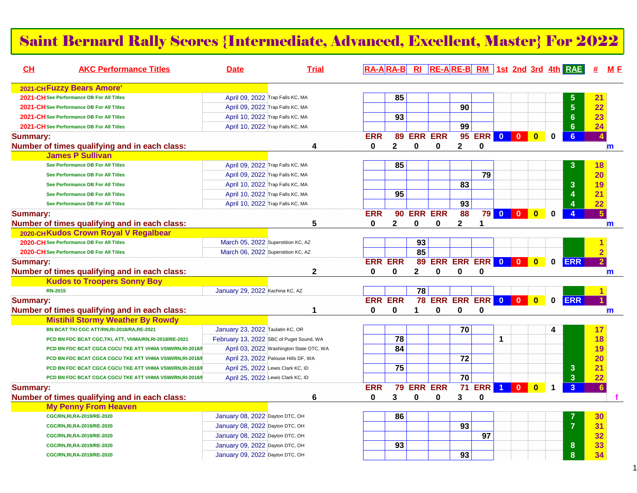#### Saint Bernard Rally Scores {Intermediate, Advanced, Excellent, Master} For 2022

| CH              | <b>AKC Performance Titles</b>                                                        | <b>Date</b>                        | <b>Trial</b>                             |             |                         |                |             |                 |                             |                |                         |                         |             | RA-ARA-B RI RE-ARE-B RM 1st 2nd 3rd 4th RAE | #              | M E          |
|-----------------|--------------------------------------------------------------------------------------|------------------------------------|------------------------------------------|-------------|-------------------------|----------------|-------------|-----------------|-----------------------------|----------------|-------------------------|-------------------------|-------------|---------------------------------------------|----------------|--------------|
|                 | 2021-CHFuzzy Bears Amore'                                                            |                                    |                                          |             |                         |                |             |                 |                             |                |                         |                         |             |                                             |                |              |
|                 | 2021-CH See Performance DB For All Titles                                            | April 09, 2022 Trap Falls KC, MA   |                                          |             | 85                      |                |             |                 |                             |                |                         |                         |             | 5                                           | 21             |              |
|                 | 2021-CH See Performance DB For All Titles                                            | April 09, 2022 Trap Falls KC, MA   |                                          |             |                         |                |             | 90              |                             |                |                         |                         |             | $\overline{5}$                              | 22             |              |
|                 | 2021-CH See Performance DB For All Titles                                            | April 10, 2022 Trap Falls KC, MA   |                                          |             | 93                      |                |             |                 |                             |                |                         |                         |             | $6\phantom{a}$                              | 23             |              |
|                 | 2021-CH See Performance DB For All Titles                                            | April 10, 2022 Trap Falls KC, MA   |                                          |             |                         |                |             | 99              |                             |                |                         |                         |             | 6                                           | 24             |              |
| <b>Summary:</b> |                                                                                      |                                    |                                          | <b>ERR</b>  | 89                      | <b>ERR ERR</b> |             |                 | 95 ERR 0                    |                | $\mathbf{0}$            | $\mathbf{0}$            | $\bf{0}$    | 6 <sup>1</sup>                              | 4              |              |
|                 | Number of times qualifying and in each class:                                        |                                    | 4                                        | $\mathbf 0$ | $\overline{\mathbf{2}}$ | $\mathbf 0$    | 0           | $\mathbf 2$     | 0                           |                |                         |                         |             |                                             |                | $\mathbf{m}$ |
|                 | <b>James P Sullivan</b>                                                              |                                    |                                          |             |                         |                |             |                 |                             |                |                         |                         |             |                                             |                |              |
|                 | See Performance DB For All Titles                                                    | April 09, 2022 Trap Falls KC, MA   |                                          |             | 85                      |                |             |                 |                             |                |                         |                         |             | 3                                           | 18             |              |
|                 | See Performance DB For All Titles                                                    | April 09, 2022 Trap Falls KC, MA   |                                          |             |                         |                |             |                 | 79                          |                |                         |                         |             |                                             | 20             |              |
|                 | See Performance DB For All Titles                                                    | April 10, 2022 Trap Falls KC, MA   |                                          |             |                         |                |             | 83              |                             |                |                         |                         |             | $\overline{\mathbf{3}}$                     | 19             |              |
|                 | See Performance DB For All Titles                                                    | April 10, 2022 Trap Falls KC, MA   |                                          |             | 95                      |                |             |                 |                             |                |                         |                         |             | 4                                           | 21             |              |
|                 | See Performance DB For All Titles                                                    | April 10, 2022 Trap Falls KC, MA   |                                          |             |                         |                |             | $\overline{93}$ |                             |                |                         |                         |             | 4                                           | 22             |              |
| <b>Summary:</b> |                                                                                      |                                    |                                          | <b>ERR</b>  |                         | 90 ERR ERR     |             | 88              |                             | <b>79 0</b>    | $\overline{\mathbf{0}}$ | $\overline{\mathbf{0}}$ | $\bf{0}$    | $\overline{4}$                              | $\overline{5}$ |              |
|                 | Number of times qualifying and in each class:                                        |                                    | 5                                        | $\mathbf 0$ | $\mathbf{2}$            | $\bf{0}$       | $\mathbf 0$ | $\overline{2}$  | 1                           |                |                         |                         |             |                                             |                | $\mathbf{m}$ |
|                 | 2020-CHKudos Crown Royal V Regalbear                                                 |                                    |                                          |             |                         |                |             |                 |                             |                |                         |                         |             |                                             |                |              |
|                 | 2020-CH See Performance DB For All Titles                                            | March 05, 2022 Superstition KC, AZ |                                          |             |                         | 93             |             |                 |                             |                |                         |                         |             |                                             |                |              |
|                 | 2020-CH See Performance DB For All Titles                                            | March 06, 2022 Superstition KC, AZ |                                          |             |                         | 85             |             |                 |                             |                |                         |                         |             |                                             | $\overline{2}$ |              |
| <b>Summary:</b> |                                                                                      |                                    |                                          |             | <b>ERR ERR</b>          |                |             |                 | 89 ERR ERR ERR 0 0          |                |                         | $\bullet$               | 0           | <b>ERR</b>                                  | 2 <sup>1</sup> |              |
|                 | Number of times qualifying and in each class:                                        |                                    | $\mathbf{2}$                             | 0           | 0                       | $\mathbf{2}$   | 0           | $\mathbf 0$     | 0                           |                |                         |                         |             |                                             |                | $\mathsf{m}$ |
| <b>RN-2015</b>  | <b>Kudos to Troopers Sonny Boy</b>                                                   | January 29, 2022 Kachina KC, AZ    |                                          |             |                         | 78             |             |                 |                             |                |                         |                         |             |                                             |                |              |
| <b>Summary:</b> |                                                                                      |                                    |                                          |             | <b>ERR ERR</b>          |                |             |                 | <b>78 ERR ERR ERR 0 0 0</b> |                |                         | $\bullet$               | $\mathbf 0$ | <b>ERR</b>                                  |                |              |
|                 |                                                                                      |                                    |                                          | $\bf{0}$    | $\bf{0}$                |                | 0           | 0               | $\bf{0}$                    |                |                         |                         |             |                                             |                |              |
|                 | Number of times qualifying and in each class:                                        |                                    |                                          |             |                         |                |             |                 |                             |                |                         |                         |             |                                             |                | $\mathbf{m}$ |
|                 | <b>Mistihil Stormy Weather By Rowdy</b><br>BN BCAT TKI CGC ATT/RN,RI-2018/RA,RE-2021 |                                    |                                          |             |                         |                |             | 70              |                             |                |                         |                         |             |                                             | 17             |              |
|                 |                                                                                      | January 23, 2022 Taulatin KC, OR   |                                          |             | 78                      |                |             |                 |                             |                |                         |                         | 4           |                                             | 18             |              |
|                 | PCD BN FDC BCAT CGC, TKI, ATT, VHMA/RN, RI-2018/RE-2021                              |                                    | February 13, 2022 SBC of Puget Sound, WA |             | 84                      |                |             |                 |                             | 1              |                         |                         |             |                                             |                |              |
|                 | PCD BN FDC BCAT CGCA CGCU TKE ATT VHMA VSWI/RN,RI-2018/F                             |                                    | April 03, 2022 Washington State OTC, WA  |             |                         |                |             | 72              |                             |                |                         |                         |             |                                             | 19             |              |
|                 | PCD BN FDC BCAT CGCA CGCU TKE ATT VHMA VSWI/RN,RI-2018/F                             |                                    | April 23, 2022 Palouse Hills DF, WA      |             |                         |                |             |                 |                             |                |                         |                         |             |                                             | 20             |              |
|                 | PCD BN FDC BCAT CGCA CGCU TKE ATT VHMA VSWI/RN,RI-2018/F                             | April 25, 2022 Lewis Clark KC, ID  |                                          |             | 75                      |                |             |                 |                             |                |                         |                         |             | $\mathbf{3}$                                | 21             |              |
|                 | PCD BN FDC BCAT CGCA CGCU TKE ATT VHMA VSWI/RN,RI-2018/F                             | April 25, 2022 Lewis Clark KC, ID  |                                          |             |                         |                |             | $\overline{70}$ |                             |                |                         |                         |             | $\overline{3}$                              | 22             |              |
| <b>Summary:</b> |                                                                                      |                                    |                                          | <b>ERR</b>  |                         | 79 ERR ERR     |             | $\overline{71}$ | <b>ERR</b>                  | $\overline{1}$ | $0-1$                   | $\overline{\mathbf{0}}$ | $\mathbf 1$ | 3 <sup>1</sup>                              | 6 <sup>1</sup> |              |
|                 | Number of times qualifying and in each class:                                        |                                    | 6                                        | $\bf{0}$    | 3                       | $\bf{0}$       | 0           | 3               | 0                           |                |                         |                         |             |                                             |                |              |
|                 | <b>My Penny From Heaven</b>                                                          |                                    |                                          |             |                         |                |             |                 |                             |                |                         |                         |             |                                             |                |              |
|                 | CGC/RN, RI, RA-2019/RE-2020                                                          | January 08, 2022 Dayton DTC, OH    |                                          |             | 86                      |                |             |                 |                             |                |                         |                         |             |                                             | 30             |              |
|                 | CGC/RN, RI, RA-2019/RE-2020                                                          | January 08, 2022 Dayton DTC, OH    |                                          |             |                         |                |             | $\overline{93}$ |                             |                |                         |                         |             | $\overline{7}$                              | 31             |              |
|                 | CGC/RN,RI,RA-2019/RE-2020                                                            | January 08, 2022 Dayton DTC, OH    |                                          |             |                         |                |             |                 | $\overline{97}$             |                |                         |                         |             |                                             | 32             |              |
|                 | CGC/RN,RI,RA-2019/RE-2020                                                            | January 09, 2022 Dayton DTC, OH    |                                          |             | $\overline{93}$         |                |             |                 |                             |                |                         |                         |             | 8                                           | 33             |              |
|                 | CGC/RN, RI, RA-2019/RE-2020                                                          | January 09, 2022 Dayton DTC, OH    |                                          |             |                         |                |             | 93              |                             |                |                         |                         |             | 8                                           | 34             |              |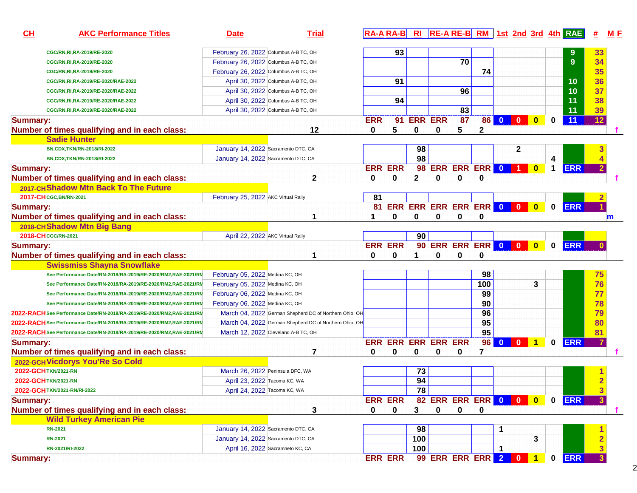| CH                                   | <b>AKC Performance Titles</b>                                          | <b>Date</b>                           | <b>Trial</b>                                           |            |                |                         |            |                 |                      |              |                |                         |              | RA-ARA-B RI RE-ARE-B RM 1st 2nd 3rd 4th RAE | 坓  |   |
|--------------------------------------|------------------------------------------------------------------------|---------------------------------------|--------------------------------------------------------|------------|----------------|-------------------------|------------|-----------------|----------------------|--------------|----------------|-------------------------|--------------|---------------------------------------------|----|---|
| CGC/RN, RI, RA-2019/RE-2020          |                                                                        | February 26, 2022 Columbus A-B TC, OH |                                                        |            | 93             |                         |            |                 |                      |              |                |                         |              | 9                                           | 33 |   |
| CGC/RN, RI, RA-2019/RE-2020          |                                                                        | February 26, 2022 Columbus A-B TC, OH |                                                        |            |                |                         |            | $\overline{70}$ |                      |              |                |                         |              | 9                                           | 34 |   |
| CGC/RN, RI, RA-2019/RE-2020          |                                                                        | February 26, 2022 Columbus A-B TC, OH |                                                        |            |                |                         |            |                 | $\overline{74}$      |              |                |                         |              |                                             | 35 |   |
| CGC/RN, RI, RA-2019/RE-2020/RAE-2022 |                                                                        | April 30, 2022 Columbus A-B TC, OH    |                                                        |            | 91             |                         |            |                 |                      |              |                |                         |              | 10                                          | 36 |   |
| CGC/RN, RI, RA-2019/RE-2020/RAE-2022 |                                                                        | April 30, 2022 Columbus A-B TC, OH    |                                                        |            |                |                         |            | 96              |                      |              |                |                         |              | 10                                          | 37 |   |
| CGC/RN, RI, RA-2019/RE-2020/RAE-2022 |                                                                        | April 30, 2022 Columbus A-B TC, OH    |                                                        |            | 94             |                         |            |                 |                      |              |                |                         |              | 11                                          | 38 |   |
| CGC/RN, RI, RA-2019/RE-2020/RAE-2022 |                                                                        | April 30, 2022 Columbus A-B TC, OH    |                                                        |            |                |                         |            | 83              |                      |              |                |                         |              | 11                                          | 39 |   |
| <b>Summary:</b>                      |                                                                        |                                       |                                                        | <b>ERR</b> | 91             | <b>ERR</b>              | <b>ERR</b> | 87              | 86                   | $\bullet$    | $\bullet$      | $\mathbf{0}$            | $\bf{0}$     | 11                                          | 12 |   |
|                                      | Number of times qualifying and in each class:                          |                                       | 12                                                     | 0          | 5              | 0                       | 0          | 5               | $\mathbf{2}$         |              |                |                         |              |                                             |    |   |
| <b>Sadie Hunter</b>                  |                                                                        |                                       |                                                        |            |                |                         |            |                 |                      |              |                |                         |              |                                             |    |   |
| BN,CDX,TKN/RN-2018/RI-2022           |                                                                        | January 14, 2022 Sacramento DTC, CA   |                                                        |            |                | 98                      |            |                 |                      |              | 2              |                         |              |                                             |    |   |
| BN,CDX,TKN/RN-2018/RI-2022           |                                                                        | January 14, 2022 Sacramento DTC, CA   |                                                        |            |                | 98                      |            |                 |                      |              |                |                         |              |                                             |    |   |
| <b>Summary:</b>                      |                                                                        |                                       |                                                        |            | <b>ERR ERR</b> | 98                      |            |                 | ERR ERR ERR 0 1      |              |                | $\overline{\mathbf{0}}$ | $\mathbf 1$  | <b>ERR</b>                                  |    |   |
|                                      | Number of times qualifying and in each class:                          |                                       | 2                                                      | 0          | 0              | $\mathbf{2}$            | 0          | 0               | $\bf{0}$             |              |                |                         |              |                                             |    |   |
|                                      | 2017-CH Shadow Mtn Back To The Future                                  |                                       |                                                        |            |                |                         |            |                 |                      |              |                |                         |              |                                             |    |   |
| 2017-CH CGC.BN/RN-2021               |                                                                        | February 25, 2022 AKC Virtual Rally   |                                                        | 81         |                |                         |            |                 |                      |              |                |                         |              |                                             |    |   |
| <b>Summary:</b>                      |                                                                        |                                       |                                                        | 81         |                | ERR ERR ERR ERR ERR 0 0 |            |                 |                      |              |                | $\mathbf{0}$            | $\mathbf{0}$ | <b>ERR</b>                                  |    |   |
|                                      | Number of times qualifying and in each class:                          |                                       | 1                                                      | 1          | 0              | 0                       | 0          | 0               | 0                    |              |                |                         |              |                                             |    | m |
| 2018-CHShadow Mtn Big Bang           |                                                                        |                                       |                                                        |            |                |                         |            |                 |                      |              |                |                         |              |                                             |    |   |
| 2018-CH CGC/RN-2021                  |                                                                        | April 22, 2022 AKC Virtual Rally      |                                                        |            |                | 90                      |            |                 |                      |              |                |                         |              |                                             |    |   |
| <b>Summary:</b>                      |                                                                        |                                       |                                                        | <b>ERR</b> | <b>ERR</b>     | 90                      |            |                 | ERR ERR ERR 0 0 0    |              |                |                         | $\mathbf{0}$ | <b>ERR</b>                                  |    |   |
|                                      | Number of times qualifying and in each class:                          |                                       | 1                                                      | 0          | 0              | 1                       | 0          | 0               | 0                    |              |                |                         |              |                                             |    |   |
|                                      | <b>Swissmiss Shayna Snowflake</b>                                      |                                       |                                                        |            |                |                         |            |                 |                      |              |                |                         |              |                                             |    |   |
|                                      | See Performance Date/RN-2018/RA-2019/RE-2020/RM2,RAE-2021/RM           | February 05, 2022 Medina KC, OH       |                                                        |            |                |                         |            |                 | 98                   |              |                |                         |              |                                             | 75 |   |
|                                      | See Performance Date/RN-2018/RA-2019/RE-2020/RM2,RAE-2021/RM           | February 05, 2022 Medina KC, OH       |                                                        |            |                |                         |            |                 | 100                  |              |                | 3                       |              |                                             | 76 |   |
|                                      | See Performance Date/RN-2018/RA-2019/RE-2020/RM2,RAE-2021/RM           | February 06, 2022 Medina KC, OH       |                                                        |            |                |                         |            |                 | 99                   |              |                |                         |              |                                             | 77 |   |
|                                      | See Performance Date/RN-2018/RA-2019/RE-2020/RM2,RAE-2021/RM           | February 06, 2022 Medina KC, OH       |                                                        |            |                |                         |            |                 | 90                   |              |                |                         |              |                                             | 78 |   |
|                                      | 2022-RACH See Performance Date/RN-2018/RA-2019/RE-2020/RM2,RAE-2021/RM |                                       | March 04, 2022 German Shepherd DC of Northern Ohio, OH |            |                |                         |            |                 | 96                   |              |                |                         |              |                                             | 79 |   |
|                                      | 2022-RACH See Performance Date/RN-2018/RA-2019/RE-2020/RM2,RAE-2021/RN |                                       | March 04, 2022 German Shepherd DC of Northern Ohio, OH |            |                |                         |            |                 | 95                   |              |                |                         |              |                                             | 80 |   |
|                                      | 2022-RACH See Performance Date/RN-2018/RA-2019/RE-2020/RM2,RAE-2021/RI | March 12, 2022 Cleveland A-B TC, OH   |                                                        |            |                |                         |            |                 | $\overline{95}$      |              |                |                         |              |                                             | 81 |   |
| <b>Summary:</b>                      |                                                                        |                                       |                                                        | <b>ERR</b> |                | <b>ERR ERR ERR ERR</b>  |            |                 | 96                   | $\mathbf{0}$ | $\overline{0}$ | $\overline{1}$          | $\bf{0}$     | <b>ERR</b>                                  |    |   |
|                                      | Number of times qualifying and in each class:                          |                                       | $\overline{7}$                                         | 0          | 0              | 0                       | 0          | 0               | 7                    |              |                |                         |              |                                             |    |   |
| 2022-GCH Vicdorys You'Re So Cold     |                                                                        |                                       |                                                        |            |                |                         |            |                 |                      |              |                |                         |              |                                             |    |   |
| 2022-GCH TKN/2021-RN                 |                                                                        | March 26, 2022 Peninsula DFC, WA      |                                                        |            |                | 73                      |            |                 |                      |              |                |                         |              |                                             |    |   |
| 2022-GCH TKN/2021-RN                 |                                                                        | April 23, 2022 Tacoma KC, WA          |                                                        |            |                | 94                      |            |                 |                      |              |                |                         |              |                                             |    |   |
| 2022-GCHTKN/2021-RN/RI-2022          |                                                                        | April 24, 2022 Tacoma KC, WA          |                                                        |            |                | 78                      |            |                 |                      |              |                |                         |              |                                             |    |   |
| <b>Summary:</b>                      |                                                                        |                                       |                                                        |            | <b>ERR ERR</b> |                         |            |                 | 82 ERR ERR ERR 0 0 0 |              |                |                         |              | $0$ ERR                                     |    |   |
|                                      | Number of times qualifying and in each class:                          |                                       | 3                                                      | 0          | 0              | 3                       | 0          | 0               | 0                    |              |                |                         |              |                                             |    |   |
|                                      | <b>Wild Turkey American Pie</b>                                        |                                       |                                                        |            |                |                         |            |                 |                      |              |                |                         |              |                                             |    |   |
| <b>RN-2021</b>                       |                                                                        | January 14, 2022 Sacramento DTC, CA   |                                                        |            |                | 98                      |            |                 |                      | 1            |                |                         |              |                                             |    |   |
| <b>RN-2021</b>                       |                                                                        | January 14, 2022 Sacramento DTC, CA   |                                                        |            |                | 100                     |            |                 |                      |              |                | 3                       |              |                                             |    |   |
| RN-2021/RI-2022                      |                                                                        | April 16, 2022 Sacramneto KC, CA      |                                                        |            |                | 100                     |            |                 |                      |              |                |                         |              |                                             |    |   |
| <b>Summary:</b>                      |                                                                        |                                       |                                                        |            | <b>ERR ERR</b> |                         |            |                 | 99 ERR ERR ERR 2 0 1 |              |                |                         |              | 0 ERR                                       |    |   |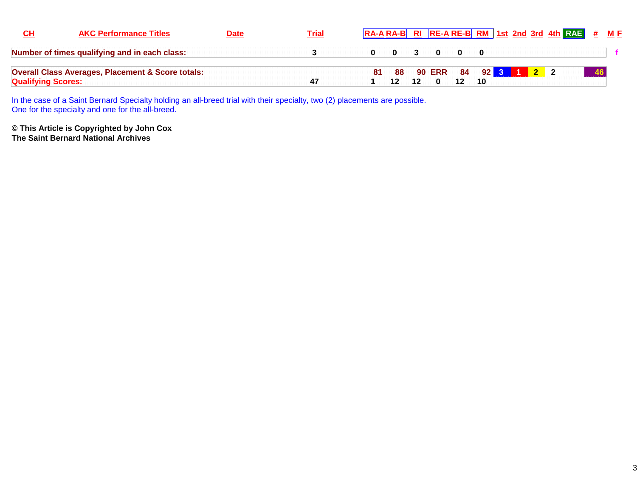|                           | <b>AKC Performance Titles</b>                                | Date | <u>Trial</u> |                           |         | $R$ A-A $R$ A-B RI RE-A $R$ E-B RM 1st 2nd 3rd 4th RAE # M E |                           |  |  |  |    |  |
|---------------------------|--------------------------------------------------------------|------|--------------|---------------------------|---------|--------------------------------------------------------------|---------------------------|--|--|--|----|--|
|                           | Number of times qualifying and in each class:                |      |              | $\mathbf{0}$ $\mathbf{0}$ |         |                                                              | $\mathbf{0}$ $\mathbf{0}$ |  |  |  |    |  |
| <b>Qualifying Scores:</b> | <b>Overall Class Averages, Placement &amp; Score totals:</b> |      |              | 81                        | $12 \,$ | 88 90 ERR 84 92 3 1 2 2                                      | 12 <sup>1</sup>           |  |  |  | 46 |  |

In the case of a Saint Bernard Specialty holding an all-breed trial with their specialty, two (2) placements are possible. One for the specialty and one for the all-breed.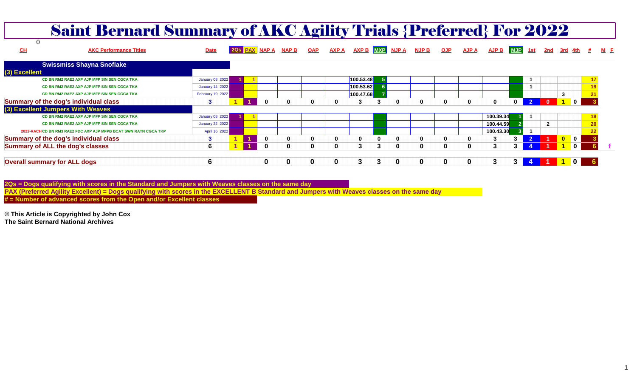|               | <b>Saint Bernard Summary of AKC Agility Trials {Preferred} For 2022</b> |                   |                            |              |              |              |                        |              |          |              |              |              |               |   |                |                |                                  |                                 |     |
|---------------|-------------------------------------------------------------------------|-------------------|----------------------------|--------------|--------------|--------------|------------------------|--------------|----------|--------------|--------------|--------------|---------------|---|----------------|----------------|----------------------------------|---------------------------------|-----|
| CH            | <b>AKC Performance Titles</b>                                           | <b>Date</b>       | <b>2QS PAX NAP A NAP B</b> |              | <b>OAP</b>   | <b>AXP A</b> | <b>AXP B</b> MXP NJP A |              |          | <b>NJP B</b> | <u>OJP</u>   | <b>AJP A</b> | AJP B MJP 1st |   |                |                |                                  | $2nd$ 3rd 4th $#$               | M F |
| (3) Excellent | <b>Swissmiss Shayna Snoflake</b>                                        |                   |                            |              |              |              |                        |              |          |              |              |              |               |   |                |                |                                  |                                 |     |
|               | CD BN RM2 RAE2 AXP AJP MFP SIN SEN CGCA TKA                             | January 08, 2022  |                            |              |              |              | 100.53.48              |              |          |              |              |              |               |   |                |                |                                  |                                 |     |
|               | CD BN RM2 RAE2 AXP AJP MFP SIN SEN CGCA TKA                             | January 14, 2022  |                            |              |              |              | 100.53.62              |              |          |              |              |              |               |   |                |                |                                  |                                 |     |
|               | CD BN RM2 RAE2 AXP AJP MFP SIN SEN CGCA TKA                             | February 19, 2022 |                            |              |              |              | 100.47.68              |              |          |              |              |              |               |   |                |                | 3                                |                                 |     |
|               | Summary of the dog's individual class                                   |                   | n                          | $\bf{0}$     | $\bf{0}$     | 0            | 3                      |              | O.       |              |              |              |               | 0 | $\overline{2}$ |                |                                  | $\blacksquare$ 0 $\blacksquare$ |     |
|               | (3) Excellent Jumpers With Weaves                                       |                   |                            |              |              |              |                        |              |          |              |              |              |               |   |                |                |                                  |                                 |     |
|               | CD BN RM2 RAE2 AXP AJP MFP SIN SEN CGCA TKA                             | January 08, 2022  |                            |              |              |              |                        |              |          |              |              |              | 100.39.34     |   |                |                |                                  |                                 |     |
|               | CD BN RM2 RAE2 AXP AJP MFP SIN SEN CGCA TKA                             | January 22, 2022  |                            |              |              |              |                        |              |          |              |              |              | 100.44.59     |   |                | $\overline{2}$ |                                  |                                 |     |
|               | 2022-RACH CD BN RM3 RAE2 FDC AXP AJP MFPB BCAT SWN RATN CGCA TKP        | April 16, 2022    |                            |              |              |              |                        |              |          |              |              |              | 100.43.30     |   |                |                |                                  |                                 |     |
|               | Summary of the dog's individual class                                   |                   | $\bf{0}$                   | $\mathbf{0}$ | $\bf{0}$     | $\mathbf 0$  | $\mathbf{0}$           | $\mathbf{0}$ | $\bf{0}$ | 0            | 0            |              |               |   |                |                | $\overline{0}$<br>$\blacksquare$ |                                 |     |
|               | <b>Summary of ALL the dog's classes</b>                                 | 6                 | $\Omega$                   | $\mathbf{0}$ | $\mathbf{0}$ | $\mathbf{0}$ | $\mathbf{3}$           | 3            | $\bf{0}$ | $\bf{0}$     | $\mathbf{0}$ | $\bf{0}$     | 3             |   |                |                |                                  | $\mathbf{0}$                    |     |
|               | <b>Overall summary for ALL dogs</b>                                     | 6                 | 0                          |              | 0            | 0            | 3                      | 3            | 0        | 0            | 0            | 0            | 3             |   |                |                |                                  | $\mathbf{0}$                    |     |

2Qs = Dogs qualifying with scores in the Standard and Jumpers with Weaves classes on the same day<br>PAX (Preferred Agility Excellent) = Dogs qualifying with scores in the EXCELLENT B Standard and Jumpers with Weaves classes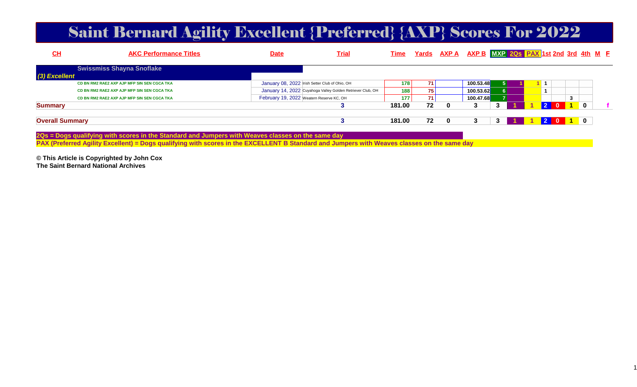## Saint Bernard Agility Excellent {Preferred} {AXP} Scores For 2022

| $CH$                   | <b>AKC Performance Titles</b>               | <b>Date</b> | <b>Trial</b>                                               | Time             |    | <u>Yards AXP A AXP B MXP 20s PAX 1st 2nd 3rd 4th M E</u> |  |         |              |  |
|------------------------|---------------------------------------------|-------------|------------------------------------------------------------|------------------|----|----------------------------------------------------------|--|---------|--------------|--|
|                        | <b>Swissmiss Shayna Snoflake</b>            |             |                                                            |                  |    |                                                          |  |         |              |  |
| (3) Excellent          |                                             |             |                                                            |                  |    |                                                          |  |         |              |  |
|                        | CD BN RM2 RAE2 AXP AJP MFP SIN SEN CGCA TKA |             | January 08, 2022 Irish Setter Club of Ohio, OH             | 178 <sub>1</sub> |    | 100.53.48                                                |  |         |              |  |
|                        | CD BN RM2 RAE2 AXP AJP MFP SIN SEN CGCA TKA |             | January 14, 2022 Cuyahoga Valley Golden Retriever Club, OH | 188              | 75 | 100.53.62                                                |  |         |              |  |
|                        | CD BN RM2 RAE2 AXP AJP MFP SIN SEN CGCA TKA |             | February 19, 2022 Weatern Reserve KC, OH                   | 177              |    | 100.47.68                                                |  |         |              |  |
| <b>Summary</b>         |                                             |             |                                                            | 181.00           | 72 |                                                          |  |         | $\mathbf{0}$ |  |
|                        |                                             |             |                                                            |                  |    |                                                          |  |         |              |  |
| <b>Overall Summary</b> |                                             |             |                                                            | 181.00           | 72 |                                                          |  | ◢ 1 0 1 |              |  |

**2Qs = Dogs qualifying with scores in the Standard and Jumpers with Weaves classes on the same day**

**PAX (Preferred Agility Excellent) = Dogs qualifying with scores in the EXCELLENT B Standard and Jumpers with Weaves classes on the same day**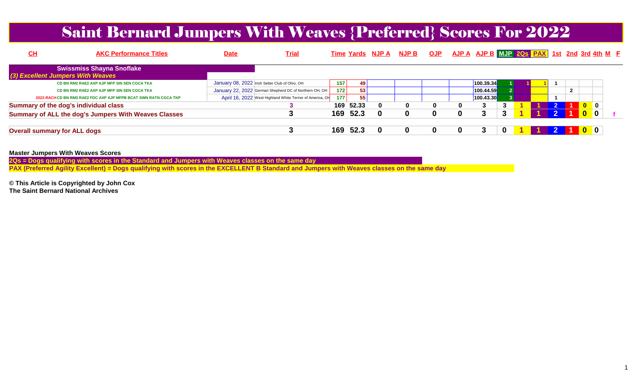#### Saint Bernard Jumpers With Weaves {Preferred} Scores For 2022

| $CH$                                | <b>AKC Performance Titles</b>                                    | <b>Date</b> | <b>Trial</b>                                              |      |           | <u>Time Yards NJP A</u> | <u>NJP B</u> | <u>OJP</u> | AJP A AJP B MJP 2QS PAX |     |  |  |                                                                | 1st 2nd 3rd 4th M E |  |
|-------------------------------------|------------------------------------------------------------------|-------------|-----------------------------------------------------------|------|-----------|-------------------------|--------------|------------|-------------------------|-----|--|--|----------------------------------------------------------------|---------------------|--|
| (3) Excellent Jumpers With Weaves   | <b>Swissmiss Shayna Snoflake</b>                                 |             |                                                           |      |           |                         |              |            |                         |     |  |  |                                                                |                     |  |
|                                     | CD BN RM2 RAE2 AXP AJP MFP SIN SEN CGCA TKA                      |             | January 08, 2022 Irish Setter Club of Ohio, OH            | 157  | 49        |                         |              |            | 100.39.34               |     |  |  |                                                                |                     |  |
|                                     | CD BN RM2 RAE2 AXP AJP MFP SIN SEN CGCA TKA                      |             | January 22, 2022 German Shepherd DC of Northern OH, OH    | 1721 | 53        |                         |              |            | 100.44.59               |     |  |  |                                                                |                     |  |
|                                     | 2022-RACH CD BN RM3 RAE2 FDC AXP AJP MFPB BCAT SWN RATN CGCA TKP |             | April 16, 2022 West Highland White Terrier of America, OH | 177  | 55        |                         |              |            | 100.43.30               |     |  |  |                                                                |                     |  |
|                                     | Summary of the dog's individual class                            |             |                                                           |      | 169 52.33 | 0                       | 0            |            |                         | - 2 |  |  |                                                                |                     |  |
|                                     | <b>Summary of ALL the dog's Jumpers With Weaves Classes</b>      |             |                                                           |      | 169 52.3  | $\bf{0}$                | 0            |            | 2                       |     |  |  | $\begin{array}{ c c c }\n\hline\n0 & 0 \\ \hline\n\end{array}$ |                     |  |
| <b>Overall summary for ALL dogs</b> |                                                                  |             |                                                           |      | 169 52.3  | $\mathbf{0}$            | 0            |            |                         | 0   |  |  | 100                                                            |                     |  |

**Master Jumpers With Weaves Scores**

**2Qs = Dogs qualifying with scores in the Standard and Jumpers with Weaves classes on the same day**

**PAX (Preferred Agility Excellent) = Dogs qualifying with scores in the EXCELLENT B Standard and Jumpers with Weaves classes on the same day**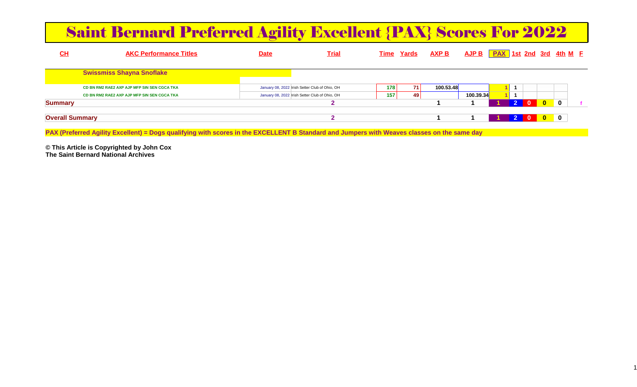# Saint Bernard Preferred Agility Excellent {PAX} Scores For 2022

| $CH$                   | <b>AKC Performance Titles</b>               | <b>Date</b> | <b>Trial</b>                                   |                  | <b>Time Yards</b> | <u>AXP B</u> | AJP B PAX 1st 2nd 3rd 4th M F |   |                  |                  |              |  |
|------------------------|---------------------------------------------|-------------|------------------------------------------------|------------------|-------------------|--------------|-------------------------------|---|------------------|------------------|--------------|--|
|                        | <b>Swissmiss Shayna Snoflake</b>            |             |                                                |                  |                   |              |                               |   |                  |                  |              |  |
|                        | CD BN RM2 RAE2 AXP AJP MFP SIN SEN CGCA TKA |             | January 08, 2022 Irish Setter Club of Ohio, OH | 178 <sub>1</sub> | 71                | 100.53.48    |                               | H |                  |                  |              |  |
|                        | CD BN RM2 RAE2 AXP AJP MFP SIN SEN CGCA TKA |             | January 08, 2022 Irish Setter Club of Ohio, OH | 157              | 49                |              | 100.39.34                     |   |                  |                  |              |  |
| <b>Summary</b>         |                                             |             |                                                |                  |                   |              |                               |   | $\blacksquare$ 0 | <u>l 0 </u>      | $\mathbf{0}$ |  |
| <b>Overall Summary</b> |                                             |             |                                                |                  |                   |              |                               |   |                  | $\overline{0}$ 0 |              |  |

**PAX (Preferred Agility Excellent) = Dogs qualifying with scores in the EXCELLENT B Standard and Jumpers with Weaves classes on the same day**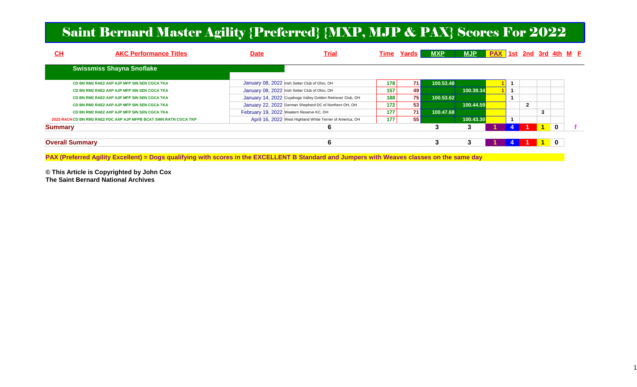#### Saint Bernard Master Agility {Preferred} {MXP, MJP & PAX} Scores For 2022

| <u>СН</u>              | <b>AKC Performance Titles</b>                                    | <b>Date</b> | <u>Trial</u>                                               | Time             | <u>Yards</u> | <b>MXP</b> | <b>MJP</b> | <b>PAX</b> 1st 2nd 3rd 4th M E |  |   |  |
|------------------------|------------------------------------------------------------------|-------------|------------------------------------------------------------|------------------|--------------|------------|------------|--------------------------------|--|---|--|
|                        | <b>Swissmiss Shayna Snoflake</b>                                 |             |                                                            |                  |              |            |            |                                |  |   |  |
|                        | CD BN RM2 RAE2 AXP AJP MFP SIN SEN CGCA TKA                      |             | January 08, 2022 Irish Setter Club of Ohio, OH             | <b>178</b>       | 71           | 100.53.48  |            |                                |  |   |  |
|                        | CD BN RM2 RAE2 AXP AJP MFP SIN SEN CGCA TKA                      |             | January 08, 2022 Irish Setter Club of Ohio, OH             | 157              | 49           |            | 100.39.34  |                                |  |   |  |
|                        | CD BN RM2 RAE2 AXP AJP MFP SIN SEN CGCA TKA                      |             | January 14, 2022 Cuyahoga Valley Golden Retriever Club, OH | 188              | 75           | 100.53.62  |            |                                |  |   |  |
|                        | CD BN RM2 RAE2 AXP AJP MFP SIN SEN CGCA TKA                      |             | January 22, 2022 German Shepherd DC of Northern OH, OH     | 172 <sub>1</sub> | 53           |            | 100.44.59  |                                |  |   |  |
|                        | CD BN RM2 RAE2 AXP AJP MFP SIN SEN CGCA TKA                      |             | February 19, 2022 Weatern Reserve KC, OH                   | 177              | 71           | 100.47.68  |            |                                |  | 3 |  |
|                        | 2022-RACH CD BN RM3 RAE2 FDC AXP AJP MFPB BCAT SWN RATN CGCA TKP |             | April 16, 2022 West Highland White Terrier of America, OH  | 177              | 55           |            | 100.43.30  |                                |  |   |  |
| <b>Summary</b>         |                                                                  |             |                                                            |                  |              | 3          |            |                                |  |   |  |
| <b>Overall Summary</b> |                                                                  |             | 6                                                          |                  |              | 3          |            |                                |  |   |  |

**PAX (Preferred Agility Excellent) = Dogs qualifying with scores in the EXCELLENT B Standard and Jumpers with Weaves classes on the same day**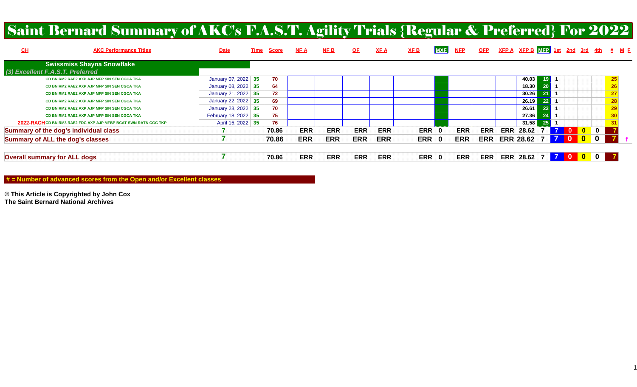# Saint Bernard Summary of AKC's F.A.S.T. Agility Trials {Regular & Preferred} For 2022

| CL | <b>AKC Performance Titles</b>                                  | <b>Date</b>             | Time | <u>Score</u> | NF A       | <u>NF B</u> | <u>OF</u>  | XF A       | XF B  | <b>MXF</b> | <b>NFP</b> | <b>OFP</b> |     |                      |                 |            |     |                         |              | $XFP A$ XFP B $MFP$ 1st 2nd 3rd 4th # M F |
|----|----------------------------------------------------------------|-------------------------|------|--------------|------------|-------------|------------|------------|-------|------------|------------|------------|-----|----------------------|-----------------|------------|-----|-------------------------|--------------|-------------------------------------------|
|    | <b>Swissmiss Shayna Snowflake</b>                              |                         |      |              |            |             |            |            |       |            |            |            |     |                      |                 |            |     |                         |              |                                           |
|    | (3) Excellent F.A.S.T. Preferred                               |                         |      |              |            |             |            |            |       |            |            |            |     |                      |                 |            |     |                         |              |                                           |
|    | CD BN RM2 RAE2 AXP AJP MFP SIN SEN CGCA TKA                    | January 07, 2022 35     |      | 70           |            |             |            |            |       |            |            |            |     | 40.03                | 19 <sup>°</sup> |            |     |                         |              | 25                                        |
|    | CD BN RM2 RAE2 AXP AJP MFP SIN SEN CGCA TKA                    | January 08, 2022 $ 35 $ |      | 64           |            |             |            |            |       |            |            |            |     | 18.30                | 20              |            |     |                         |              | 26                                        |
|    | CD BN RM2 RAE2 AXP AJP MFP SIN SEN CGCA TKA                    | January 21, 2022 35     |      | 72           |            |             |            |            |       |            |            |            |     | 30.26                | 21 <sup>1</sup> |            |     |                         |              | 27                                        |
|    | CD BN RM2 RAE2 AXP AJP MFP SIN SEN CGCA TKA                    | January 22, 2022 35     |      | 69           |            |             |            |            |       |            |            |            |     | 26.19                | 22              |            |     |                         |              | 28                                        |
|    | CD BN RM2 RAE2 AXP AJP MFP SIN SEN CGCA TKA                    | January 28, 2022 35     |      | 70           |            |             |            |            |       |            |            |            |     | 26.61                |                 |            |     |                         |              | 29                                        |
|    | CD BN RM2 RAE2 AXP AJP MFP SIN SEN CGCA TKA                    | February 18, 2022 35    |      | 75           |            |             |            |            |       |            |            |            |     | 27.36                | 24              |            |     |                         |              | 30                                        |
|    | 2022-RACHCD BN RM3 RAE2 FDC AXP AJP MFBP BCAT SWN RATN CGC TKP | April 15, 2022 35       |      | 76           |            |             |            |            |       |            |            |            |     | 31.58                | 25              |            |     |                         |              | 31                                        |
|    | Summary of the dog's individual class                          |                         |      | 70.86        | <b>ERR</b> | <b>ERR</b>  | <b>ERR</b> | <b>ERR</b> | ERR 0 |            | <b>ERR</b> | <b>ERR</b> | ERR | 28.62                |                 | <b>7</b> 1 | - 0 | $\overline{\mathbf{0}}$ | $\mathbf{0}$ |                                           |
|    | Summary of ALL the dog's classes                               |                         |      | 70.86        | <b>ERR</b> | <b>ERR</b>  | <b>ERR</b> | <b>ERR</b> | ERR 0 |            | <b>ERR</b> |            |     | <b>ERR ERR 28.62</b> |                 | <b>70</b>  |     | $\bullet$               | $\mathbf 0$  |                                           |
|    | <b>Overall summary for ALL dogs</b>                            |                         |      | 70.86        | <b>ERR</b> | <b>ERR</b>  | <b>ERR</b> | <b>ERR</b> | ERR 0 |            | <b>ERR</b> | <b>ERR</b> |     | ERR 28.62 7 7 0      |                 |            |     | $\blacksquare$          | $\mathbf 0$  |                                           |
|    |                                                                |                         |      |              |            |             |            |            |       |            |            |            |     |                      |                 |            |     |                         |              |                                           |

#### **# = Number of advanced scores from the Open and/or Excellent classes**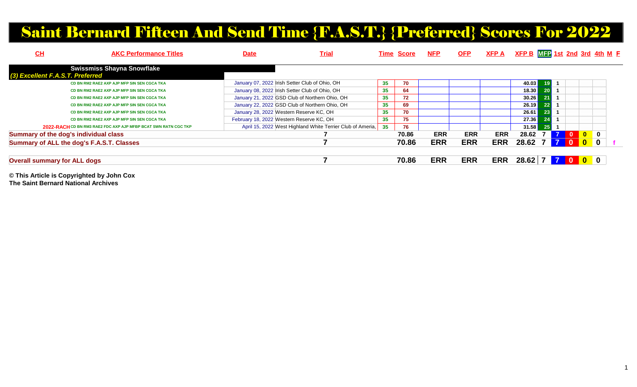# Saint Bernard Fifteen And Send Time {F.A.S.T.} {Preferred} Scores For 2022

| CH                                        | <b>AKC Performance Titles</b>                                   | <b>Date</b> | <b>Trial</b>                                               |                 | <b>Time Score</b> | <b>NFP</b> | <b>OFP</b> | <u>XFP A</u> |                 |    |              |                                                                       | $XFP B$ $MF2$ 1st 2nd 3rd 4th M F |
|-------------------------------------------|-----------------------------------------------------------------|-------------|------------------------------------------------------------|-----------------|-------------------|------------|------------|--------------|-----------------|----|--------------|-----------------------------------------------------------------------|-----------------------------------|
| (3) Excellent F.A.S.T. Preferred          | <b>Swissmiss Shayna Snowflake</b>                               |             |                                                            |                 |                   |            |            |              |                 |    |              |                                                                       |                                   |
|                                           | CD BN RM2 RAE2 AXP AJP MFP SIN SEN CGCA TKA                     |             | January 07, 2022 Irish Setter Club of Ohio, OH             | 35              | 70                |            |            |              | 40.03           | 19 |              |                                                                       |                                   |
|                                           | CD BN RM2 RAE2 AXP AJP MFP SIN SEN CGCA TKA                     |             | January 08, 2022 Irish Setter Club of Ohio, OH             | 35              | 64                |            |            |              | 18.30           | 20 |              |                                                                       |                                   |
|                                           | CD BN RM2 RAE2 AXP AJP MFP SIN SEN CGCA TKA                     |             | January 21, 2022 GSD Club of Northern Ohio, OH             | 35              | 72                |            |            |              | 30.26           | 21 |              |                                                                       |                                   |
|                                           | CD BN RM2 RAE2 AXP AJP MFP SIN SEN CGCA TKA                     |             | January 22, 2022 GSD Club of Northern Ohio, OH             | 35              | 69                |            |            |              | 26.19           | 22 |              |                                                                       |                                   |
|                                           | CD BN RM2 RAE2 AXP AJP MFP SIN SEN CGCA TKA                     |             | January 28, 2022 Western Reserve KC, OH                    | 35              | 70                |            |            |              | 26.61           | 23 |              |                                                                       |                                   |
|                                           | CD BN RM2 RAE2 AXP AJP MFP SIN SEN CGCA TKA                     |             | February 18, 2022 Western Reserve KC, OH                   | 35 <sub>5</sub> | 75                |            |            |              | 27.36           | 24 |              |                                                                       |                                   |
|                                           | 2022-RACH CD BN RM3 RAE2 FDC AXP AJP MFBP BCAT SWN RATN CGC TKP |             | April 15, 2022 West Highland White Terrier Club of Ameria, | 35 <sub>2</sub> | 76                |            |            |              | 31.58           | 25 |              |                                                                       |                                   |
| Summary of the dog's individual class     |                                                                 |             |                                                            |                 | 70.86             | <b>ERR</b> | <b>ERR</b> | <b>ERR</b>   | 28.62           |    |              | $\begin{array}{ c c c c c c }\n\hline\n0&0&0&0&\ \hline\n\end{array}$ |                                   |
| Summary of ALL the dog's F.A.S.T. Classes |                                                                 |             |                                                            |                 | 70.86             | <b>ERR</b> | <b>ERR</b> | <b>ERR</b>   | $28.62 \quad 7$ |    | $\mathbf{0}$ |                                                                       |                                   |
| <b>Overall summary for ALL dogs</b>       |                                                                 |             |                                                            |                 | 70.86             | <b>ERR</b> | <b>ERR</b> | <b>ERR</b>   | $28.62$ 7 7     |    |              | 0 0 0                                                                 |                                   |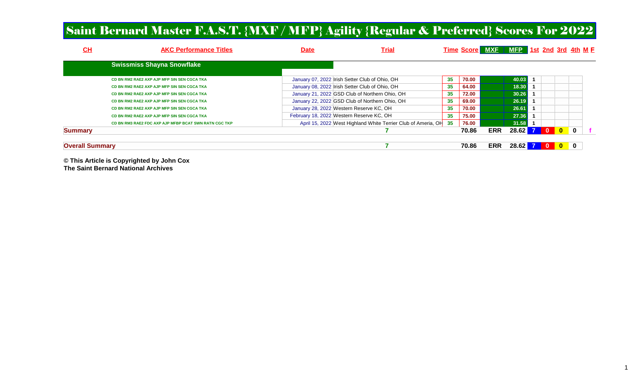#### Saint Bernard Master F.A.S.T. {MXF / MFP} Agility {Regular & Preferred} Scores For 2022

| CH                     | <b>AKC Performance Titles</b>                         | <b>Date</b> | Trial                                                         |                 |       |            |           |  |                                                                    | Time Score MXF MFP 1st 2nd 3rd 4th M E |
|------------------------|-------------------------------------------------------|-------------|---------------------------------------------------------------|-----------------|-------|------------|-----------|--|--------------------------------------------------------------------|----------------------------------------|
|                        | <b>Swissmiss Shayna Snowflake</b>                     |             |                                                               |                 |       |            |           |  |                                                                    |                                        |
|                        | CD BN RM2 RAE2 AXP AJP MFP SIN SEN CGCA TKA           |             | January 07, 2022 Irish Setter Club of Ohio, OH                | 35 <sub>5</sub> | 70.00 |            | 40.03     |  |                                                                    |                                        |
|                        | CD BN RM2 RAE2 AXP AJP MFP SIN SEN CGCA TKA           |             | January 08, 2022 Irish Setter Club of Ohio, OH                | $35\,$          | 64.00 |            | 18.30     |  |                                                                    |                                        |
|                        | CD BN RM2 RAE2 AXP AJP MFP SIN SEN CGCA TKA           |             | January 21, 2022 GSD Club of Northern Ohio, OH                | $35\,$          | 72.00 |            | 30.26     |  |                                                                    |                                        |
|                        | CD BN RM2 RAE2 AXP AJP MFP SIN SEN CGCA TKA           |             | January 22, 2022 GSD Club of Northern Ohio, OH                | 35              | 69.00 |            | 26.19     |  |                                                                    |                                        |
|                        | CD BN RM2 RAE2 AXP AJP MFP SIN SEN CGCA TKA           |             | January 28, 2022 Western Reserve KC, OH                       | 35              | 70.00 |            | 26.61     |  |                                                                    |                                        |
|                        | CD BN RM2 RAE2 AXP AJP MFP SIN SEN CGCA TKA           |             | February 18, 2022 Western Reserve KC, OH                      | $35\,$          | 75.00 |            | 27.36     |  |                                                                    |                                        |
|                        | CD BN RM3 RAE2 FDC AXP AJP MFBP BCAT SWN RATN CGC TKP |             | April 15, 2022 West Highland White Terrier Club of Ameria, OH | 35              | 76.00 |            | 31.58     |  |                                                                    |                                        |
| <b>Summary</b>         |                                                       |             |                                                               |                 | 70.86 | <b>ERR</b> | $28.62$ 7 |  | <b>10</b>                                                          | $\mathbf 0$                            |
|                        |                                                       |             |                                                               |                 |       |            |           |  |                                                                    |                                        |
| <b>Overall Summary</b> |                                                       |             |                                                               |                 | 70.86 | <b>ERR</b> | $28.62$ 7 |  | $\begin{array}{ c c c c c }\n\hline\n0 & 0 \\ \hline\n\end{array}$ |                                        |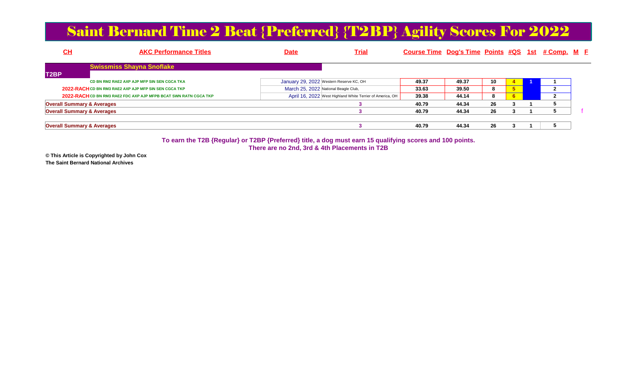#### Saint Bernard Time 2 Beat {Preferred} {T2BP} Agility Scores For 2022

| <u>СН</u>                             | <b>AKC Performance Titles</b>                                    | <b>Date</b>                          | <u>Trial</u>                                              | Course Time Dog's Time Points #QS 1st # Comp. M E |       |    |  |  |  |
|---------------------------------------|------------------------------------------------------------------|--------------------------------------|-----------------------------------------------------------|---------------------------------------------------|-------|----|--|--|--|
| T <sub>2</sub> BP                     | <b>Swissmiss Shayna Snoflake</b>                                 |                                      |                                                           |                                                   |       |    |  |  |  |
|                                       | CD BN RM2 RAE2 AXP AJP MFP SIN SEN CGCA TKA                      |                                      | January 29, 2022 Western Reserve KC, OH                   | 49.37                                             | 49.37 | 10 |  |  |  |
|                                       | 2022-RACH CD BN RM3 RAE2 AXP AJP MFP SIN SEN CGCA TKP            | March 25, 2022 National Beagle Club, |                                                           | 33.63                                             | 39.50 |    |  |  |  |
|                                       | 2022-RACH CD BN RM3 RAE2 FDC AXP AJP MFPB BCAT SWN RATN CGCA TKP |                                      | April 16, 2022 West Highland White Terrier of America, OH | 39.38                                             | 44.14 |    |  |  |  |
| <b>Overall Summary &amp; Averages</b> |                                                                  |                                      |                                                           | 40.79                                             | 44.34 | 26 |  |  |  |
| <b>Overall Summary &amp; Averages</b> |                                                                  |                                      |                                                           | 40.79                                             | 44.34 | 26 |  |  |  |
|                                       |                                                                  |                                      |                                                           |                                                   |       |    |  |  |  |
| <b>Overall Summary &amp; Averages</b> |                                                                  |                                      |                                                           | 40.79                                             | 44.34 | 26 |  |  |  |

**To earn the T2B {Regular} or T2BP {Preferred} title, a dog must earn 15 qualifying scores and 100 points.There are no 2nd, 3rd & 4th Placements in T2B**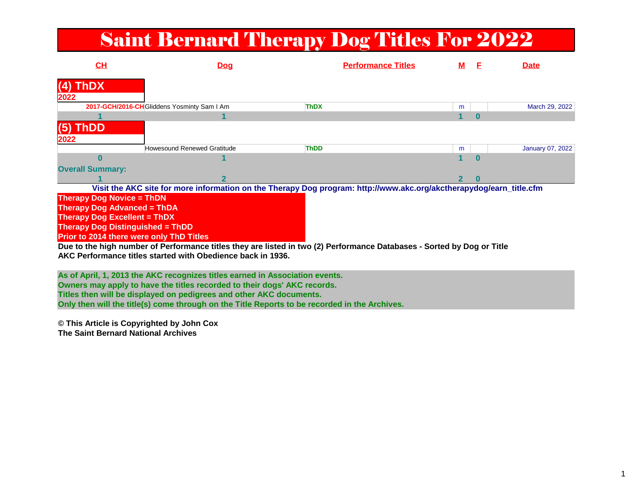## Saint Bernard Therapy Dog Titles For 2022

| CL                                              | <u>Dog</u>                                                                                                                                                                                                                      | <b>Performance Titles</b>                                                                                              | M           | <b>Date</b>      |
|-------------------------------------------------|---------------------------------------------------------------------------------------------------------------------------------------------------------------------------------------------------------------------------------|------------------------------------------------------------------------------------------------------------------------|-------------|------------------|
| <b>ThDX</b><br>(4)<br>2022                      |                                                                                                                                                                                                                                 |                                                                                                                        |             |                  |
|                                                 | 2017-GCH/2016-CH Gliddens Yosminty Sam I Am                                                                                                                                                                                     | <b>ThDX</b>                                                                                                            | m           | March 29, 2022   |
|                                                 |                                                                                                                                                                                                                                 |                                                                                                                        |             |                  |
| <b>ThDD</b><br>(5)<br>2022                      |                                                                                                                                                                                                                                 |                                                                                                                        |             |                  |
|                                                 | Howesound Renewed Gratitude                                                                                                                                                                                                     | <b>ThDD</b>                                                                                                            | m           | January 07, 2022 |
| n                                               |                                                                                                                                                                                                                                 |                                                                                                                        |             |                  |
| <b>Overall Summary:</b>                         |                                                                                                                                                                                                                                 |                                                                                                                        |             |                  |
|                                                 | $\mathbf{2}$                                                                                                                                                                                                                    |                                                                                                                        | $\mathbf 2$ |                  |
|                                                 |                                                                                                                                                                                                                                 | Visit the AKC site for more information on the Therapy Dog program: http://www.akc.org/akctherapydog/earn_title.cfm    |             |                  |
| <b>Therapy Dog Novice = ThDN</b>                |                                                                                                                                                                                                                                 |                                                                                                                        |             |                  |
| <b>Therapy Dog Advanced = ThDA</b>              |                                                                                                                                                                                                                                 |                                                                                                                        |             |                  |
| <b>Therapy Dog Excellent = ThDX</b>             |                                                                                                                                                                                                                                 |                                                                                                                        |             |                  |
| Therapy Dog Distinguished = ThDD                |                                                                                                                                                                                                                                 |                                                                                                                        |             |                  |
| <b>Prior to 2014 there were only ThD Titles</b> |                                                                                                                                                                                                                                 |                                                                                                                        |             |                  |
|                                                 |                                                                                                                                                                                                                                 | Due to the high number of Performance titles they are listed in two (2) Performance Databases - Sorted by Dog or Title |             |                  |
|                                                 | AKC Performance titles started with Obedience back in 1936.                                                                                                                                                                     |                                                                                                                        |             |                  |
|                                                 | As of April, 1, 2013 the AKC recognizes titles earned in Association events.<br>Owners may apply to have the titles recorded to their dogs' AKC records.<br>Titles then will be displayed on pedigrees and other AKC documents. |                                                                                                                        |             |                  |

**Titles then will be displayed on pedigrees and other AKC documents. Only then will the title(s) come through on the Title Reports to be recorded in the Archives.**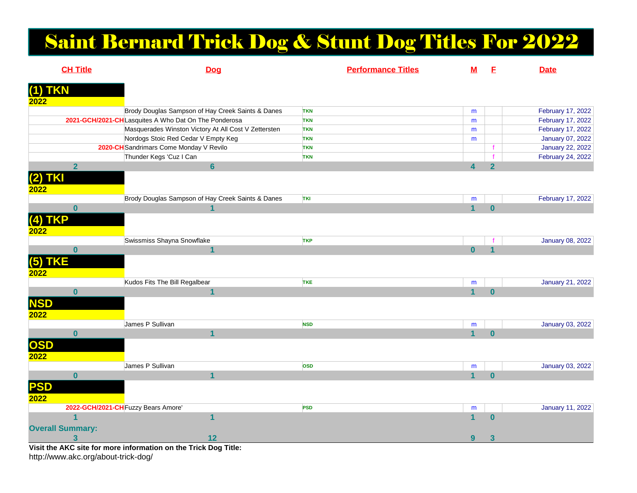# Saint Bernard Trick Dog & Stunt Dog Titles For 2022

| <b>CH Title</b>                          | <b>Dog</b>                                           | <b>Performance Titles</b> | $M$                     | E              | <b>Date</b>             |
|------------------------------------------|------------------------------------------------------|---------------------------|-------------------------|----------------|-------------------------|
| $(1)$ TKN                                |                                                      |                           |                         |                |                         |
| 2022                                     |                                                      |                           |                         |                |                         |
|                                          | Brody Douglas Sampson of Hay Creek Saints & Danes    | <b>TKN</b>                | m                       |                | February 17, 2022       |
|                                          | 2021-GCH/2021-CHLasquites A Who Dat On The Ponderosa | <b>TKN</b>                | m                       |                | February 17, 2022       |
|                                          | Masquerades Winston Victory At All Cost V Zettersten | <b>TKN</b>                | m                       |                | February 17, 2022       |
|                                          | Nordogs Stoic Red Cedar V Empty Keg                  | <b>TKN</b>                | m                       |                | January 07, 2022        |
|                                          | 2020-CH Sandrimars Come Monday V Revilo              | <b>TKN</b>                |                         | f              | <b>January 22, 2022</b> |
|                                          | Thunder Kegs 'Cuz I Can                              | <b>TKN</b>                |                         | $\mathbf{f}$   | February 24, 2022       |
| $\overline{2}$                           | $6\phantom{a}$                                       |                           | $\overline{\mathbf{4}}$ | $\overline{2}$ |                         |
| <b>(2) TKI</b>                           |                                                      |                           |                         |                |                         |
| 2022                                     |                                                      |                           |                         |                |                         |
|                                          | Brody Douglas Sampson of Hay Creek Saints & Danes    | <b>TKI</b>                | ${\sf m}$               |                | February 17, 2022       |
| $\mathbf{0}$                             |                                                      |                           | $\overline{1}$          | $\mathbf 0$    |                         |
|                                          |                                                      |                           |                         |                |                         |
| $(4)$ TKP                                |                                                      |                           |                         |                |                         |
| 2022                                     |                                                      |                           |                         |                |                         |
|                                          | Swissmiss Shayna Snowflake                           | <b>TKP</b>                |                         |                | <b>January 08, 2022</b> |
| $\mathbf 0$                              | $\overline{1}$                                       |                           | $\overline{\mathbf{0}}$ | 1              |                         |
| $(5)$ TKE                                |                                                      |                           |                         |                |                         |
| 2022                                     |                                                      |                           |                         |                |                         |
|                                          | Kudos Fits The Bill Regalbear                        | <b>TKE</b>                | m                       |                | <b>January 21, 2022</b> |
| $\bf{0}$                                 | 1                                                    |                           | $\overline{1}$          | $\mathbf{0}$   |                         |
| <b>NSD</b>                               |                                                      |                           |                         |                |                         |
|                                          |                                                      |                           |                         |                |                         |
| 2022                                     |                                                      |                           |                         |                |                         |
|                                          | James P Sullivan                                     | <b>NSD</b>                | ${\sf m}$               |                | January 03, 2022        |
| $\mathbf{0}$                             | $\overline{1}$                                       |                           | $\overline{1}$          | $\mathbf 0$    |                         |
| OSD                                      |                                                      |                           |                         |                |                         |
| 2022                                     |                                                      |                           |                         |                |                         |
|                                          | James P Sullivan                                     | <b>OSD</b>                | m                       |                | January 03, 2022        |
| $\mathbf{0}$                             | $\overline{\mathbf{1}}$                              |                           | $\overline{1}$          | $\mathbf 0$    |                         |
|                                          |                                                      |                           |                         |                |                         |
| <b>PSD</b>                               |                                                      |                           |                         |                |                         |
| 2022                                     |                                                      |                           |                         |                |                         |
|                                          | 2022-GCH/2021-CH Fuzzy Bears Amore'                  | <b>PSD</b>                | ${\sf m}$               |                | <b>January 11, 2022</b> |
| 4                                        |                                                      |                           | $\overline{1}$          | $\bf{0}$       |                         |
| <b>Overall Summary:</b>                  |                                                      |                           |                         |                |                         |
|                                          | 12                                                   |                           | 9                       | 3              |                         |
| $\mathbf{A}$ $\mathbf{A}$<br>175 - 57 AB | $-1.0$<br>$T = 1.15$                                 |                           |                         |                |                         |

**Visit the AKC site for more information on the Trick Dog Title:** http://www.akc.org/about-trick-dog/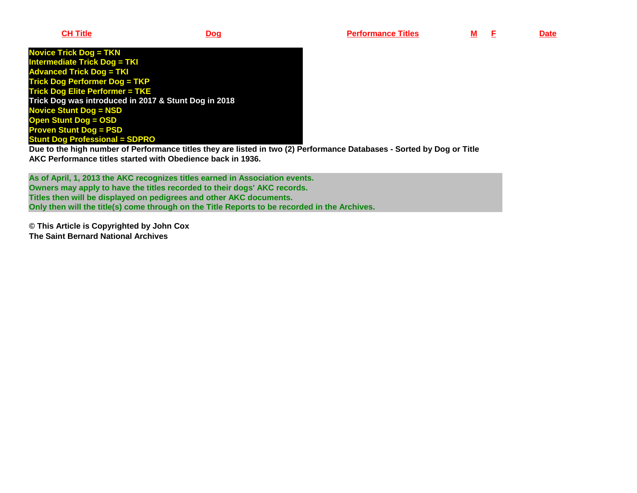**Novice Trick Dog = TKN Intermediate Trick Dog = TKI Advanced Trick Dog = TKI Trick Dog Performer Dog = TKP Trick Dog Elite Performer = TKE Trick Dog was introduced in 2017 & Stunt Dog in 2018Novice Stunt Dog = NSDOpen Stunt Dog = OSD Proven Stunt Dog = PSD**

 **Stunt Dog Professional = SDPRO Due to the high number of Performance titles they are listed in two (2) Performance Databases - Sorted by Dog or TitleAKC Performance titles started with Obedience back in 1936.**

**As of April, 1, 2013 the AKC recognizes titles earned in Association events.Owners may apply to have the titles recorded to their dogs' AKC records. Titles then will be displayed on pedigrees and other AKC documents. Only then will the title(s) come through on the Title Reports to be recorded in the Archives.**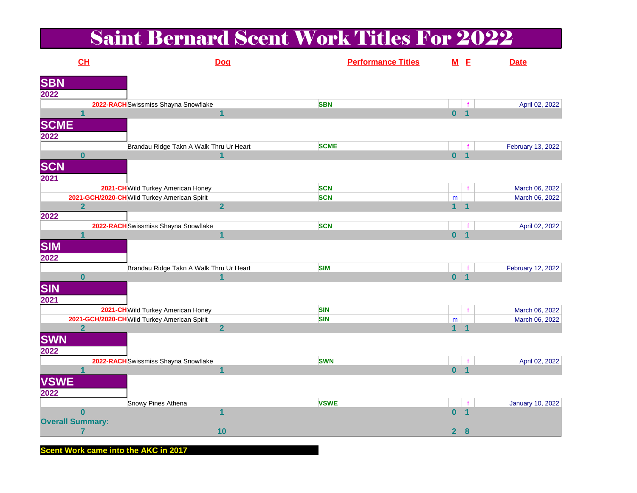#### Saint Bernard Scent Work Titles For 2022

| CL                      |                                              | Dog                     | <b>Performance Titles</b> |                | $M$ E          | <b>Date</b>             |
|-------------------------|----------------------------------------------|-------------------------|---------------------------|----------------|----------------|-------------------------|
|                         |                                              |                         |                           |                |                |                         |
| <b>SBN</b><br>2022      |                                              |                         |                           |                |                |                         |
|                         |                                              |                         |                           |                |                |                         |
| 1                       | 2022-RACH Swissmiss Shayna Snowflake         | 1                       | <b>SBN</b>                | 0 <sub>1</sub> |                | April 02, 2022          |
|                         |                                              |                         |                           |                |                |                         |
| <b>SCME</b><br>2022     |                                              |                         |                           |                |                |                         |
|                         |                                              |                         |                           |                |                |                         |
|                         | Brandau Ridge Takn A Walk Thru Ur Heart      |                         | <b>SCME</b>               |                |                | February 13, 2022       |
| $\bf{0}$                |                                              | 1                       |                           | $\mathbf{0}$   | $\overline{1}$ |                         |
| <b>SCN</b>              |                                              |                         |                           |                |                |                         |
| 2021                    |                                              |                         |                           |                |                |                         |
|                         | 2021-CH Wild Turkey American Honey           |                         | <b>SCN</b>                |                |                | March 06, 2022          |
|                         | 2021-GCH/2020-CH Wild Turkey American Spirit |                         | <b>SCN</b>                | m              |                | March 06, 2022          |
| $\overline{2}$          |                                              | $\overline{2}$          |                           | $\mathbf{1}$   | 1              |                         |
| 2022                    |                                              |                         |                           |                |                |                         |
|                         | 2022-RACH Swissmiss Shayna Snowflake         |                         | <b>SCN</b>                |                |                | April 02, 2022          |
| 1                       |                                              | $\mathbf 1$             |                           |                | 0 <sub>1</sub> |                         |
| <b>SIM</b><br>2022      |                                              |                         |                           |                |                |                         |
|                         |                                              |                         |                           |                |                |                         |
|                         | Brandau Ridge Takn A Walk Thru Ur Heart      |                         | <b>SIM</b>                |                |                | February 12, 2022       |
| $\bf{0}$                |                                              | 1                       |                           | $\mathbf{0}$   | $\overline{1}$ |                         |
|                         |                                              |                         |                           |                |                |                         |
| <b>SIN</b><br>2021      |                                              |                         |                           |                |                |                         |
|                         | 2021-CH Wild Turkey American Honey           |                         | <b>SIN</b>                |                |                | March 06, 2022          |
|                         | 2021-GCH/2020-CH Wild Turkey American Spirit |                         | <b>SIN</b>                | m              |                | March 06, 2022          |
| $\overline{2}$          |                                              | $\overline{\mathbf{2}}$ |                           | $\mathbf{1}$   | 1              |                         |
| <b>SWN</b>              |                                              |                         |                           |                |                |                         |
| 2022                    |                                              |                         |                           |                |                |                         |
|                         | 2022-RACH Swissmiss Shayna Snowflake         |                         | <b>SWN</b>                |                |                | April 02, 2022          |
| 1                       |                                              | 1                       |                           | $\bf{0}$       | $\overline{1}$ |                         |
| <b>VSWE</b>             |                                              |                         |                           |                |                |                         |
| 2022                    |                                              |                         |                           |                |                |                         |
|                         | Snowy Pines Athena                           |                         | <b>VSWE</b>               |                | Ŧ              | <b>January 10, 2022</b> |
| $\bf{0}$                |                                              | 1                       |                           | $\mathbf{0}$   | $\overline{1}$ |                         |
| <b>Overall Summary:</b> |                                              |                         |                           |                |                |                         |
| 7                       |                                              | 10                      |                           | 2 <sup>1</sup> | 8              |                         |

**Scent Work came into the AKC in 2017**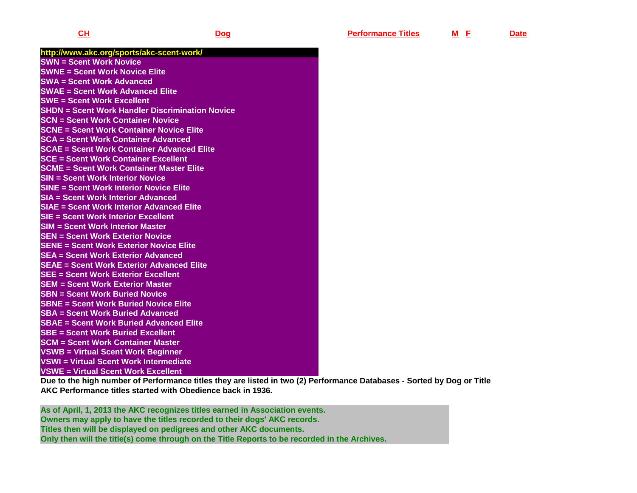#### **CH**

| http://www.akc.org/sports/akc-scent-work/ |  |  |
|-------------------------------------------|--|--|
|                                           |  |  |

**SWN = Scent Work Novice SWNE = Scent Work Novice EliteSWA = Scent Work Advanced SWAE = Scent Work Advanced EliteSWE = Scent Work Excellent SHDN = Scent Work Handler Discrimination NoviceSCN = Scent Work Container Novice SCNE = Scent Work Container Novice EliteSCA = Scent Work Container Advanced SCAE = Scent Work Container Advanced EliteSCE = Scent Work Container Excellent SCME = Scent Work Container Master EliteSIN = Scent Work Interior Novice SINE = Scent Work Interior Novice EliteSIA = Scent Work Interior Advanced SIAE = Scent Work Interior Advanced EliteSIE = Scent Work Interior ExcellentSIM = Scent Work Interior Master SEN = Scent Work Exterior Novice SENE = Scent Work Exterior Novice EliteSEA = Scent Work Exterior Advanced SEAE = Scent Work Exterior Advanced EliteSEE = Scent Work Exterior ExcellentSEM = Scent Work Exterior MasterSBN = Scent Work Buried Novice SBNE = Scent Work Buried Novice EliteSBA = Scent Work Buried Advanced SBAE = Scent Work Buried Advanced EliteSBE = Scent Work Buried Excellent SCM = Scent Work Container Master VSWB = Virtual Scent Work Beginner VSWI = Virtual Scent Work IntermediateVSWE = Virtual Scent Work Excellent**

 **Due to the high number of Performance titles they are listed in two (2) Performance Databases - Sorted by Dog or TitleAKC Performance titles started with Obedience back in 1936.**

**As of April, 1, 2013 the AKC recognizes titles earned in Association events.Owners may apply to have the titles recorded to their dogs' AKC records. Titles then will be displayed on pedigrees and other AKC documents. Only then will the title(s) come through on the Title Reports to be recorded in the Archives.**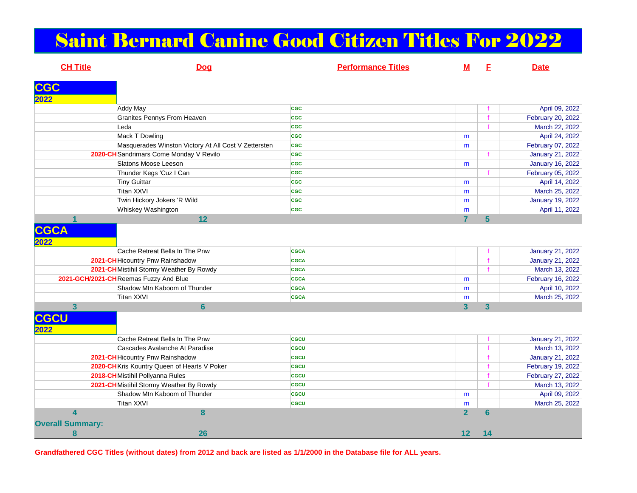# Saint Bernard Canine Good Citizen Titles For 2022

| <b>CH Title</b>         | Dog                                                  | <b>Performance Titles</b> | ${\bf M}$      | E               | <b>Date</b>             |
|-------------------------|------------------------------------------------------|---------------------------|----------------|-----------------|-------------------------|
|                         |                                                      |                           |                |                 |                         |
| <b>CGC</b><br>2022      |                                                      |                           |                |                 |                         |
|                         | Addy May                                             | <b>CGC</b>                |                |                 | April 09, 2022          |
|                         | Granites Pennys From Heaven                          | <b>CGC</b>                |                | $\mathbf f$     | February 20, 2022       |
|                         | Leda                                                 | <b>CGC</b>                |                |                 | March 22, 2022          |
|                         | Mack T Dowling                                       | <b>CGC</b>                | m              |                 | April 24, 2022          |
|                         | Masquerades Winston Victory At All Cost V Zettersten | <b>CGC</b>                | m              |                 | February 07, 2022       |
|                         | 2020-CH Sandrimars Come Monday V Revilo              | <b>CGC</b>                |                | f               | <b>January 21, 2022</b> |
|                         | Slatons Moose Leeson                                 | <b>CGC</b>                | m              |                 | <b>January 16, 2022</b> |
|                         | Thunder Kegs 'Cuz I Can                              | <b>CGC</b>                |                | $\mathbf f$     | February 05, 2022       |
|                         | Tiny Guittar                                         | <b>CGC</b>                | m              |                 | April 14, 2022          |
|                         | <b>Titan XXVI</b>                                    | <b>CGC</b>                | m              |                 | March 25, 2022          |
|                         | Twin Hickory Jokers 'R Wild                          | <b>CGC</b>                | m              |                 | <b>January 19, 2022</b> |
|                         | Whiskey Washington                                   | <b>CGC</b>                | m              |                 | April 11, 2022          |
|                         | 12                                                   |                           | 7              | 5               |                         |
| <b>CGCA</b>             |                                                      |                           |                |                 |                         |
|                         |                                                      |                           |                |                 |                         |
| 2022                    |                                                      |                           |                |                 |                         |
|                         | Cache Retreat Bella In The Pnw                       | <b>CGCA</b>               |                |                 | <b>January 21, 2022</b> |
|                         | 2021-CH Hicountry Pnw Rainshadow                     | <b>CGCA</b>               |                | $\mathbf f$     | <b>January 21, 2022</b> |
|                         | 2021-CH Mistihil Stormy Weather By Rowdy             | <b>CGCA</b>               |                |                 | March 13, 2022          |
|                         | 2021-GCH/2021-CH Reemas Fuzzy And Blue               | <b>CGCA</b>               | m              |                 | February 16, 2022       |
|                         | Shadow Mtn Kaboom of Thunder                         | <b>CGCA</b>               | m              |                 | April 10, 2022          |
|                         | Titan XXVI                                           | <b>CGCA</b>               | m              |                 | March 25, 2022          |
| $\overline{3}$          | $6\phantom{1}$                                       |                           | 3 <sup>1</sup> | $\mathbf{3}$    |                         |
| <b>CGCU</b>             |                                                      |                           |                |                 |                         |
| 2022                    |                                                      |                           |                |                 |                         |
|                         | Cache Retreat Bella In The Pnw                       | cacu                      |                |                 | <b>January 21, 2022</b> |
|                         | Cascades Avalanche At Paradise                       | cacu                      |                |                 | March 13, 2022          |
|                         | 2021-CH Hicountry Pnw Rainshadow                     | cacu                      |                |                 | <b>January 21, 2022</b> |
|                         | 2020-CH Kris Kountry Queen of Hearts V Poker         | <b>CGCU</b>               |                | $\mathbf f$     | February 19, 2022       |
|                         | 2018-CH Mistihil Pollyanna Rules                     | cacu                      |                |                 | February 27, 2022       |
|                         | 2021-CH Mistihil Stormy Weather By Rowdy             | <b>CGCU</b>               |                |                 | March 13, 2022          |
|                         | Shadow Mtn Kaboom of Thunder                         | <b>CGCU</b>               | m              |                 | April 09, 2022          |
|                         | Titan XXVI                                           | cacu                      | m              |                 | March 25, 2022          |
| 4                       | 8                                                    |                           | $\overline{2}$ | $6\phantom{1}6$ |                         |
| <b>Overall Summary:</b> |                                                      |                           |                |                 |                         |
| 8                       | 26                                                   |                           | 12             | 14              |                         |
|                         |                                                      |                           |                |                 |                         |

**Grandfathered CGC Titles (without dates) from 2012 and back are listed as 1/1/2000 in the Database file for ALL years.**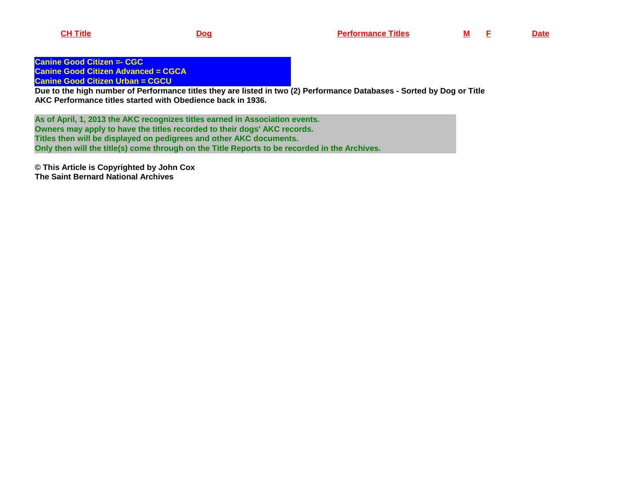**Canine Good Citizen =- CGC Canine Good Citizen Advanced = CGCACanine Good Citizen Urban = CGCU**

 **Due to the high number of Performance titles they are listed in two (2) Performance Databases - Sorted by Dog or TitleAKC Performance titles started with Obedience back in 1936.**

**As of April, 1, 2013 the AKC recognizes titles earned in Association events.Owners may apply to have the titles recorded to their dogs' AKC records. Titles then will be displayed on pedigrees and other AKC documents. Only then will the title(s) come through on the Title Reports to be recorded in the Archives.**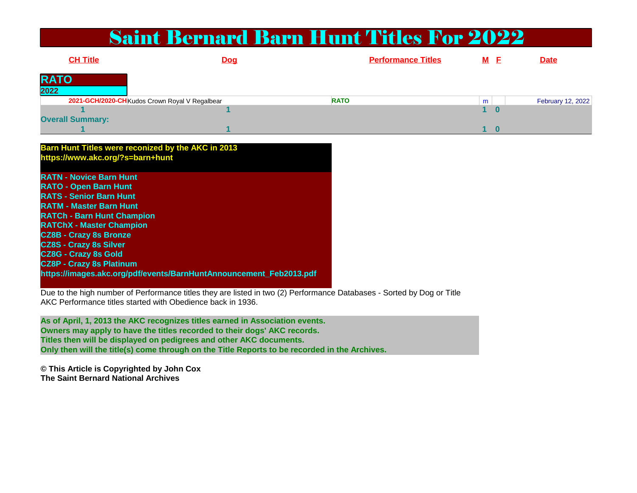#### Saint Bernard Barn Hunt Titles For 2022

| <b>CH Title</b>         | <u>Dog</u>                                     | <b>Performance Titles</b> | $M$ $E$ | <b>Date</b>       |
|-------------------------|------------------------------------------------|---------------------------|---------|-------------------|
| <b>RATO</b>             |                                                |                           |         |                   |
| 2022                    |                                                |                           |         |                   |
|                         | 2021-GCH/2020-CH Kudos Crown Royal V Regalbear | <b>RATO</b>               | m       | February 12, 2022 |
|                         |                                                |                           | 10      |                   |
| <b>Overall Summary:</b> |                                                |                           |         |                   |
|                         |                                                |                           |         |                   |

**Barn Hunt Titles were reconized by the AKC in 2013https://www.akc.org/?s=barn+hunt**

**RATN - Novice Barn HuntRATO - Open Barn Hunt RATS - Senior Barn Hunt RATM - Master Barn Hunt RATCh - Barn Hunt ChampionRATChX - Master ChampionCZ8B - Crazy 8s Bronze CZ8S - Crazy 8s Silver CZ8G - Crazy 8s Gold CZ8P - Crazy 8s Platinumhttps://images.akc.org/pdf/events/BarnHuntAnnouncement\_Feb2013.pdf**

Due to the high number of Performance titles they are listed in two (2) Performance Databases - Sorted by Dog or TitleAKC Performance titles started with Obedience back in 1936.

**As of April, 1, 2013 the AKC recognizes titles earned in Association events.Owners may apply to have the titles recorded to their dogs' AKC records. Titles then will be displayed on pedigrees and other AKC documents. Only then will the title(s) come through on the Title Reports to be recorded in the Archives.**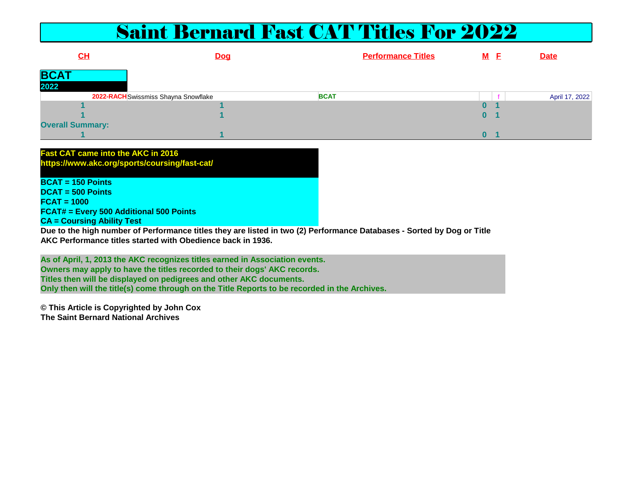#### Saint Bernard Fast CAT Titles For 2022

| <u>СН</u>               | <b>Dog</b>                           | <b>Performance Titles</b> |    | <b>M</b> E | <b>Date</b>    |
|-------------------------|--------------------------------------|---------------------------|----|------------|----------------|
| <b>BCA</b>              |                                      |                           |    |            |                |
| 2022                    |                                      |                           |    |            |                |
|                         | 2022-RACH Swissmiss Shayna Snowflake | <b>BCAT</b>               |    |            | April 17, 2022 |
|                         |                                      |                           |    |            |                |
|                         |                                      |                           | O. |            |                |
| <b>Overall Summary:</b> |                                      |                           |    |            |                |
|                         |                                      |                           |    |            |                |

**Fast CAT came into the AKC in 2016https://www.akc.org/sports/coursing/fast-cat/**

**BCAT = 150 Points DCAT = 500 PointsFCAT = 1000 FCAT# = Every 500 Additional 500 PointsCA = Coursing Ability Test**

 **Due to the high number of Performance titles they are listed in two (2) Performance Databases - Sorted by Dog or TitleAKC Performance titles started with Obedience back in 1936.**

**As of April, 1, 2013 the AKC recognizes titles earned in Association events.Owners may apply to have the titles recorded to their dogs' AKC records. Titles then will be displayed on pedigrees and other AKC documents. Only then will the title(s) come through on the Title Reports to be recorded in the Archives.**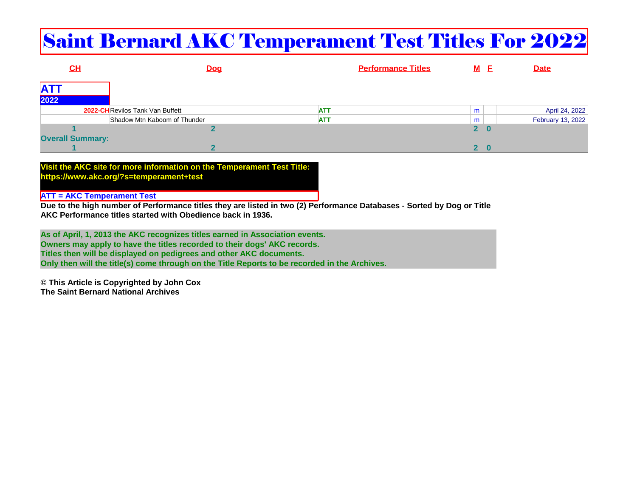# Saint Bernard AKC Temperament Test Titles For 2022

|            | CL                      | <u>Dog</u>                      | <b>Performance Titles</b> |                | <b>M</b> E   | <b>Date</b>       |
|------------|-------------------------|---------------------------------|---------------------------|----------------|--------------|-------------------|
| <b>ATT</b> |                         |                                 |                           |                |              |                   |
| 2022       |                         |                                 |                           |                |              |                   |
|            |                         | 2022-CHRevilos Tank Van Buffett | <b>ATT</b>                | m              |              | April 24, 2022    |
|            |                         | Shadow Mtn Kaboom of Thunder    | <b>ATT</b>                | m              |              | February 13, 2022 |
|            |                         |                                 |                           | $2\quad 0$     |              |                   |
|            | <b>Overall Summary:</b> |                                 |                           |                |              |                   |
|            |                         |                                 |                           | $\mathbf{2}^-$ | <b>STATE</b> |                   |

**Visit the AKC site for more information on the Temperament Test Title:https://www.akc.org/?s=temperament+test**

#### **ATT = AKC Temperament Test**

 **Due to the high number of Performance titles they are listed in two (2) Performance Databases - Sorted by Dog or TitleAKC Performance titles started with Obedience back in 1936.**

**As of April, 1, 2013 the AKC recognizes titles earned in Association events.Owners may apply to have the titles recorded to their dogs' AKC records. Titles then will be displayed on pedigrees and other AKC documents. Only then will the title(s) come through on the Title Reports to be recorded in the Archives.**